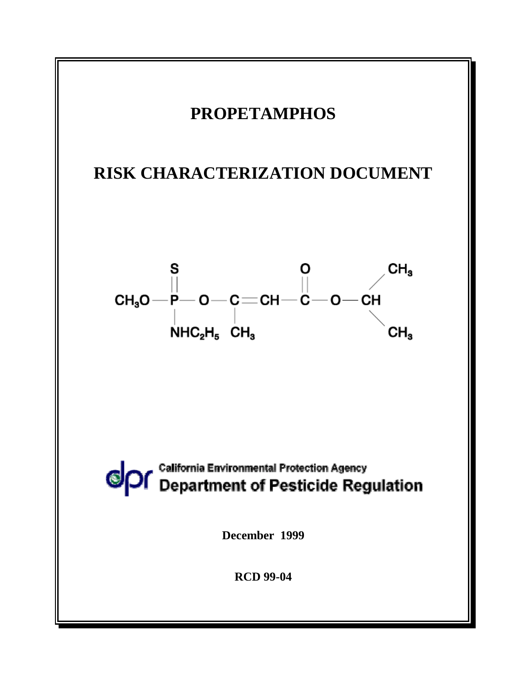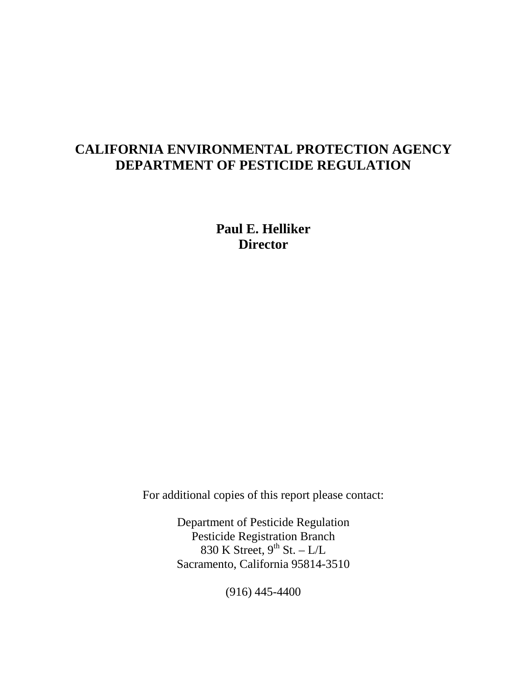# **CALIFORNIA ENVIRONMENTAL PROTECTION AGENCY DEPARTMENT OF PESTICIDE REGULATION**

**Paul E. Helliker Director** 

For additional copies of this report please contact:

Department of Pesticide Regulation Pesticide Registration Branch 830 K Street,  $9^{th}$  St. – L/L Sacramento, California 95814-3510

(916) 445-4400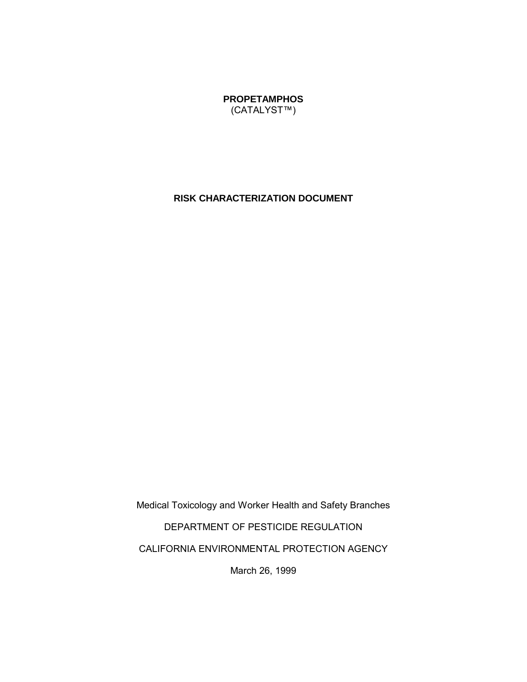**PROPETAMPHOS**  (CATALYST™)

### **RISK CHARACTERIZATION DOCUMENT**

Medical Toxicology and Worker Health and Safety Branches DEPARTMENT OF PESTICIDE REGULATION CALIFORNIA ENVIRONMENTAL PROTECTION AGENCY

March 26, 1999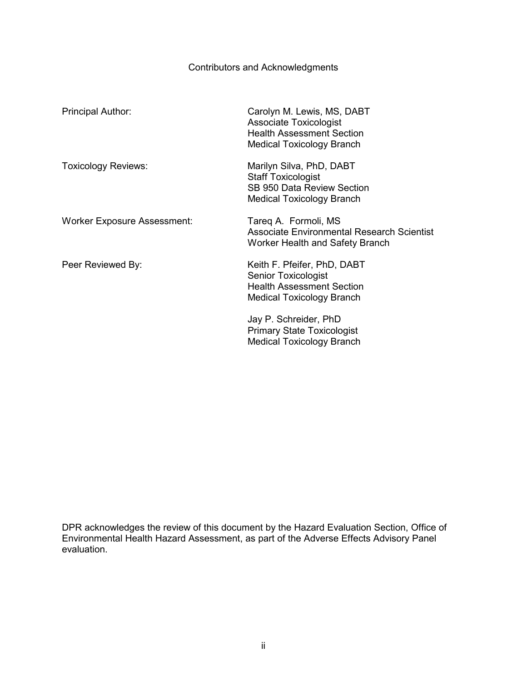# Contributors and Acknowledgments

<span id="page-3-0"></span>

| Principal Author:                  | Carolyn M. Lewis, MS, DABT<br><b>Associate Toxicologist</b><br><b>Health Assessment Section</b><br><b>Medical Toxicology Branch</b> |
|------------------------------------|-------------------------------------------------------------------------------------------------------------------------------------|
| <b>Toxicology Reviews:</b>         | Marilyn Silva, PhD, DABT<br><b>Staff Toxicologist</b><br>SB 950 Data Review Section<br>Medical Toxicology Branch                    |
| <b>Worker Exposure Assessment:</b> | Tareg A. Formoli, MS<br>Associate Environmental Research Scientist<br>Worker Health and Safety Branch                               |
| Peer Reviewed By:                  | Keith F. Pfeifer, PhD, DABT<br><b>Senior Toxicologist</b><br><b>Health Assessment Section</b><br><b>Medical Toxicology Branch</b>   |
|                                    | Jay P. Schreider, PhD<br><b>Primary State Toxicologist</b><br>Medical Toxicology Branch                                             |

DPR acknowledges the review of this document by the Hazard Evaluation Section, Office of Environmental Health Hazard Assessment, as part of the Adverse Effects Advisory Panel evaluation.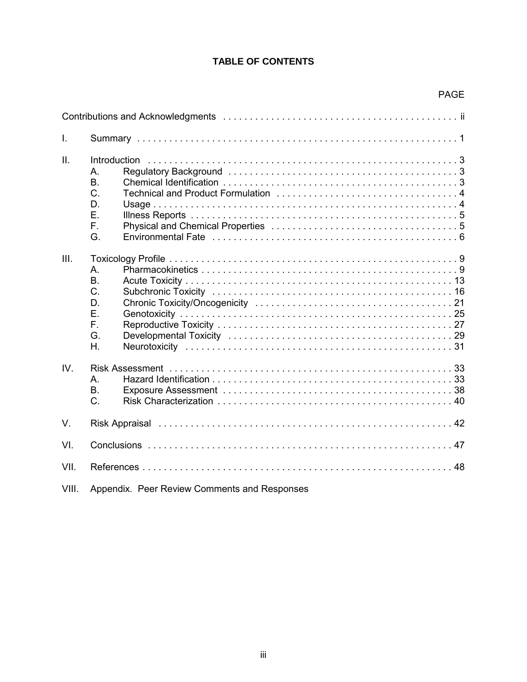# **TABLE OF CONTENTS**

|                |                                                    | <b>PAGE</b> |
|----------------|----------------------------------------------------|-------------|
|                |                                                    |             |
| $\mathbf{I}$ . |                                                    |             |
| II.            | Α.<br>B.<br>C.<br>D.<br>Ε.<br>F.<br>G.             |             |
| III.           | A<br><b>B.</b><br>C.<br>D.<br>Ε.<br>F.<br>G.<br>Η. |             |
| IV.            | A.<br>В.<br>C.                                     |             |
| $V_{\cdot}$    |                                                    |             |
| VI.            |                                                    |             |
| VII.           |                                                    |             |
| VIII.          | Appendix. Peer Review Comments and Responses       |             |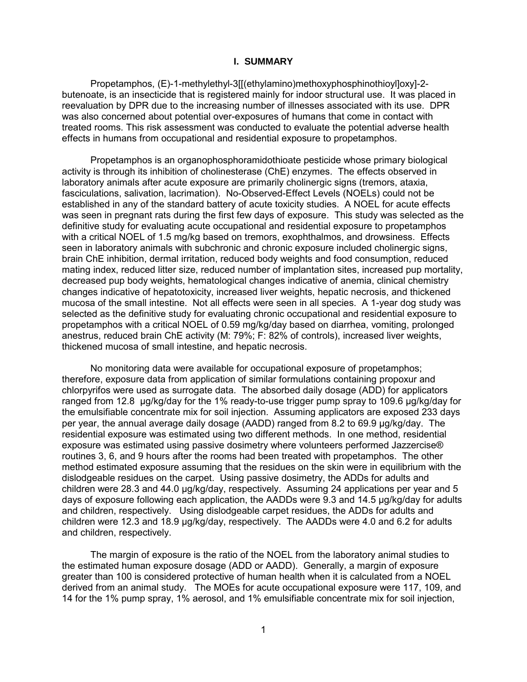#### **I. SUMMARY**

<span id="page-5-0"></span>Propetamphos, (E)-1-methylethyl-3[[(ethylamino)methoxyphosphinothioyl]oxy]-2 butenoate, is an insecticide that is registered mainly for indoor structural use. It was placed in reevaluation by DPR due to the increasing number of illnesses associated with its use. DPR was also concerned about potential over-exposures of humans that come in contact with treated rooms. This risk assessment was conducted to evaluate the potential adverse health effects in humans from occupational and residential exposure to propetamphos.

Propetamphos is an organophosphoramidothioate pesticide whose primary biological activity is through its inhibition of cholinesterase (ChE) enzymes. The effects observed in laboratory animals after acute exposure are primarily cholinergic signs (tremors, ataxia, fasciculations, salivation, lacrimation). No-Observed-Effect Levels (NOELs) could not be established in any of the standard battery of acute toxicity studies. A NOEL for acute effects was seen in pregnant rats during the first few days of exposure. This study was selected as the definitive study for evaluating acute occupational and residential exposure to propetamphos with a critical NOEL of 1.5 mg/kg based on tremors, exophthalmos, and drowsiness. Effects seen in laboratory animals with subchronic and chronic exposure included cholinergic signs, brain ChE inhibition, dermal irritation, reduced body weights and food consumption, reduced mating index, reduced litter size, reduced number of implantation sites, increased pup mortality, decreased pup body weights, hematological changes indicative of anemia, clinical chemistry changes indicative of hepatotoxicity, increased liver weights, hepatic necrosis, and thickened mucosa of the small intestine. Not all effects were seen in all species. A 1-year dog study was selected as the definitive study for evaluating chronic occupational and residential exposure to propetamphos with a critical NOEL of 0.59 mg/kg/day based on diarrhea, vomiting, prolonged anestrus, reduced brain ChE activity (M: 79%; F: 82% of controls), increased liver weights, thickened mucosa of small intestine, and hepatic necrosis.

No monitoring data were available for occupational exposure of propetamphos; therefore, exposure data from application of similar formulations containing propoxur and chlorpyrifos were used as surrogate data. The absorbed daily dosage (ADD) for applicators ranged from 12.8 µg/kg/day for the 1% ready-to-use trigger pump spray to 109.6 µg/kg/day for the emulsifiable concentrate mix for soil injection. Assuming applicators are exposed 233 days per year, the annual average daily dosage (AADD) ranged from 8.2 to 69.9 µg/kg/day. The residential exposure was estimated using two different methods. In one method, residential exposure was estimated using passive dosimetry where volunteers performed Jazzercise® routines 3, 6, and 9 hours after the rooms had been treated with propetamphos. The other method estimated exposure assuming that the residues on the skin were in equilibrium with the dislodgeable residues on the carpet. Using passive dosimetry, the ADDs for adults and children were 28.3 and 44.0 µg/kg/day, respectively. Assuming 24 applications per year and 5 days of exposure following each application, the AADDs were 9.3 and 14.5 µg/kg/day for adults and children, respectively. Using dislodgeable carpet residues, the ADDs for adults and children were 12.3 and 18.9 µg/kg/day, respectively. The AADDs were 4.0 and 6.2 for adults and children, respectively.

The margin of exposure is the ratio of the NOEL from the laboratory animal studies to the estimated human exposure dosage (ADD or AADD). Generally, a margin of exposure greater than 100 is considered protective of human health when it is calculated from a NOEL derived from an animal study. The MOEs for acute occupational exposure were 117, 109, and 14 for the 1% pump spray, 1% aerosol, and 1% emulsifiable concentrate mix for soil injection,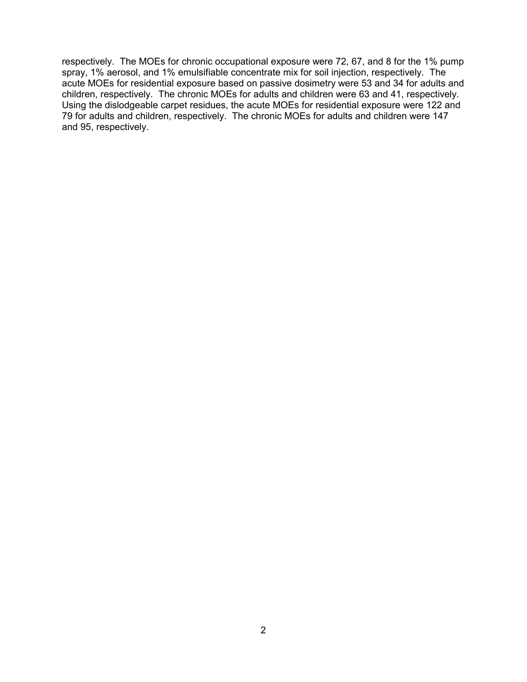respectively. The MOEs for chronic occupational exposure were 72, 67, and 8 for the 1% pump spray, 1% aerosol, and 1% emulsifiable concentrate mix for soil injection, respectively. The acute MOEs for residential exposure based on passive dosimetry were 53 and 34 for adults and children, respectively. The chronic MOEs for adults and children were 63 and 41, respectively. Using the dislodgeable carpet residues, the acute MOEs for residential exposure were 122 and 79 for adults and children, respectively. The chronic MOEs for adults and children were 147 and 95, respectively.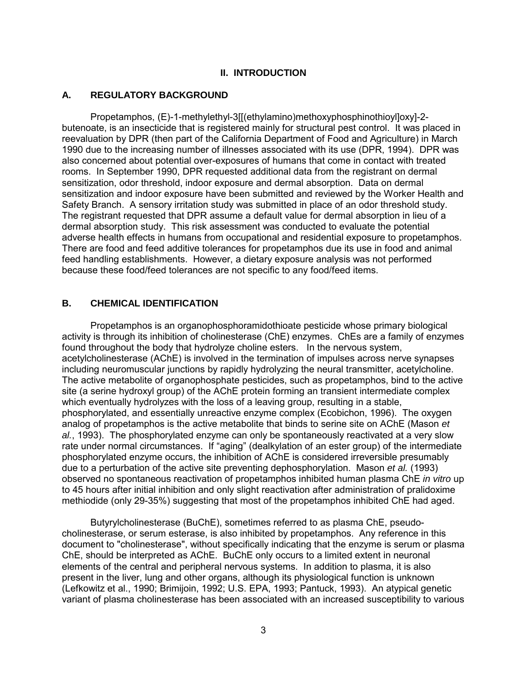#### **II. INTRODUCTION**

### <span id="page-7-0"></span>**A. REGULATORY BACKGROUND**

Propetamphos, (E)-1-methylethyl-3[[(ethylamino)methoxyphosphinothioyl]oxy]-2 butenoate, is an insecticide that is registered mainly for structural pest control. It was placed in reevaluation by DPR (then part of the California Department of Food and Agriculture) in March 1990 due to the increasing number of illnesses associated with its use (DPR, 1994). DPR was also concerned about potential over-exposures of humans that come in contact with treated rooms. In September 1990, DPR requested additional data from the registrant on dermal sensitization, odor threshold, indoor exposure and dermal absorption. Data on dermal sensitization and indoor exposure have been submitted and reviewed by the Worker Health and Safety Branch. A sensory irritation study was submitted in place of an odor threshold study. The registrant requested that DPR assume a default value for dermal absorption in lieu of a dermal absorption study. This risk assessment was conducted to evaluate the potential adverse health effects in humans from occupational and residential exposure to propetamphos. There are food and feed additive tolerances for propetamphos due its use in food and animal feed handling establishments. However, a dietary exposure analysis was not performed because these food/feed tolerances are not specific to any food/feed items.

### **B. CHEMICAL IDENTIFICATION**

including neuromuscular junctions by rapidly hydrolyzing the neural transmitter, acetylcholine. Propetamphos is an organophosphoramidothioate pesticide whose primary biological activity is through its inhibition of cholinesterase (ChE) enzymes. ChEs are a family of enzymes found throughout the body that hydrolyze choline esters. In the nervous system, acetylcholinesterase (AChE) is involved in the termination of impulses across nerve synapses The active metabolite of organophosphate pesticides, such as propetamphos, bind to the active site (a serine hydroxyl group) of the AChE protein forming an transient intermediate complex which eventually hydrolyzes with the loss of a leaving group, resulting in a stable, phosphorylated, and essentially unreactive enzyme complex (Ecobichon, 1996). The oxygen analog of propetamphos is the active metabolite that binds to serine site on AChE (Mason *et al.*, 1993). The phosphorylated enzyme can only be spontaneously reactivated at a very slow rate under normal circumstances. If "aging" (dealkylation of an ester group) of the intermediate phosphorylated enzyme occurs, the inhibition of AChE is considered irreversible presumably due to a perturbation of the active site preventing dephosphorylation. Mason *et al.* (1993) observed no spontaneous reactivation of propetamphos inhibited human plasma ChE *in vitro* up to 45 hours after initial inhibition and only slight reactivation after administration of pralidoxime methiodide (only 29-35%) suggesting that most of the propetamphos inhibited ChE had aged.

Butyrylcholinesterase (BuChE), sometimes referred to as plasma ChE, pseudocholinesterase, or serum esterase, is also inhibited by propetamphos. Any reference in this document to "cholinesterase", without specifically indicating that the enzyme is serum or plasma ChE, should be interpreted as AChE. BuChE only occurs to a limited extent in neuronal elements of the central and peripheral nervous systems. In addition to plasma, it is also present in the liver, lung and other organs, although its physiological function is unknown (Lefkowitz et al., 1990; Brimijoin, 1992; U.S. EPA, 1993; Pantuck, 1993). An atypical genetic variant of plasma cholinesterase has been associated with an increased susceptibility to various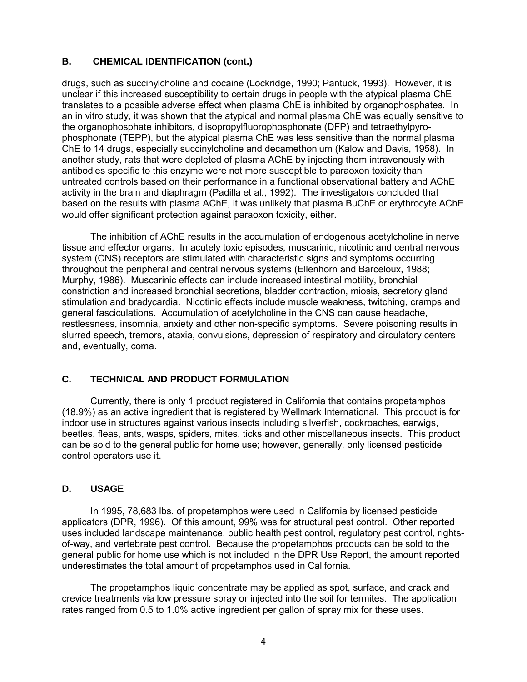# <span id="page-8-0"></span>**B. CHEMICAL IDENTIFICATION (cont.)**

drugs, such as succinylcholine and cocaine (Lockridge, 1990; Pantuck, 1993). However, it is unclear if this increased susceptibility to certain drugs in people with the atypical plasma ChE translates to a possible adverse effect when plasma ChE is inhibited by organophosphates. In an in vitro study, it was shown that the atypical and normal plasma ChE was equally sensitive to the organophosphate inhibitors, diisopropylfluorophosphonate (DFP) and tetraethylpyrophosphonate (TEPP), but the atypical plasma ChE was less sensitive than the normal plasma ChE to 14 drugs, especially succinylcholine and decamethonium (Kalow and Davis, 1958). In another study, rats that were depleted of plasma AChE by injecting them intravenously with antibodies specific to this enzyme were not more susceptible to paraoxon toxicity than untreated controls based on their performance in a functional observational battery and AChE activity in the brain and diaphragm (Padilla et al., 1992). The investigators concluded that based on the results with plasma AChE, it was unlikely that plasma BuChE or erythrocyte AChE would offer significant protection against paraoxon toxicity, either.

The inhibition of AChE results in the accumulation of endogenous acetylcholine in nerve tissue and effector organs. In acutely toxic episodes, muscarinic, nicotinic and central nervous system (CNS) receptors are stimulated with characteristic signs and symptoms occurring throughout the peripheral and central nervous systems (Ellenhorn and Barceloux, 1988; Murphy, 1986). Muscarinic effects can include increased intestinal motility, bronchial constriction and increased bronchial secretions, bladder contraction, miosis, secretory gland stimulation and bradycardia. Nicotinic effects include muscle weakness, twitching, cramps and general fasciculations. Accumulation of acetylcholine in the CNS can cause headache, restlessness, insomnia, anxiety and other non-specific symptoms. Severe poisoning results in slurred speech, tremors, ataxia, convulsions, depression of respiratory and circulatory centers and, eventually, coma.

### **C. TECHNICAL AND PRODUCT FORMULATION**

Currently, there is only 1 product registered in California that contains propetamphos (18.9%) as an active ingredient that is registered by Wellmark International. This product is for indoor use in structures against various insects including silverfish, cockroaches, earwigs, beetles, fleas, ants, wasps, spiders, mites, ticks and other miscellaneous insects. This product can be sold to the general public for home use; however, generally, only licensed pesticide control operators use it.

### **D. USAGE**

In 1995, 78,683 lbs. of propetamphos were used in California by licensed pesticide applicators (DPR, 1996). Of this amount, 99% was for structural pest control. Other reported uses included landscape maintenance, public health pest control, regulatory pest control, rightsof-way, and vertebrate pest control. Because the propetamphos products can be sold to the general public for home use which is not included in the DPR Use Report, the amount reported underestimates the total amount of propetamphos used in California.

The propetamphos liquid concentrate may be applied as spot, surface, and crack and crevice treatments via low pressure spray or injected into the soil for termites. The application rates ranged from 0.5 to 1.0% active ingredient per gallon of spray mix for these uses.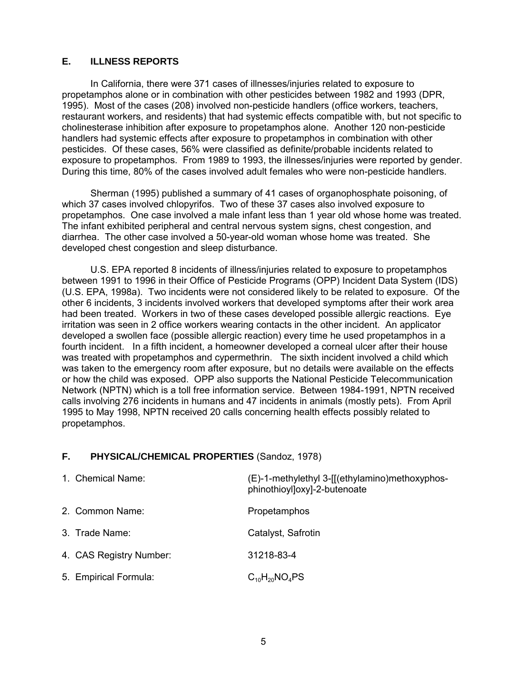### <span id="page-9-0"></span>**E. ILLNESS REPORTS**

 During this time, 80% of the cases involved adult females who were non-pesticide handlers. In California, there were 371 cases of illnesses/injuries related to exposure to propetamphos alone or in combination with other pesticides between 1982 and 1993 (DPR, 1995). Most of the cases (208) involved non-pesticide handlers (office workers, teachers, restaurant workers, and residents) that had systemic effects compatible with, but not specific to cholinesterase inhibition after exposure to propetamphos alone. Another 120 non-pesticide handlers had systemic effects after exposure to propetamphos in combination with other pesticides. Of these cases, 56% were classified as definite/probable incidents related to exposure to propetamphos. From 1989 to 1993, the illnesses/injuries were reported by gender.

developed chest congestion and sleep disturbance. Sherman (1995) published a summary of 41 cases of organophosphate poisoning, of which 37 cases involved chlopyrifos. Two of these 37 cases also involved exposure to propetamphos. One case involved a male infant less than 1 year old whose home was treated. The infant exhibited peripheral and central nervous system signs, chest congestion, and diarrhea. The other case involved a 50-year-old woman whose home was treated. She

U.S. EPA reported 8 incidents of illness/injuries related to exposure to propetamphos between 1991 to 1996 in their Office of Pesticide Programs (OPP) Incident Data System (IDS) (U.S. EPA, 1998a). Two incidents were not considered likely to be related to exposure. Of the other 6 incidents, 3 incidents involved workers that developed symptoms after their work area had been treated. Workers in two of these cases developed possible allergic reactions. Eye irritation was seen in 2 office workers wearing contacts in the other incident. An applicator developed a swollen face (possible allergic reaction) every time he used propetamphos in a fourth incident. In a fifth incident, a homeowner developed a corneal ulcer after their house was treated with propetamphos and cypermethrin. The sixth incident involved a child which was taken to the emergency room after exposure, but no details were available on the effects or how the child was exposed. OPP also supports the National Pesticide Telecommunication Network (NPTN) which is a toll free information service. Between 1984-1991, NPTN received calls involving 276 incidents in humans and 47 incidents in animals (mostly pets). From April 1995 to May 1998, NPTN received 20 calls concerning health effects possibly related to propetamphos.

### **F. PHYSICAL/CHEMICAL PROPERTIES** (Sandoz, 1978)

| 1. Chemical Name:       | (E)-1-methylethyl 3-[[(ethylamino)methoxyphos-<br>phinothioyl]oxy]-2-butenoate |
|-------------------------|--------------------------------------------------------------------------------|
| 2. Common Name:         | Propetamphos                                                                   |
| 3. Trade Name:          | Catalyst, Safrotin                                                             |
| 4. CAS Registry Number: | 31218-83-4                                                                     |
| 5. Empirical Formula:   | $C_{10}H_{20}NO_4PS$                                                           |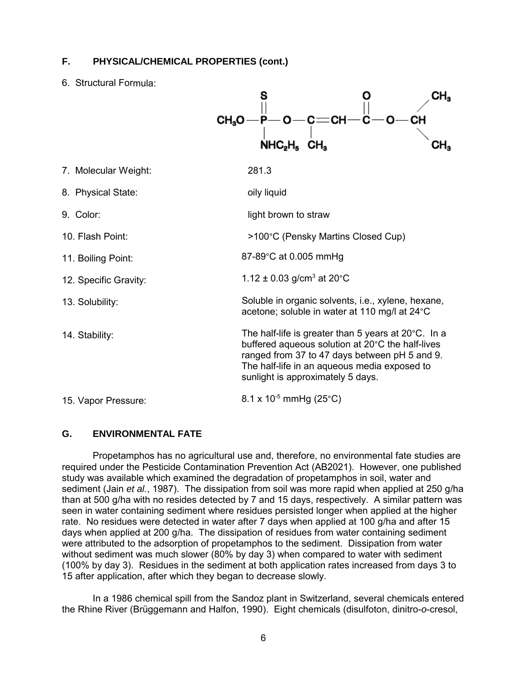### <span id="page-10-0"></span>**F. PHYSICAL/CHEMICAL PROPERTIES (cont.)**

6. Structural Formula:

|                       | CH <sub>s</sub> O<br>CН                                                                                                                                                                                                                                 | CH <sub>3</sub><br>-CH |
|-----------------------|---------------------------------------------------------------------------------------------------------------------------------------------------------------------------------------------------------------------------------------------------------|------------------------|
|                       | NHC <sub>2</sub> H <sub>5</sub>                                                                                                                                                                                                                         | CH <sub>3</sub>        |
| 7. Molecular Weight:  | 281.3                                                                                                                                                                                                                                                   |                        |
| 8. Physical State:    | oily liquid                                                                                                                                                                                                                                             |                        |
| 9. Color:             | light brown to straw                                                                                                                                                                                                                                    |                        |
| 10. Flash Point:      | >100°C (Pensky Martins Closed Cup)                                                                                                                                                                                                                      |                        |
| 11. Boiling Point:    | 87-89°C at 0.005 mmHg                                                                                                                                                                                                                                   |                        |
| 12. Specific Gravity: | 1.12 $\pm$ 0.03 g/cm <sup>3</sup> at 20 °C                                                                                                                                                                                                              |                        |
| 13. Solubility:       | Soluble in organic solvents, i.e., xylene, hexane,<br>acetone; soluble in water at 110 mg/l at 24°C                                                                                                                                                     |                        |
| 14. Stability:        | The half-life is greater than 5 years at $20^{\circ}$ C. In a<br>buffered aqueous solution at 20°C the half-lives<br>ranged from 37 to 47 days between pH 5 and 9.<br>The half-life in an aqueous media exposed to<br>sunlight is approximately 5 days. |                        |
| 15. Vapor Pressure:   | 8.1 x 10 <sup>-5</sup> mmHg (25 <sup>°</sup> C)                                                                                                                                                                                                         |                        |

### **G. ENVIRONMENTAL FATE**

Propetamphos has no agricultural use and, therefore, no environmental fate studies are required under the Pesticide Contamination Prevention Act (AB2021). However, one published study was available which examined the degradation of propetamphos in soil, water and sediment (Jain *et al.*, 1987). The dissipation from soil was more rapid when applied at 250 g/ha than at 500 g/ha with no resides detected by 7 and 15 days, respectively. A similar pattern was seen in water containing sediment where residues persisted longer when applied at the higher rate. No residues were detected in water after 7 days when applied at 100 g/ha and after 15 days when applied at 200 g/ha. The dissipation of residues from water containing sediment were attributed to the adsorption of propetamphos to the sediment. Dissipation from water without sediment was much slower (80% by day 3) when compared to water with sediment (100% by day 3). Residues in the sediment at both application rates increased from days 3 to 15 after application, after which they began to decrease slowly.

In a 1986 chemical spill from the Sandoz plant in Switzerland, several chemicals entered the Rhine River (Brüggemann and Halfon, 1990). Eight chemicals (disulfoton, dinitro-*o*-cresol,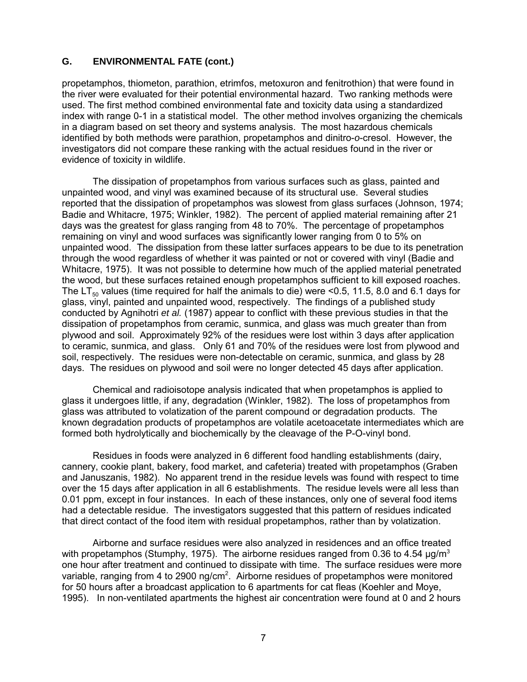### **G. ENVIRONMENTAL FATE (cont.)**

propetamphos, thiometon, parathion, etrimfos, metoxuron and fenitrothion) that were found in the river were evaluated for their potential environmental hazard. Two ranking methods were used. The first method combined environmental fate and toxicity data using a standardized index with range 0-1 in a statistical model. The other method involves organizing the chemicals in a diagram based on set theory and systems analysis. The most hazardous chemicals identified by both methods were parathion, propetamphos and dinitro-*o*-cresol. However, the investigators did not compare these ranking with the actual residues found in the river or evidence of toxicity in wildlife.

The dissipation of propetamphos from various surfaces such as glass, painted and unpainted wood, and vinyl was examined because of its structural use. Several studies reported that the dissipation of propetamphos was slowest from glass surfaces (Johnson, 1974; Badie and Whitacre, 1975; Winkler, 1982). The percent of applied material remaining after 21 days was the greatest for glass ranging from 48 to 70%. The percentage of propetamphos remaining on vinyl and wood surfaces was significantly lower ranging from 0 to 5% on unpainted wood. The dissipation from these latter surfaces appears to be due to its penetration through the wood regardless of whether it was painted or not or covered with vinyl (Badie and Whitacre, 1975). It was not possible to determine how much of the applied material penetrated the wood, but these surfaces retained enough propetamphos sufficient to kill exposed roaches. The LT<sub>50</sub> values (time required for half the animals to die) were <0.5, 11.5, 8.0 and 6.1 days for glass, vinyl, painted and unpainted wood, respectively. The findings of a published study conducted by Agnihotri *et al.* (1987) appear to conflict with these previous studies in that the dissipation of propetamphos from ceramic, sunmica, and glass was much greater than from plywood and soil. Approximately 92% of the residues were lost within 3 days after application to ceramic, sunmica, and glass. Only 61 and 70% of the residues were lost from plywood and soil, respectively. The residues were non-detectable on ceramic, sunmica, and glass by 28 days. The residues on plywood and soil were no longer detected 45 days after application.

Chemical and radioisotope analysis indicated that when propetamphos is applied to glass it undergoes little, if any, degradation (Winkler, 1982). The loss of propetamphos from glass was attributed to volatization of the parent compound or degradation products. The known degradation products of propetamphos are volatile acetoacetate intermediates which are formed both hydrolytically and biochemically by the cleavage of the P-O-vinyl bond.

 that direct contact of the food item with residual propetamphos, rather than by volatization. Residues in foods were analyzed in 6 different food handling establishments (dairy, cannery, cookie plant, bakery, food market, and cafeteria) treated with propetamphos (Graben and Januszanis, 1982). No apparent trend in the residue levels was found with respect to time over the 15 days after application in all 6 establishments. The residue levels were all less than 0.01 ppm, except in four instances. In each of these instances, only one of several food items had a detectable residue. The investigators suggested that this pattern of residues indicated

Airborne and surface residues were also analyzed in residences and an office treated with propetamphos (Stumphy, 1975). The airborne residues ranged from 0.36 to 4.54  $\mu$ g/m<sup>3</sup> one hour after treatment and continued to dissipate with time. The surface residues were more variable, ranging from 4 to 2900 ng/cm<sup>2</sup>. Airborne residues of propetamphos were monitored for 50 hours after a broadcast application to 6 apartments for cat fleas (Koehler and Moye, 1995). In non-ventilated apartments the highest air concentration were found at 0 and 2 hours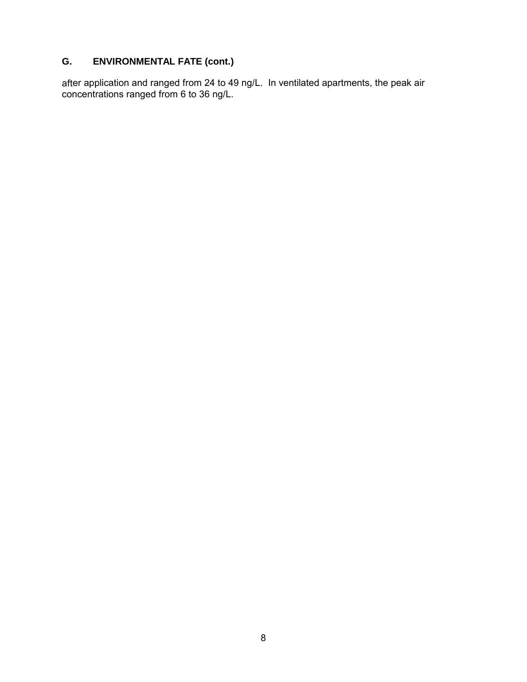# **G. ENVIRONMENTAL FATE (cont.)**

after application and ranged from 24 to 49 ng/L. In ventilated apartments, the peak air concentrations ranged from 6 to 36 ng/L.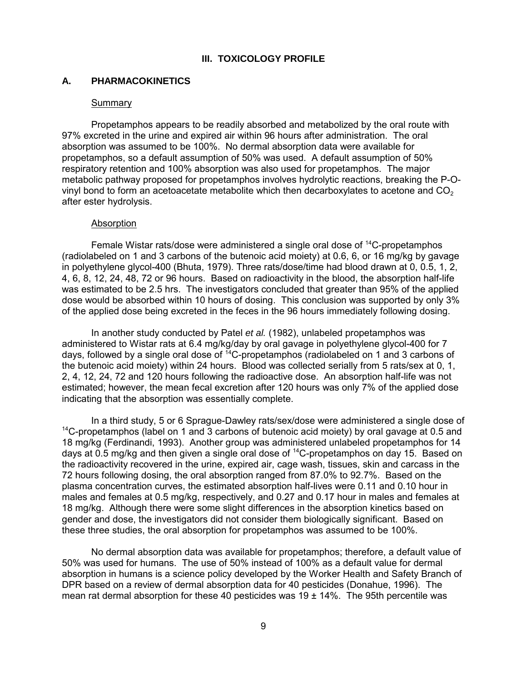#### **III. TOXICOLOGY PROFILE**

#### <span id="page-13-0"></span>**A. PHARMACOKINETICS**

#### **Summary**

Propetamphos appears to be readily absorbed and metabolized by the oral route with 97% excreted in the urine and expired air within 96 hours after administration. The oral absorption was assumed to be 100%. No dermal absorption data were available for propetamphos, so a default assumption of 50% was used. A default assumption of 50% respiratory retention and 100% absorption was also used for propetamphos. The major metabolic pathway proposed for propetamphos involves hydrolytic reactions, breaking the P-Ovinyl bond to form an acetoacetate metabolite which then decarboxylates to acetone and  $CO<sub>2</sub>$ after ester hydrolysis.

#### Absorption

 of the applied dose being excreted in the feces in the 96 hours immediately following dosing. Female Wistar rats/dose were administered a single oral dose of 14C-propetamphos (radiolabeled on 1 and 3 carbons of the butenoic acid moiety) at 0.6, 6, or 16 mg/kg by gavage in polyethylene glycol-400 (Bhuta, 1979). Three rats/dose/time had blood drawn at 0, 0.5, 1, 2, 4, 6, 8, 12, 24, 48, 72 or 96 hours. Based on radioactivity in the blood, the absorption half-life was estimated to be 2.5 hrs. The investigators concluded that greater than 95% of the applied dose would be absorbed within 10 hours of dosing. This conclusion was supported by only 3%

In another study conducted by Patel *et al.* (1982), unlabeled propetamphos was administered to Wistar rats at 6.4 mg/kg/day by oral gavage in polyethylene glycol-400 for 7 days, followed by a single oral dose of <sup>14</sup>C-propetamphos (radiolabeled on 1 and 3 carbons of the butenoic acid moiety) within 24 hours. Blood was collected serially from 5 rats/sex at 0, 1, 2, 4, 12, 24, 72 and 120 hours following the radioactive dose. An absorption half-life was not estimated; however, the mean fecal excretion after 120 hours was only 7% of the applied dose indicating that the absorption was essentially complete.

 these three studies, the oral absorption for propetamphos was assumed to be 100%. In a third study, 5 or 6 Sprague-Dawley rats/sex/dose were administered a single dose of  $14$ C-propetamphos (label on 1 and 3 carbons of butenoic acid moiety) by oral gavage at 0.5 and 18 mg/kg (Ferdinandi, 1993). Another group was administered unlabeled propetamphos for 14 days at 0.5 mg/kg and then given a single oral dose of  $14C$ -propetamphos on day 15. Based on the radioactivity recovered in the urine, expired air, cage wash, tissues, skin and carcass in the 72 hours following dosing, the oral absorption ranged from 87.0% to 92.7%. Based on the plasma concentration curves, the estimated absorption half-lives were 0.11 and 0.10 hour in males and females at 0.5 mg/kg, respectively, and 0.27 and 0.17 hour in males and females at 18 mg/kg. Although there were some slight differences in the absorption kinetics based on gender and dose, the investigators did not consider them biologically significant. Based on

No dermal absorption data was available for propetamphos; therefore, a default value of 50% was used for humans. The use of 50% instead of 100% as a default value for dermal absorption in humans is a science policy developed by the Worker Health and Safety Branch of DPR based on a review of dermal absorption data for 40 pesticides (Donahue, 1996). The mean rat dermal absorption for these 40 pesticides was  $19 \pm 14\%$ . The 95th percentile was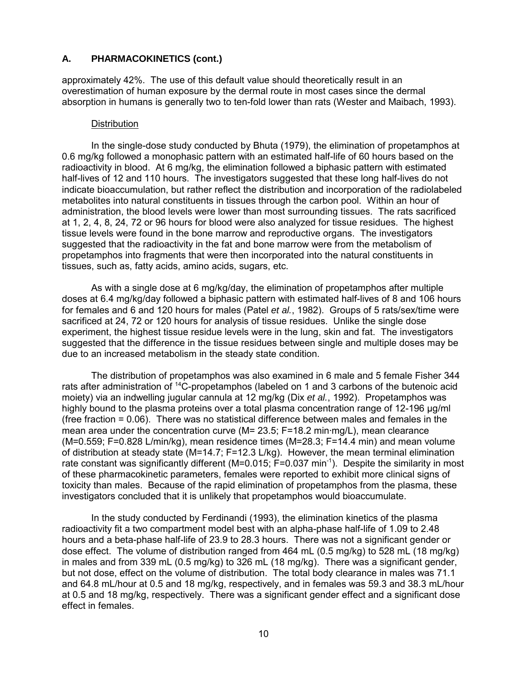### **A. PHARMACOKINETICS (cont.)**

approximately 42%. The use of this default value should theoretically result in an overestimation of human exposure by the dermal route in most cases since the dermal absorption in humans is generally two to ten-fold lower than rats (Wester and Maibach, 1993).

#### **Distribution**

In the single-dose study conducted by Bhuta (1979), the elimination of propetamphos at 0.6 mg/kg followed a monophasic pattern with an estimated half-life of 60 hours based on the radioactivity in blood. At 6 mg/kg, the elimination followed a biphasic pattern with estimated half-lives of 12 and 110 hours. The investigators suggested that these long half-lives do not indicate bioaccumulation, but rather reflect the distribution and incorporation of the radiolabeled metabolites into natural constituents in tissues through the carbon pool. Within an hour of administration, the blood levels were lower than most surrounding tissues. The rats sacrificed at 1, 2, 4, 8, 24, 72 or 96 hours for blood were also analyzed for tissue residues. The highest tissue levels were found in the bone marrow and reproductive organs. The investigators suggested that the radioactivity in the fat and bone marrow were from the metabolism of propetamphos into fragments that were then incorporated into the natural constituents in tissues, such as, fatty acids, amino acids, sugars, etc.

As with a single dose at 6 mg/kg/day, the elimination of propetamphos after multiple doses at 6.4 mg/kg/day followed a biphasic pattern with estimated half-lives of 8 and 106 hours for females and 6 and 120 hours for males (Patel *et al.*, 1982). Groups of 5 rats/sex/time were sacrificed at 24, 72 or 120 hours for analysis of tissue residues. Unlike the single dose experiment, the highest tissue residue levels were in the lung, skin and fat. The investigators suggested that the difference in the tissue residues between single and multiple doses may be due to an increased metabolism in the steady state condition.

The distribution of propetamphos was also examined in 6 male and 5 female Fisher 344 rats after administration of <sup>14</sup>C-propetamphos (labeled on 1 and 3 carbons of the butenoic acid moiety) via an indwelling jugular cannula at 12 mg/kg (Dix *et al.*, 1992). Propetamphos was highly bound to the plasma proteins over a total plasma concentration range of 12-196 µg/ml (free fraction = 0.06). There was no statistical difference between males and females in the mean area under the concentration curve ( $M = 23.5$ ; F=18.2 min·mg/L), mean clearance (M=0.559; F=0.828 L/min/kg), mean residence times (M=28.3; F=14.4 min) and mean volume of distribution at steady state (M=14.7; F=12.3 L/kg). However, the mean terminal elimination rate constant was significantly different (M=0.015; F=0.037 min<sup>-1</sup>). Despite the similarity in most of these pharmacokinetic parameters, females were reported to exhibit more clinical signs of toxicity than males. Because of the rapid elimination of propetamphos from the plasma, these investigators concluded that it is unlikely that propetamphos would bioaccumulate.

effect in females. In the study conducted by Ferdinandi (1993), the elimination kinetics of the plasma radioactivity fit a two compartment model best with an alpha-phase half-life of 1.09 to 2.48 hours and a beta-phase half-life of 23.9 to 28.3 hours. There was not a significant gender or dose effect. The volume of distribution ranged from 464 mL (0.5 mg/kg) to 528 mL (18 mg/kg) in males and from 339 mL (0.5 mg/kg) to 326 mL (18 mg/kg). There was a significant gender, but not dose, effect on the volume of distribution. The total body clearance in males was 71.1 and 64.8 mL/hour at 0.5 and 18 mg/kg, respectively, and in females was 59.3 and 38.3 mL/hour at 0.5 and 18 mg/kg, respectively. There was a significant gender effect and a significant dose effect in females.<br>
10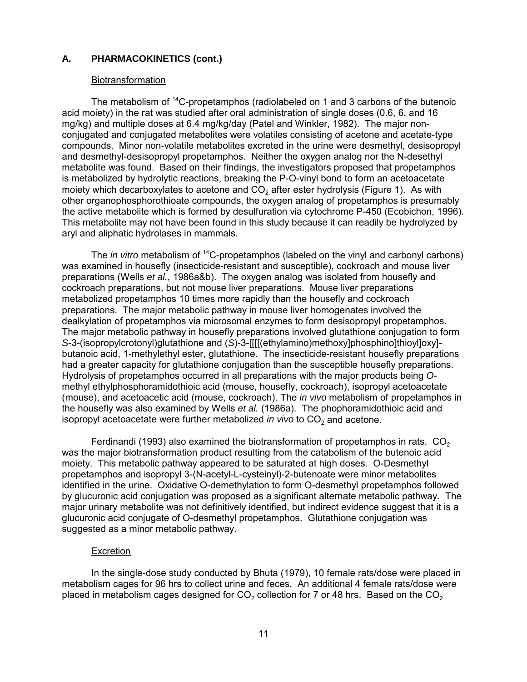### **A. PHARMACOKINETICS (cont.)**

#### **Biotransformation**

The metabolism of 14C-propetamphos (radiolabeled on 1 and 3 carbons of the butenoic acid moiety) in the rat was studied after oral administration of single doses (0.6, 6, and 16 mg/kg) and multiple doses at 6.4 mg/kg/day (Patel and Winkler, 1982). The major nonconjugated and conjugated metabolites were volatiles consisting of acetone and acetate-type compounds. Minor non-volatile metabolites excreted in the urine were desmethyl, desisopropyl and desmethyl-desisopropyl propetamphos. Neither the oxygen analog nor the N-desethyl metabolite was found. Based on their findings, the investigators proposed that propetamphos is metabolized by hydrolytic reactions, breaking the P-O-vinyl bond to form an acetoacetate moiety which decarboxylates to acetone and CO<sub>2</sub> after ester hydrolysis (Figure 1). As with other organophosphorothioate compounds, the oxygen analog of propetamphos is presumably the active metabolite which is formed by desulfuration via cytochrome P-450 (Ecobichon, 1996). This metabolite may not have been found in this study because it can readily be hydrolyzed by aryl and aliphatic hydrolases in mammals.

The *in vitro* metabolism of <sup>14</sup>C-propetamphos (labeled on the vinyl and carbonyl carbons) was examined in housefly (insecticide-resistant and susceptible), cockroach and mouse liver preparations (Wells *et al.*, 1986a&b). The oxygen analog was isolated from housefly and cockroach preparations, but not mouse liver preparations. Mouse liver preparations metabolized propetamphos 10 times more rapidly than the housefly and cockroach preparations. The major metabolic pathway in mouse liver homogenates involved the dealkylation of propetamphos via microsomal enzymes to form desisopropyl propetamphos. The major metabolic pathway in housefly preparations involved glutathione conjugation to form *S*-3-(isopropylcrotonyl)glutathione and (*S*)-3-[[[[(ethylamino)methoxy]phosphino]thioyl]oxy] butanoic acid, 1-methylethyl ester, glutathione. The insecticide-resistant housefly preparations had a greater capacity for glutathione conjugation than the susceptible housefly preparations. Hydrolysis of propetamphos occurred in all preparations with the major products being *O*methyl ethylphosphoramidothioic acid (mouse, housefly, cockroach), isopropyl acetoacetate (mouse), and acetoacetic acid (mouse, cockroach). The *in vivo* metabolism of propetamphos in the housefly was also examined by Wells *et al.* (1986a). The phophoramidothioic acid and isopropyl acetoacetate were further metabolized *in vivo* to CO<sub>2</sub> and acetone.

Ferdinandi (1993) also examined the biotransformation of propetamphos in rats.  $CO<sub>2</sub>$ was the major biotransformation product resulting from the catabolism of the butenoic acid moiety. This metabolic pathway appeared to be saturated at high doses. O-Desmethyl propetamphos and isopropyl 3-(N-acetyl-L-cysteinyl)-2-butenoate were minor metabolites identified in the urine. Oxidative O-demethylation to form O-desmethyl propetamphos followed by glucuronic acid conjugation was proposed as a significant alternate metabolic pathway. The major urinary metabolite was not definitively identified, but indirect evidence suggest that it is a glucuronic acid conjugate of O-desmethyl propetamphos. Glutathione conjugation was suggested as a minor metabolic pathway.

#### Excretion

In the single-dose study conducted by Bhuta (1979), 10 female rats/dose were placed in metabolism cages for 96 hrs to collect urine and feces. An additional 4 female rats/dose were placed in metabolism cages designed for  $CO<sub>2</sub>$  collection for 7 or 48 hrs. Based on the  $CO<sub>2</sub>$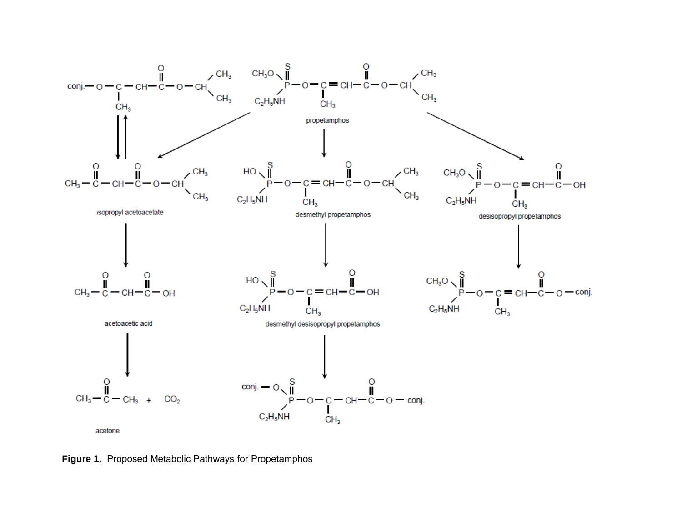

**Figure 1.** Proposed Metabolic Pathways for Propetamphos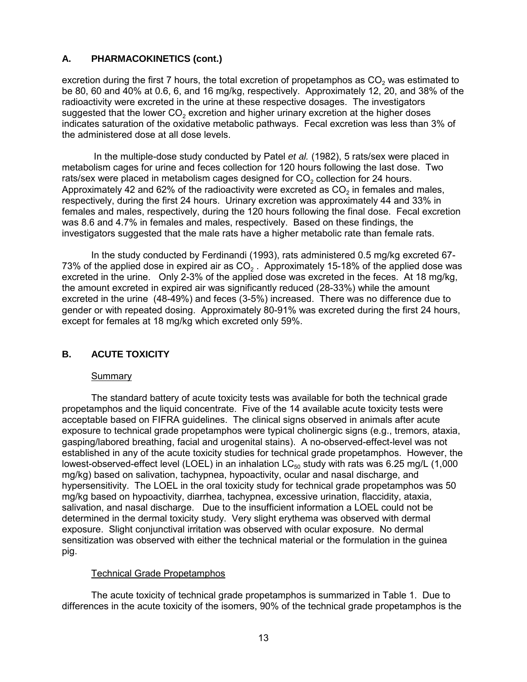### <span id="page-17-0"></span>**A. PHARMACOKINETICS (cont.)**

 the administered dose at all dose levels. excretion during the first 7 hours, the total excretion of propetamphos as  $CO<sub>2</sub>$  was estimated to be 80, 60 and 40% at 0.6, 6, and 16 mg/kg, respectively. Approximately 12, 20, and 38% of the radioactivity were excreted in the urine at these respective dosages. The investigators suggested that the lower  $CO<sub>2</sub>$  excretion and higher urinary excretion at the higher doses indicates saturation of the oxidative metabolic pathways. Fecal excretion was less than 3% of

 In the multiple-dose study conducted by Patel *et al.* (1982), 5 rats/sex were placed in metabolism cages for urine and feces collection for 120 hours following the last dose. Two rats/sex were placed in metabolism cages designed for CO<sub>2</sub> collection for 24 hours. Approximately 42 and 62% of the radioactivity were excreted as  $CO<sub>2</sub>$  in females and males, respectively, during the first 24 hours. Urinary excretion was approximately 44 and 33% in females and males, respectively, during the 120 hours following the final dose. Fecal excretion was 8.6 and 4.7% in females and males, respectively. Based on these findings, the investigators suggested that the male rats have a higher metabolic rate than female rats.

 except for females at 18 mg/kg which excreted only 59%. In the study conducted by Ferdinandi (1993), rats administered 0.5 mg/kg excreted 67- 73% of the applied dose in expired air as  $CO<sub>2</sub>$ . Approximately 15-18% of the applied dose was excreted in the urine. Only 2-3% of the applied dose was excreted in the feces. At 18 mg/kg, the amount excreted in expired air was significantly reduced (28-33%) while the amount excreted in the urine (48-49%) and feces (3-5%) increased. There was no difference due to gender or with repeated dosing. Approximately 80-91% was excreted during the first 24 hours,

# **B. ACUTE TOXICITY**

### **Summary**

 pig. The standard battery of acute toxicity tests was available for both the technical grade propetamphos and the liquid concentrate. Five of the 14 available acute toxicity tests were acceptable based on FIFRA guidelines. The clinical signs observed in animals after acute exposure to technical grade propetamphos were typical cholinergic signs (e.g., tremors, ataxia, gasping/labored breathing, facial and urogenital stains). A no-observed-effect-level was not established in any of the acute toxicity studies for technical grade propetamphos. However, the lowest-observed-effect level (LOEL) in an inhalation  $LC_{50}$  study with rats was 6.25 mg/L (1,000 mg/kg) based on salivation, tachypnea, hypoactivity, ocular and nasal discharge, and hypersensitivity. The LOEL in the oral toxicity study for technical grade propetamphos was 50 mg/kg based on hypoactivity, diarrhea, tachypnea, excessive urination, flaccidity, ataxia, salivation, and nasal discharge. Due to the insufficient information a LOEL could not be determined in the dermal toxicity study. Very slight erythema was observed with dermal exposure. Slight conjunctival irritation was observed with ocular exposure. No dermal sensitization was observed with either the technical material or the formulation in the guinea

### Technical Grade Propetamphos

The acute toxicity of technical grade propetamphos is summarized in Table 1. Due to differences in the acute toxicity of the isomers, 90% of the technical grade propetamphos is the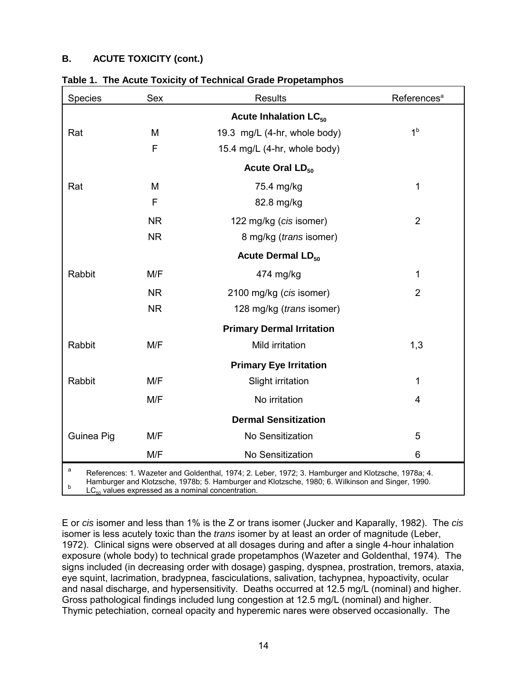# **B. ACUTE TOXICITY (cont.)**

| <b>Species</b>                                                                                                                                                                                                                                                                        | Sex       | <b>Results</b>                          | References <sup>a</sup> |  |  |
|---------------------------------------------------------------------------------------------------------------------------------------------------------------------------------------------------------------------------------------------------------------------------------------|-----------|-----------------------------------------|-------------------------|--|--|
|                                                                                                                                                                                                                                                                                       |           | <b>Acute Inhalation LC<sub>50</sub></b> |                         |  |  |
| Rat                                                                                                                                                                                                                                                                                   | M         | 19.3 mg/L (4-hr, whole body)            | 1 <sup>b</sup>          |  |  |
|                                                                                                                                                                                                                                                                                       | F         | 15.4 mg/L (4-hr, whole body)            |                         |  |  |
|                                                                                                                                                                                                                                                                                       |           | Acute Oral LD <sub>50</sub>             |                         |  |  |
| Rat                                                                                                                                                                                                                                                                                   | M         | 75.4 mg/kg                              | 1                       |  |  |
|                                                                                                                                                                                                                                                                                       | F         | 82.8 mg/kg                              |                         |  |  |
|                                                                                                                                                                                                                                                                                       | <b>NR</b> | 122 mg/kg (cis isomer)                  | $\overline{2}$          |  |  |
|                                                                                                                                                                                                                                                                                       | <b>NR</b> | 8 mg/kg (trans isomer)                  |                         |  |  |
|                                                                                                                                                                                                                                                                                       |           | <b>Acute Dermal LD<sub>50</sub></b>     |                         |  |  |
| Rabbit                                                                                                                                                                                                                                                                                | M/F       | 474 mg/kg                               | 1                       |  |  |
|                                                                                                                                                                                                                                                                                       | <b>NR</b> | 2100 mg/kg (cis isomer)                 | $\overline{2}$          |  |  |
|                                                                                                                                                                                                                                                                                       | <b>NR</b> | 128 mg/kg ( <i>trans</i> isomer)        |                         |  |  |
|                                                                                                                                                                                                                                                                                       |           | <b>Primary Dermal Irritation</b>        |                         |  |  |
| Rabbit                                                                                                                                                                                                                                                                                | M/F       | Mild irritation                         | 1,3                     |  |  |
|                                                                                                                                                                                                                                                                                       |           | <b>Primary Eye Irritation</b>           |                         |  |  |
| Rabbit                                                                                                                                                                                                                                                                                | M/F       | Slight irritation                       | 1                       |  |  |
|                                                                                                                                                                                                                                                                                       | M/F       | No irritation                           | 4                       |  |  |
|                                                                                                                                                                                                                                                                                       |           | <b>Dermal Sensitization</b>             |                         |  |  |
| Guinea Pig                                                                                                                                                                                                                                                                            | M/F       | No Sensitization                        | 5                       |  |  |
|                                                                                                                                                                                                                                                                                       | M/F       | No Sensitization                        | 6                       |  |  |
| $\mathsf{a}$<br>References: 1. Wazeter and Goldenthal, 1974; 2. Leber, 1972; 3. Hamburger and Klotzsche, 1978a; 4.<br>Hamburger and Klotzsche, 1978b; 5. Hamburger and Klotzsche, 1980; 6. Wilkinson and Singer, 1990.<br>b<br>$LC_{50}$ values expressed as a nominal concentration. |           |                                         |                         |  |  |

| Table 1. The Acute Toxicity of Technical Grade Propetamphos |
|-------------------------------------------------------------|
|-------------------------------------------------------------|

E or *cis* isomer and less than 1% is the Z or trans isomer (Jucker and Kaparally, 1982). The *cis*  isomer is less acutely toxic than the *trans* isomer by at least an order of magnitude (Leber, 1972). Clinical signs were observed at all dosages during and after a single 4-hour inhalation exposure (whole body) to technical grade propetamphos (Wazeter and Goldenthal, 1974). The

signs included (in decreasing order with dosage) gasping, dyspnea, prostration, tremors, ataxia, eye squint, lacrimation, bradypnea, fasciculations, salivation, tachypnea, hypoactivity, ocular and nasal discharge, and hypersensitivity. Deaths occurred at 12.5 mg/L (nominal) and higher. Gross pathological findings included lung congestion at 12.5 mg/L (nominal) and higher. Thymic petechiation, corneal opacity and hyperemic nares were observed occasionally. The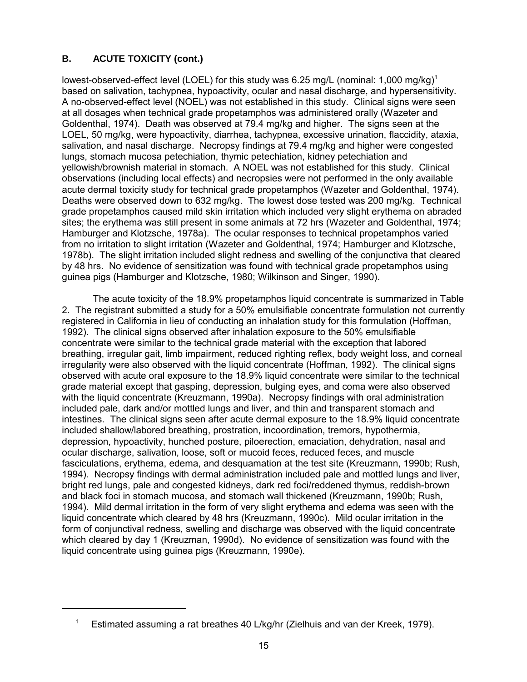# **B. ACUTE TOXICITY (cont.)**

lowest-observed-effect level (LOEL) for this study was 6.25 mg/L (nominal: 1,000 mg/kg)<sup>1</sup> based on salivation, tachypnea, hypoactivity, ocular and nasal discharge, and hypersensitivity. A no-observed-effect level (NOEL) was not established in this study. Clinical signs were seen at all dosages when technical grade propetamphos was administered orally (Wazeter and Goldenthal, 1974). Death was observed at 79.4 mg/kg and higher. The signs seen at the LOEL, 50 mg/kg, were hypoactivity, diarrhea, tachypnea, excessive urination, flaccidity, ataxia, salivation, and nasal discharge. Necropsy findings at 79.4 mg/kg and higher were congested lungs, stomach mucosa petechiation, thymic petechiation, kidney petechiation and yellowish/brownish material in stomach. A NOEL was not established for this study. Clinical observations (including local effects) and necropsies were not performed in the only available acute dermal toxicity study for technical grade propetamphos (Wazeter and Goldenthal, 1974). Deaths were observed down to 632 mg/kg. The lowest dose tested was 200 mg/kg. Technical grade propetamphos caused mild skin irritation which included very slight erythema on abraded sites; the erythema was still present in some animals at 72 hrs (Wazeter and Goldenthal, 1974; Hamburger and Klotzsche, 1978a). The ocular responses to technical propetamphos varied from no irritation to slight irritation (Wazeter and Goldenthal, 1974; Hamburger and Klotzsche, 1978b). The slight irritation included slight redness and swelling of the conjunctiva that cleared by 48 hrs. No evidence of sensitization was found with technical grade propetamphos using guinea pigs (Hamburger and Klotzsche, 1980; Wilkinson and Singer, 1990).

The acute toxicity of the 18.9% propetamphos liquid concentrate is summarized in Table 2. The registrant submitted a study for a 50% emulsifiable concentrate formulation not currently registered in California in lieu of conducting an inhalation study for this formulation (Hoffman, 1992). The clinical signs observed after inhalation exposure to the 50% emulsifiable concentrate were similar to the technical grade material with the exception that labored breathing, irregular gait, limb impairment, reduced righting reflex, body weight loss, and corneal irregularity were also observed with the liquid concentrate (Hoffman, 1992). The clinical signs observed with acute oral exposure to the 18.9% liquid concentrate were similar to the technical grade material except that gasping, depression, bulging eyes, and coma were also observed with the liquid concentrate (Kreuzmann, 1990a). Necropsy findings with oral administration included pale, dark and/or mottled lungs and liver, and thin and transparent stomach and intestines. The clinical signs seen after acute dermal exposure to the 18.9% liquid concentrate included shallow/labored breathing, prostration, incoordination, tremors, hypothermia, depression, hypoactivity, hunched posture, piloerection, emaciation, dehydration, nasal and ocular discharge, salivation, loose, soft or mucoid feces, reduced feces, and muscle fasciculations, erythema, edema, and desquamation at the test site (Kreuzmann, 1990b; Rush, 1994). Necropsy findings with dermal administration included pale and mottled lungs and liver, bright red lungs, pale and congested kidneys, dark red foci/reddened thymus, reddish-brown and black foci in stomach mucosa, and stomach wall thickened (Kreuzmann, 1990b; Rush, 1994). Mild dermal irritation in the form of very slight erythema and edema was seen with the liquid concentrate which cleared by 48 hrs (Kreuzmann, 1990c). Mild ocular irritation in the form of conjunctival redness, swelling and discharge was observed with the liquid concentrate which cleared by day 1 (Kreuzman, 1990d). No evidence of sensitization was found with the liquid concentrate using guinea pigs (Kreuzmann, 1990e).

<sup>&</sup>lt;sup>1</sup> Estimated assuming a rat breathes 40 L/kg/hr (Zielhuis and van der Kreek, 1979).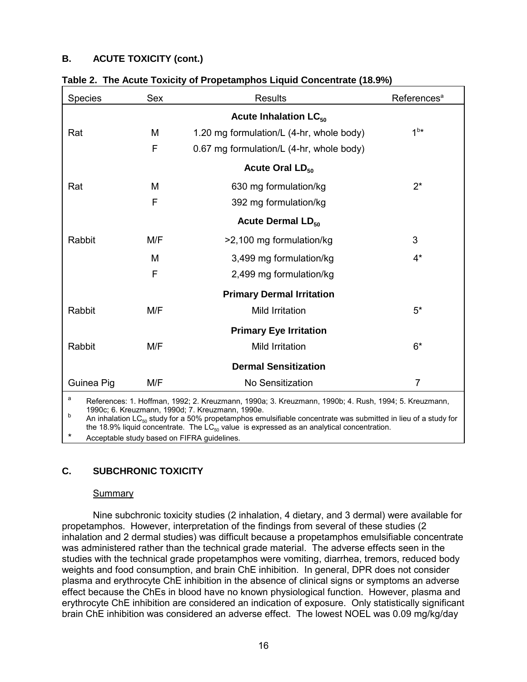# **B. ACUTE TOXICITY (cont.)**

| Species                                                                                                                                                                                                                                                                                  | Sex          | <b>Results</b>                           | References <sup>a</sup> |  |  |  |
|------------------------------------------------------------------------------------------------------------------------------------------------------------------------------------------------------------------------------------------------------------------------------------------|--------------|------------------------------------------|-------------------------|--|--|--|
|                                                                                                                                                                                                                                                                                          |              | <b>Acute Inhalation LC<sub>50</sub></b>  |                         |  |  |  |
| Rat                                                                                                                                                                                                                                                                                      | М            | 1.20 mg formulation/L (4-hr, whole body) | 1 <sup>bx</sup>         |  |  |  |
|                                                                                                                                                                                                                                                                                          | $\mathsf{F}$ | 0.67 mg formulation/L (4-hr, whole body) |                         |  |  |  |
|                                                                                                                                                                                                                                                                                          |              | Acute Oral LD <sub>50</sub>              |                         |  |  |  |
| Rat                                                                                                                                                                                                                                                                                      | M            | 630 mg formulation/kg                    | $2^*$                   |  |  |  |
| F<br>392 mg formulation/kg                                                                                                                                                                                                                                                               |              |                                          |                         |  |  |  |
|                                                                                                                                                                                                                                                                                          |              | <b>Acute Dermal LD<sub>50</sub></b>      |                         |  |  |  |
| Rabbit                                                                                                                                                                                                                                                                                   | M/F          | >2,100 mg formulation/kg                 | 3                       |  |  |  |
|                                                                                                                                                                                                                                                                                          | M            | 3,499 mg formulation/kg                  | $4^*$                   |  |  |  |
|                                                                                                                                                                                                                                                                                          | F            | 2,499 mg formulation/kg                  |                         |  |  |  |
|                                                                                                                                                                                                                                                                                          |              | <b>Primary Dermal Irritation</b>         |                         |  |  |  |
| Rabbit                                                                                                                                                                                                                                                                                   | M/F          | Mild Irritation                          | $5*$                    |  |  |  |
|                                                                                                                                                                                                                                                                                          |              | <b>Primary Eye Irritation</b>            |                         |  |  |  |
| M/F<br>Rabbit                                                                                                                                                                                                                                                                            |              | Mild Irritation                          | $6*$                    |  |  |  |
| <b>Dermal Sensitization</b>                                                                                                                                                                                                                                                              |              |                                          |                         |  |  |  |
| Guinea Pig                                                                                                                                                                                                                                                                               | M/F          | No Sensitization                         | $\overline{7}$          |  |  |  |
| a<br>References: 1. Hoffman, 1992; 2. Kreuzmann, 1990a; 3. Kreuzmann, 1990b; 4. Rush, 1994; 5. Kreuzmann,<br>1990c; 6. Kreuzmann, 1990d; 7. Kreuzmann, 1990e.<br>b<br>An inhalation $LC_{50}$ study for a 50% propetamphos emulsifiable concentrate was submitted in lieu of a study for |              |                                          |                         |  |  |  |

|  |  |  | Table 2. The Acute Toxicity of Propetamphos Liquid Concentrate (18.9%) |  |
|--|--|--|------------------------------------------------------------------------|--|
|  |  |  |                                                                        |  |

the 18.9% liquid concentrate. The  $LC_{50}$  value is expressed as an analytical concentration.

Acceptable study based on FIFRA guidelines.

# **C. SUBCHRONIC TOXICITY**

### **Summary**

Nine subchronic toxicity studies (2 inhalation, 4 dietary, and 3 dermal) were available for propetamphos. However, interpretation of the findings from several of these studies (2 inhalation and 2 dermal studies) was difficult because a propetamphos emulsifiable concentrate was administered rather than the technical grade material. The adverse effects seen in the studies with the technical grade propetamphos were vomiting, diarrhea, tremors, reduced body weights and food consumption, and brain ChE inhibition. In general, DPR does not consider plasma and erythrocyte ChE inhibition in the absence of clinical signs or symptoms an adverse effect because the ChEs in blood have no known physiological function. However, plasma and erythrocyte ChE inhibition are considered an indication of exposure. Only statistically significant brain ChE inhibition was considered an adverse effect. The lowest NOEL was 0.09 mg/kg/day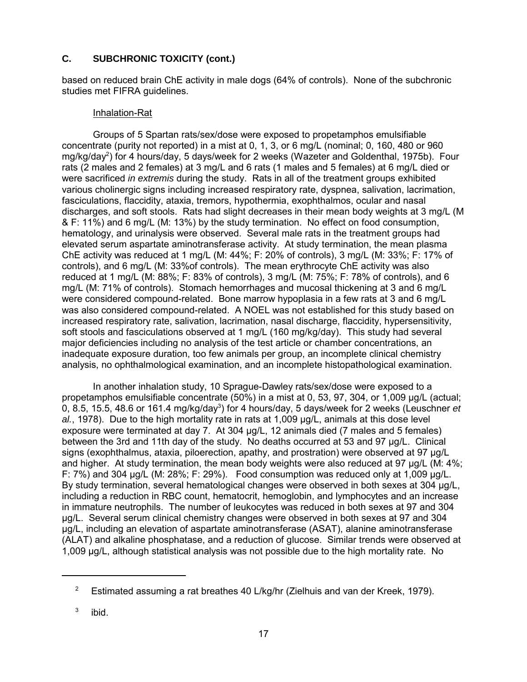based on reduced brain ChE activity in male dogs (64% of controls). None of the subchronic studies met FIFRA guidelines.

### Inhalation-Rat

Groups of 5 Spartan rats/sex/dose were exposed to propetamphos emulsifiable concentrate (purity not reported) in a mist at 0, 1, 3, or 6 mg/L (nominal; 0, 160, 480 or 960 mg/kg/day<sup>2</sup>) for 4 hours/day, 5 days/week for 2 weeks (Wazeter and Goldenthal, 1975b). Four rats (2 males and 2 females) at 3 mg/L and 6 rats (1 males and 5 females) at 6 mg/L died or were sacrificed *in extremis* during the study. Rats in all of the treatment groups exhibited various cholinergic signs including increased respiratory rate, dyspnea, salivation, lacrimation, fasciculations, flaccidity, ataxia, tremors, hypothermia, exophthalmos, ocular and nasal discharges, and soft stools. Rats had slight decreases in their mean body weights at 3 mg/L (M & F: 11%) and 6 mg/L (M: 13%) by the study termination. No effect on food consumption, hematology, and urinalysis were observed. Several male rats in the treatment groups had elevated serum aspartate aminotransferase activity. At study termination, the mean plasma ChE activity was reduced at 1 mg/L (M: 44%; F: 20% of controls), 3 mg/L (M: 33%; F: 17% of controls), and 6 mg/L (M: 33%of controls). The mean erythrocyte ChE activity was also reduced at 1 mg/L (M: 88%; F: 83% of controls), 3 mg/L (M: 75%; F: 78% of controls), and 6 mg/L (M: 71% of controls). Stomach hemorrhages and mucosal thickening at 3 and 6 mg/L were considered compound-related. Bone marrow hypoplasia in a few rats at 3 and 6 mg/L was also considered compound-related. A NOEL was not established for this study based on increased respiratory rate, salivation, lacrimation, nasal discharge, flaccidity, hypersensitivity, soft stools and fasciculations observed at 1 mg/L (160 mg/kg/day). This study had several major deficiencies including no analysis of the test article or chamber concentrations, an inadequate exposure duration, too few animals per group, an incomplete clinical chemistry analysis, no ophthalmological examination, and an incomplete histopathological examination.

In another inhalation study, 10 Sprague-Dawley rats/sex/dose were exposed to a propetamphos emulsifiable concentrate (50%) in a mist at 0, 53, 97, 304, or 1,009 µg/L (actual; 0, 8.5, 15.5, 48.6 or 161.4 mg/kg/day<sup>3</sup>) for 4 hours/day, 5 days/week for 2 weeks (Leuschner *et al.*, 1978). Due to the high mortality rate in rats at 1,009 µg/L, animals at this dose level exposure were terminated at day 7. At 304 µg/L, 12 animals died (7 males and 5 females) between the 3rd and 11th day of the study. No deaths occurred at 53 and 97 µg/L. Clinical signs (exophthalmus, ataxia, piloerection, apathy, and prostration) were observed at 97 µg/L and higher. At study termination, the mean body weights were also reduced at 97 µg/L (M: 4%; F: 7%) and 304 µg/L (M: 28%; F: 29%). Food consumption was reduced only at 1,009 µg/L. By study termination, several hematological changes were observed in both sexes at 304 µg/L, including a reduction in RBC count, hematocrit, hemoglobin, and lymphocytes and an increase in immature neutrophils. The number of leukocytes was reduced in both sexes at 97 and 304 µg/L. Several serum clinical chemistry changes were observed in both sexes at 97 and 304 µg/L, including an elevation of aspartate aminotransferase (ASAT), alanine aminotransferase (ALAT) and alkaline phosphatase, and a reduction of glucose. Similar trends were observed at 1,009 µg/L, although statistical analysis was not possible due to the high mortality rate. No

<sup>&</sup>lt;sup>2</sup> Estimated assuming a rat breathes 40 L/kg/hr (Zielhuis and van der Kreek, 1979).

 $3$  ibid.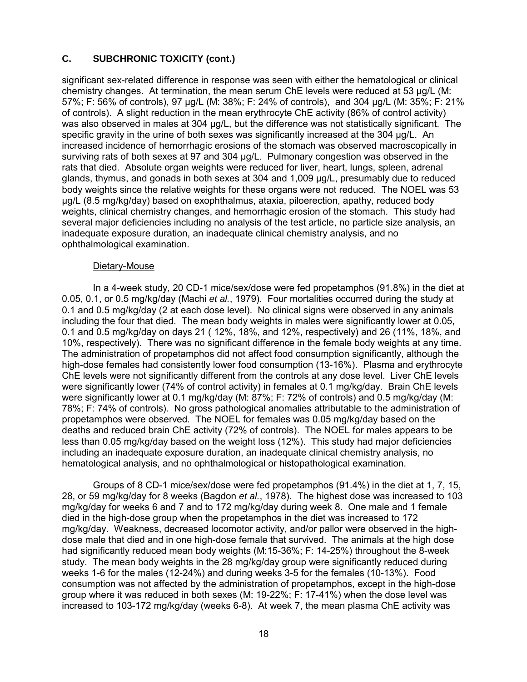significant sex-related difference in response was seen with either the hematological or clinical chemistry changes. At termination, the mean serum ChE levels were reduced at 53 ug/L (M: 57%; F: 56% of controls), 97 µg/L (M: 38%; F: 24% of controls), and 304 µg/L (M: 35%; F: 21% of controls). A slight reduction in the mean erythrocyte ChE activity (86% of control activity) was also observed in males at 304 µg/L, but the difference was not statistically significant. The specific gravity in the urine of both sexes was significantly increased at the 304 µg/L. An increased incidence of hemorrhagic erosions of the stomach was observed macroscopically in surviving rats of both sexes at 97 and 304 µg/L. Pulmonary congestion was observed in the rats that died. Absolute organ weights were reduced for liver, heart, lungs, spleen, adrenal glands, thymus, and gonads in both sexes at 304 and 1,009 µg/L, presumably due to reduced body weights since the relative weights for these organs were not reduced. The NOEL was 53 µg/L (8.5 mg/kg/day) based on exophthalmus, ataxia, piloerection, apathy, reduced body weights, clinical chemistry changes, and hemorrhagic erosion of the stomach. This study had several major deficiencies including no analysis of the test article, no particle size analysis, an inadequate exposure duration, an inadequate clinical chemistry analysis, and no ophthalmological examination.

### Dietary-Mouse

In a 4-week study, 20 CD-1 mice/sex/dose were fed propetamphos (91.8%) in the diet at 0.05, 0.1, or 0.5 mg/kg/day (Machi *et al.*, 1979). Four mortalities occurred during the study at 0.1 and 0.5 mg/kg/day (2 at each dose level). No clinical signs were observed in any animals including the four that died. The mean body weights in males were significantly lower at 0.05, 0.1 and 0.5 mg/kg/day on days 21 ( 12%, 18%, and 12%, respectively) and 26 (11%, 18%, and 10%, respectively). There was no significant difference in the female body weights at any time. The administration of propetamphos did not affect food consumption significantly, although the high-dose females had consistently lower food consumption (13-16%). Plasma and erythrocyte ChE levels were not significantly different from the controls at any dose level. Liver ChE levels were significantly lower (74% of control activity) in females at 0.1 mg/kg/day. Brain ChE levels were significantly lower at 0.1 mg/kg/day (M: 87%; F: 72% of controls) and 0.5 mg/kg/day (M: 78%; F: 74% of controls). No gross pathological anomalies attributable to the administration of propetamphos were observed. The NOEL for females was 0.05 mg/kg/day based on the deaths and reduced brain ChE activity (72% of controls). The NOEL for males appears to be less than 0.05 mg/kg/day based on the weight loss (12%). This study had major deficiencies including an inadequate exposure duration, an inadequate clinical chemistry analysis, no hematological analysis, and no ophthalmological or histopathological examination.

Groups of 8 CD-1 mice/sex/dose were fed propetamphos (91.4%) in the diet at 1, 7, 15, 28, or 59 mg/kg/day for 8 weeks (Bagdon *et al.*, 1978). The highest dose was increased to 103 mg/kg/day for weeks 6 and 7 and to 172 mg/kg/day during week 8. One male and 1 female died in the high-dose group when the propetamphos in the diet was increased to 172 mg/kg/day. Weakness, decreased locomotor activity, and/or pallor were observed in the highdose male that died and in one high-dose female that survived. The animals at the high dose had significantly reduced mean body weights (M:15-36%; F: 14-25%) throughout the 8-week study. The mean body weights in the 28 mg/kg/day group were significantly reduced during weeks 1-6 for the males (12-24%) and during weeks 3-5 for the females (10-13%). Food consumption was not affected by the administration of propetamphos, except in the high-dose group where it was reduced in both sexes (M: 19-22%; F: 17-41%) when the dose level was increased to 103-172 mg/kg/day (weeks 6-8). At week 7, the mean plasma ChE activity was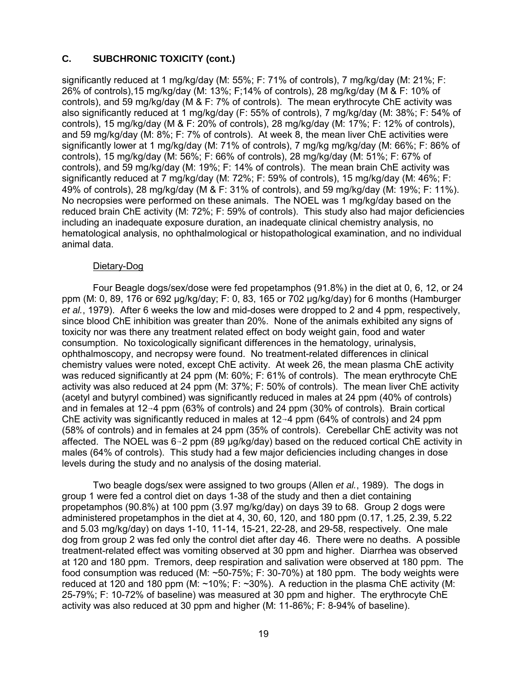significantly reduced at 1 mg/kg/day (M: 55%; F: 71% of controls), 7 mg/kg/day (M: 21%; F: 26% of controls),15 mg/kg/day (M: 13%; F;14% of controls), 28 mg/kg/day (M & F: 10% of controls), and 59 mg/kg/day (M & F: 7% of controls). The mean erythrocyte ChE activity was also significantly reduced at 1 mg/kg/day (F: 55% of controls), 7 mg/kg/day (M: 38%; F: 54% of controls), 15 mg/kg/day (M & F: 20% of controls), 28 mg/kg/day (M: 17%; F: 12% of controls), and 59 mg/kg/day (M: 8%; F: 7% of controls). At week 8, the mean liver ChE activities were significantly lower at 1 mg/kg/day (M: 71% of controls), 7 mg/kg mg/kg/day (M: 66%; F: 86% of controls), 15 mg/kg/day (M: 56%; F: 66% of controls), 28 mg/kg/day (M: 51%; F: 67% of controls), and 59 mg/kg/day (M: 19%; F: 14% of controls). The mean brain ChE activity was significantly reduced at 7 mg/kg/day (M: 72%; F: 59% of controls), 15 mg/kg/day (M: 46%; F: 49% of controls), 28 mg/kg/day (M & F: 31% of controls), and 59 mg/kg/day (M: 19%; F: 11%). No necropsies were performed on these animals. The NOEL was 1 mg/kg/day based on the reduced brain ChE activity (M: 72%; F: 59% of controls). This study also had major deficiencies including an inadequate exposure duration, an inadequate clinical chemistry analysis, no hematological analysis, no ophthalmological or histopathological examination, and no individual animal data.

#### Dietary-Dog

Four Beagle dogs/sex/dose were fed propetamphos (91.8%) in the diet at 0, 6, 12, or 24 ppm (M: 0, 89, 176 or 692 µg/kg/day; F: 0, 83, 165 or 702 µg/kg/day) for 6 months (Hamburger *et al.*, 1979). After 6 weeks the low and mid-doses were dropped to 2 and 4 ppm, respectively, since blood ChE inhibition was greater than 20%. None of the animals exhibited any signs of toxicity nor was there any treatment related effect on body weight gain, food and water consumption. No toxicologically significant differences in the hematology, urinalysis, ophthalmoscopy, and necropsy were found. No treatment-related differences in clinical chemistry values were noted, except ChE activity. At week 26, the mean plasma ChE activity was reduced significantly at 24 ppm (M: 60%; F: 61% of controls). The mean erythrocyte ChE activity was also reduced at 24 ppm (M: 37%; F: 50% of controls). The mean liver ChE activity (acetyl and butyryl combined) was significantly reduced in males at 24 ppm (40% of controls) and in females at  $12\neg 4$  ppm (63% of controls) and 24 ppm (30% of controls). Brain cortical ChE activity was significantly reduced in males at  $12\neg 4$  ppm (64% of controls) and 24 ppm (58% of controls) and in females at 24 ppm (35% of controls). Cerebellar ChE activity was not affected. The NOEL was  $6\rightarrow 2$  ppm (89 µg/kg/day) based on the reduced cortical ChE activity in males (64% of controls). This study had a few major deficiencies including changes in dose levels during the study and no analysis of the dosing material.

Two beagle dogs/sex were assigned to two groups (Allen *et al.*, 1989). The dogs in group 1 were fed a control diet on days 1-38 of the study and then a diet containing propetamphos (90.8%) at 100 ppm (3.97 mg/kg/day) on days 39 to 68. Group 2 dogs were administered propetamphos in the diet at 4, 30, 60, 120, and 180 ppm (0.17, 1.25, 2.39, 5.22 and 5.03 mg/kg/day) on days 1-10, 11-14, 15-21, 22-28, and 29-58, respectively. One male dog from group 2 was fed only the control diet after day 46. There were no deaths. A possible treatment-related effect was vomiting observed at 30 ppm and higher. Diarrhea was observed at 120 and 180 ppm. Tremors, deep respiration and salivation were observed at 180 ppm. The food consumption was reduced (M: ~50-75%; F: 30-70%) at 180 ppm. The body weights were reduced at 120 and 180 ppm (M:  $\sim$ 10%; F:  $\sim$ 30%). A reduction in the plasma ChE activity (M: 25-79%; F: 10-72% of baseline) was measured at 30 ppm and higher. The erythrocyte ChE activity was also reduced at 30 ppm and higher (M: 11-86%; F: 8-94% of baseline).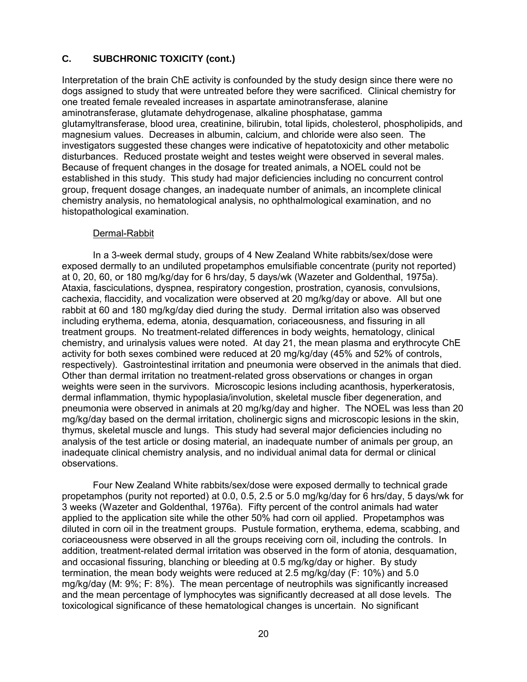Interpretation of the brain ChE activity is confounded by the study design since there were no dogs assigned to study that were untreated before they were sacrificed. Clinical chemistry for one treated female revealed increases in aspartate aminotransferase, alanine aminotransferase, glutamate dehydrogenase, alkaline phosphatase, gamma glutamyltransferase, blood urea, creatinine, bilirubin, total lipids, cholesterol, phospholipids, and magnesium values. Decreases in albumin, calcium, and chloride were also seen. The investigators suggested these changes were indicative of hepatotoxicity and other metabolic disturbances. Reduced prostate weight and testes weight were observed in several males. Because of frequent changes in the dosage for treated animals, a NOEL could not be established in this study. This study had major deficiencies including no concurrent control group, frequent dosage changes, an inadequate number of animals, an incomplete clinical chemistry analysis, no hematological analysis, no ophthalmological examination, and no histopathological examination.

### Dermal-Rabbit

In a 3-week dermal study, groups of 4 New Zealand White rabbits/sex/dose were exposed dermally to an undiluted propetamphos emulsifiable concentrate (purity not reported) at 0, 20, 60, or 180 mg/kg/day for 6 hrs/day, 5 days/wk (Wazeter and Goldenthal, 1975a). Ataxia, fasciculations, dyspnea, respiratory congestion, prostration, cyanosis, convulsions, cachexia, flaccidity, and vocalization were observed at 20 mg/kg/day or above. All but one rabbit at 60 and 180 mg/kg/day died during the study. Dermal irritation also was observed including erythema, edema, atonia, desquamation, coriaceousness, and fissuring in all treatment groups. No treatment-related differences in body weights, hematology, clinical chemistry, and urinalysis values were noted. At day 21, the mean plasma and erythrocyte ChE activity for both sexes combined were reduced at 20 mg/kg/day (45% and 52% of controls, respectively). Gastrointestinal irritation and pneumonia were observed in the animals that died. Other than dermal irritation no treatment-related gross observations or changes in organ weights were seen in the survivors. Microscopic lesions including acanthosis, hyperkeratosis, dermal inflammation, thymic hypoplasia/involution, skeletal muscle fiber degeneration, and pneumonia were observed in animals at 20 mg/kg/day and higher. The NOEL was less than 20 mg/kg/day based on the dermal irritation, cholinergic signs and microscopic lesions in the skin, thymus, skeletal muscle and lungs. This study had several major deficiencies including no analysis of the test article or dosing material, an inadequate number of animals per group, an inadequate clinical chemistry analysis, and no individual animal data for dermal or clinical observations.

Four New Zealand White rabbits/sex/dose were exposed dermally to technical grade propetamphos (purity not reported) at 0.0, 0.5, 2.5 or 5.0 mg/kg/day for 6 hrs/day, 5 days/wk for 3 weeks (Wazeter and Goldenthal, 1976a). Fifty percent of the control animals had water applied to the application site while the other 50% had corn oil applied. Propetamphos was diluted in corn oil in the treatment groups. Pustule formation, erythema, edema, scabbing, and coriaceousness were observed in all the groups receiving corn oil, including the controls. In addition, treatment-related dermal irritation was observed in the form of atonia, desquamation, and occasional fissuring, blanching or bleeding at 0.5 mg/kg/day or higher. By study termination, the mean body weights were reduced at 2.5 mg/kg/day (F: 10%) and 5.0 mg/kg/day (M: 9%; F: 8%). The mean percentage of neutrophils was significantly increased and the mean percentage of lymphocytes was significantly decreased at all dose levels. The toxicological significance of these hematological changes is uncertain. No significant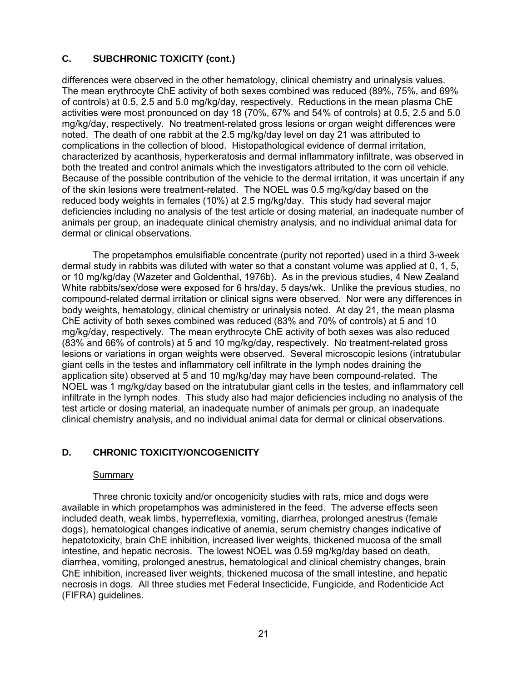<span id="page-25-0"></span>differences were observed in the other hematology, clinical chemistry and urinalysis values. The mean erythrocyte ChE activity of both sexes combined was reduced (89%, 75%, and 69% of controls) at 0.5, 2.5 and 5.0 mg/kg/day, respectively. Reductions in the mean plasma ChE activities were most pronounced on day 18 (70%, 67% and 54% of controls) at 0.5, 2.5 and 5.0 mg/kg/day, respectively. No treatment-related gross lesions or organ weight differences were noted. The death of one rabbit at the 2.5 mg/kg/day level on day 21 was attributed to complications in the collection of blood. Histopathological evidence of dermal irritation, characterized by acanthosis, hyperkeratosis and dermal inflammatory infiltrate, was observed in both the treated and control animals which the investigators attributed to the corn oil vehicle. Because of the possible contribution of the vehicle to the dermal irritation, it was uncertain if any of the skin lesions were treatment-related. The NOEL was 0.5 mg/kg/day based on the reduced body weights in females (10%) at 2.5 mg/kg/day. This study had several major deficiencies including no analysis of the test article or dosing material, an inadequate number of animals per group, an inadequate clinical chemistry analysis, and no individual animal data for dermal or clinical observations.

The propetamphos emulsifiable concentrate (purity not reported) used in a third 3-week dermal study in rabbits was diluted with water so that a constant volume was applied at 0, 1, 5, or 10 mg/kg/day (Wazeter and Goldenthal, 1976b). As in the previous studies, 4 New Zealand White rabbits/sex/dose were exposed for 6 hrs/day, 5 days/wk. Unlike the previous studies, no compound-related dermal irritation or clinical signs were observed. Nor were any differences in body weights, hematology, clinical chemistry or urinalysis noted. At day 21, the mean plasma ChE activity of both sexes combined was reduced (83% and 70% of controls) at 5 and 10 mg/kg/day, respectively. The mean erythrocyte ChE activity of both sexes was also reduced (83% and 66% of controls) at 5 and 10 mg/kg/day, respectively. No treatment-related gross lesions or variations in organ weights were observed. Several microscopic lesions (intratubular giant cells in the testes and inflammatory cell infiltrate in the lymph nodes draining the application site) observed at 5 and 10 mg/kg/day may have been compound-related. The NOEL was 1 mg/kg/day based on the intratubular giant cells in the testes, and inflammatory cell infiltrate in the lymph nodes. This study also had major deficiencies including no analysis of the test article or dosing material, an inadequate number of animals per group, an inadequate clinical chemistry analysis, and no individual animal data for dermal or clinical observations.

# **D. CHRONIC TOXICITY/ONCOGENICITY**

### Summary

Three chronic toxicity and/or oncogenicity studies with rats, mice and dogs were available in which propetamphos was administered in the feed. The adverse effects seen included death, weak limbs, hyperreflexia, vomiting, diarrhea, prolonged anestrus (female dogs), hematological changes indicative of anemia, serum chemistry changes indicative of hepatotoxicity, brain ChE inhibition, increased liver weights, thickened mucosa of the small intestine, and hepatic necrosis. The lowest NOEL was 0.59 mg/kg/day based on death, diarrhea, vomiting, prolonged anestrus, hematological and clinical chemistry changes, brain ChE inhibition, increased liver weights, thickened mucosa of the small intestine, and hepatic necrosis in dogs. All three studies met Federal Insecticide, Fungicide, and Rodenticide Act (FIFRA) guidelines.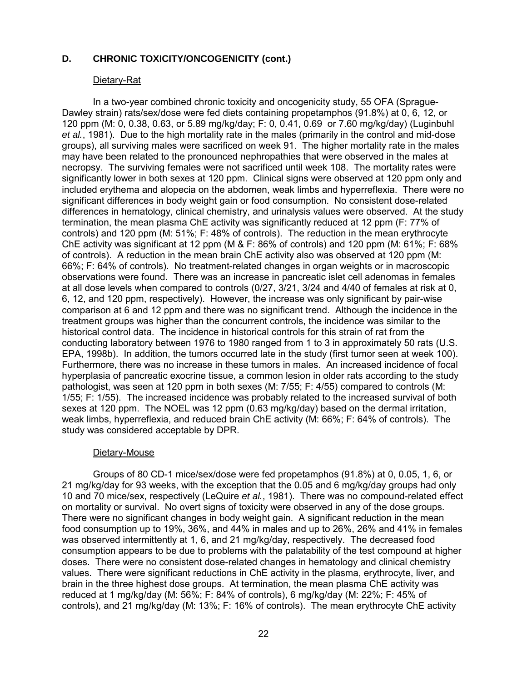#### Dietary-Rat

In a two-year combined chronic toxicity and oncogenicity study, 55 OFA (Sprague-Dawley strain) rats/sex/dose were fed diets containing propetamphos (91.8%) at 0, 6, 12, or 120 ppm (M: 0, 0.38, 0.63, or 5.89 mg/kg/day; F: 0, 0.41, 0.69 or 7.60 mg/kg/day) (Luginbuhl *et al.*, 1981). Due to the high mortality rate in the males (primarily in the control and mid-dose groups), all surviving males were sacrificed on week 91. The higher mortality rate in the males may have been related to the pronounced nephropathies that were observed in the males at necropsy. The surviving females were not sacrificed until week 108. The mortality rates were significantly lower in both sexes at 120 ppm. Clinical signs were observed at 120 ppm only and included erythema and alopecia on the abdomen, weak limbs and hyperreflexia. There were no significant differences in body weight gain or food consumption. No consistent dose-related differences in hematology, clinical chemistry, and urinalysis values were observed. At the study termination, the mean plasma ChE activity was significantly reduced at 12 ppm (F: 77% of controls) and 120 ppm (M: 51%; F: 48% of controls). The reduction in the mean erythrocyte ChE activity was significant at 12 ppm (M & F: 86% of controls) and 120 ppm (M: 61%; F: 68% of controls). A reduction in the mean brain ChE activity also was observed at 120 ppm (M: 66%; F: 64% of controls). No treatment-related changes in organ weights or in macroscopic observations were found. There was an increase in pancreatic islet cell adenomas in females at all dose levels when compared to controls (0/27, 3/21, 3/24 and 4/40 of females at risk at 0, 6, 12, and 120 ppm, respectively). However, the increase was only significant by pair-wise comparison at 6 and 12 ppm and there was no significant trend. Although the incidence in the treatment groups was higher than the concurrent controls, the incidence was similar to the historical control data. The incidence in historical controls for this strain of rat from the conducting laboratory between 1976 to 1980 ranged from 1 to 3 in approximately 50 rats (U.S. EPA, 1998b). In addition, the tumors occurred late in the study (first tumor seen at week 100). Furthermore, there was no increase in these tumors in males. An increased incidence of focal hyperplasia of pancreatic exocrine tissue, a common lesion in older rats according to the study pathologist, was seen at 120 ppm in both sexes (M: 7/55; F: 4/55) compared to controls (M: 1/55; F: 1/55). The increased incidence was probably related to the increased survival of both sexes at 120 ppm. The NOEL was 12 ppm (0.63 mg/kg/day) based on the dermal irritation, weak limbs, hyperreflexia, and reduced brain ChE activity (M: 66%; F: 64% of controls). The study was considered acceptable by DPR.

#### Dietary-Mouse

Groups of 80 CD-1 mice/sex/dose were fed propetamphos (91.8%) at 0, 0.05, 1, 6, or 21 mg/kg/day for 93 weeks, with the exception that the 0.05 and 6 mg/kg/day groups had only 10 and 70 mice/sex, respectively (LeQuire *et al.*, 1981). There was no compound-related effect on mortality or survival. No overt signs of toxicity were observed in any of the dose groups. There were no significant changes in body weight gain. A significant reduction in the mean food consumption up to 19%, 36%, and 44% in males and up to 26%, 26% and 41% in females was observed intermittently at 1, 6, and 21 mg/kg/day, respectively. The decreased food consumption appears to be due to problems with the palatability of the test compound at higher doses. There were no consistent dose-related changes in hematology and clinical chemistry values. There were significant reductions in ChE activity in the plasma, erythrocyte, liver, and brain in the three highest dose groups. At termination, the mean plasma ChE activity was reduced at 1 mg/kg/day (M: 56%; F: 84% of controls), 6 mg/kg/day (M: 22%; F: 45% of controls), and 21 mg/kg/day (M: 13%; F: 16% of controls). The mean erythrocyte ChE activity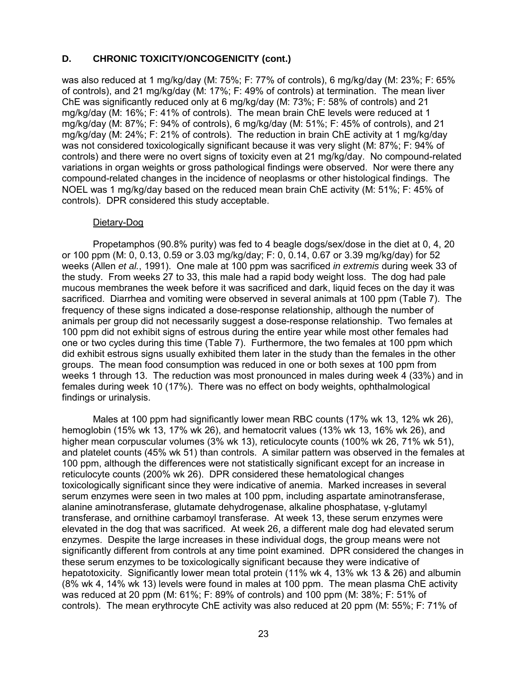was also reduced at 1 mg/kg/day (M: 75%; F: 77% of controls), 6 mg/kg/day (M: 23%; F: 65% of controls), and 21 mg/kg/day (M: 17%; F: 49% of controls) at termination. The mean liver ChE was significantly reduced only at 6 mg/kg/day (M: 73%; F: 58% of controls) and 21 mg/kg/day (M: 16%; F: 41% of controls). The mean brain ChE levels were reduced at 1 mg/kg/day (M: 87%; F: 94% of controls), 6 mg/kg/day (M: 51%; F: 45% of controls), and 21 mg/kg/day (M: 24%; F: 21% of controls). The reduction in brain ChE activity at 1 mg/kg/day was not considered toxicologically significant because it was very slight (M: 87%; F: 94% of controls) and there were no overt signs of toxicity even at 21 mg/kg/day. No compound-related variations in organ weights or gross pathological findings were observed. Nor were there any compound-related changes in the incidence of neoplasms or other histological findings. The NOEL was 1 mg/kg/day based on the reduced mean brain ChE activity (M: 51%; F: 45% of controls). DPR considered this study acceptable.

#### Dietary-Dog

findings or urinalysis. Propetamphos (90.8% purity) was fed to 4 beagle dogs/sex/dose in the diet at 0, 4, 20 or 100 ppm (M: 0, 0.13, 0.59 or 3.03 mg/kg/day; F: 0, 0.14, 0.67 or 3.39 mg/kg/day) for 52 weeks (Allen *et al.*, 1991). One male at 100 ppm was sacrificed *in extremis* during week 33 of the study. From weeks 27 to 33, this male had a rapid body weight loss. The dog had pale mucous membranes the week before it was sacrificed and dark, liquid feces on the day it was sacrificed. Diarrhea and vomiting were observed in several animals at 100 ppm (Table 7). The frequency of these signs indicated a dose-response relationship, although the number of animals per group did not necessarily suggest a dose-response relationship. Two females at 100 ppm did not exhibit signs of estrous during the entire year while most other females had one or two cycles during this time (Table 7). Furthermore, the two females at 100 ppm which did exhibit estrous signs usually exhibited them later in the study than the females in the other groups. The mean food consumption was reduced in one or both sexes at 100 ppm from weeks 1 through 13. The reduction was most pronounced in males during week 4 (33%) and in females during week 10 (17%). There was no effect on body weights, ophthalmological

Males at 100 ppm had significantly lower mean RBC counts (17% wk 13, 12% wk 26), hemoglobin (15% wk 13, 17% wk 26), and hematocrit values (13% wk 13, 16% wk 26), and higher mean corpuscular volumes (3% wk 13), reticulocyte counts (100% wk 26, 71% wk 51), and platelet counts (45% wk 51) than controls. A similar pattern was observed in the females at 100 ppm, although the differences were not statistically significant except for an increase in reticulocyte counts (200% wk 26). DPR considered these hematological changes toxicologically significant since they were indicative of anemia. Marked increases in several serum enzymes were seen in two males at 100 ppm, including aspartate aminotransferase, alanine aminotransferase, glutamate dehydrogenase, alkaline phosphatase, γ-glutamyl transferase, and ornithine carbamoyl transferase. At week 13, these serum enzymes were elevated in the dog that was sacrificed. At week 26, a different male dog had elevated serum enzymes. Despite the large increases in these individual dogs, the group means were not significantly different from controls at any time point examined. DPR considered the changes in these serum enzymes to be toxicologically significant because they were indicative of hepatotoxicity. Significantly lower mean total protein (11% wk 4, 13% wk 13 & 26) and albumin (8% wk 4, 14% wk 13) levels were found in males at 100 ppm. The mean plasma ChE activity was reduced at 20 ppm (M: 61%; F: 89% of controls) and 100 ppm (M: 38%; F: 51% of controls). The mean erythrocyte ChE activity was also reduced at 20 ppm (M: 55%; F: 71% of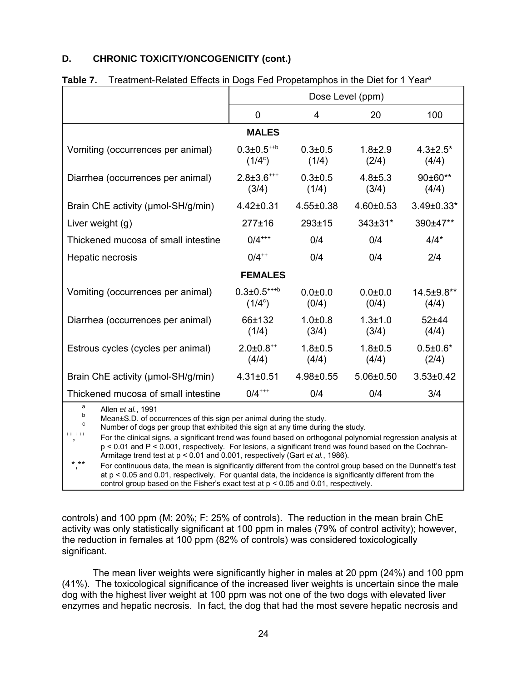| Table T.<br>Heathletit-Related Effects in Dogs Fed Propetamphos in the Diet for Trieal                                                                                                                                                                                                                                                                                                                                                                                                                                                                                                                                                                                                                                                                                                                                                    |                                              |                      |                        |                          |  |  |  |  |
|-------------------------------------------------------------------------------------------------------------------------------------------------------------------------------------------------------------------------------------------------------------------------------------------------------------------------------------------------------------------------------------------------------------------------------------------------------------------------------------------------------------------------------------------------------------------------------------------------------------------------------------------------------------------------------------------------------------------------------------------------------------------------------------------------------------------------------------------|----------------------------------------------|----------------------|------------------------|--------------------------|--|--|--|--|
|                                                                                                                                                                                                                                                                                                                                                                                                                                                                                                                                                                                                                                                                                                                                                                                                                                           | Dose Level (ppm)                             |                      |                        |                          |  |  |  |  |
|                                                                                                                                                                                                                                                                                                                                                                                                                                                                                                                                                                                                                                                                                                                                                                                                                                           | 0                                            | 4                    | 20                     | 100                      |  |  |  |  |
|                                                                                                                                                                                                                                                                                                                                                                                                                                                                                                                                                                                                                                                                                                                                                                                                                                           | <b>MALES</b>                                 |                      |                        |                          |  |  |  |  |
| Vomiting (occurrences per animal)                                                                                                                                                                                                                                                                                                                                                                                                                                                                                                                                                                                                                                                                                                                                                                                                         | $0.3 \pm 0.5^{+ + b}$<br>$(1/4^c)$           | $0.3 + 0.5$<br>(1/4) | $1.8 + 2.9$<br>(2/4)   | $4.3 \pm 2.5^*$<br>(4/4) |  |  |  |  |
| Diarrhea (occurrences per animal)                                                                                                                                                                                                                                                                                                                                                                                                                                                                                                                                                                                                                                                                                                                                                                                                         | $2.8 \pm 3.6$ <sup>***</sup><br>(3/4)        | $0.3 + 0.5$<br>(1/4) | $4.8 \pm 5.3$<br>(3/4) | 90±60**<br>(4/4)         |  |  |  |  |
| Brain ChE activity (µmol-SH/g/min)                                                                                                                                                                                                                                                                                                                                                                                                                                                                                                                                                                                                                                                                                                                                                                                                        | $4.42 \pm 0.31$                              | 4.55±0.38            | $4.60 \pm 0.53$        | 3.49±0.33*               |  |  |  |  |
| Liver weight (g)                                                                                                                                                                                                                                                                                                                                                                                                                                                                                                                                                                                                                                                                                                                                                                                                                          | $277 + 16$                                   | $293 + 15$           | $343 \pm 31$ *         | 390±47**                 |  |  |  |  |
| Thickened mucosa of small intestine                                                                                                                                                                                                                                                                                                                                                                                                                                                                                                                                                                                                                                                                                                                                                                                                       | $0/4$ <sup>+++</sup><br>0/4<br>0/4<br>$4/4*$ |                      |                        |                          |  |  |  |  |
| $0/4^{++}$<br>0/4<br>0/4<br>2/4<br>Hepatic necrosis                                                                                                                                                                                                                                                                                                                                                                                                                                                                                                                                                                                                                                                                                                                                                                                       |                                              |                      |                        |                          |  |  |  |  |
| <b>FEMALES</b>                                                                                                                                                                                                                                                                                                                                                                                                                                                                                                                                                                                                                                                                                                                                                                                                                            |                                              |                      |                        |                          |  |  |  |  |
| Vomiting (occurrences per animal)<br>$0.3 \pm 0.5^{***b}$<br>$0.0 + 0.0$<br>$0.0 + 0.0$<br>14.5±9.8**<br>(0/4)<br>$(1/4^c)$<br>(0/4)<br>(4/4)                                                                                                                                                                                                                                                                                                                                                                                                                                                                                                                                                                                                                                                                                             |                                              |                      |                        |                          |  |  |  |  |
| 66±132<br>$1.0 + 0.8$<br>$1.3 + 1.0$<br>Diarrhea (occurrences per animal)<br>$52 + 44$<br>(1/4)<br>(3/4)<br>(3/4)<br>(4/4)                                                                                                                                                                                                                                                                                                                                                                                                                                                                                                                                                                                                                                                                                                                |                                              |                      |                        |                          |  |  |  |  |
| $2.0 \pm 0.8^{+4}$<br>$1.8 + 0.5$<br>$0.5 \pm 0.6*$<br>Estrous cycles (cycles per animal)<br>$1.8 + 0.5$<br>(4/4)<br>(4/4)<br>(4/4)<br>(2/4)                                                                                                                                                                                                                                                                                                                                                                                                                                                                                                                                                                                                                                                                                              |                                              |                      |                        |                          |  |  |  |  |
| Brain ChE activity (µmol-SH/g/min)<br>$4.31 \pm 0.51$<br>4.98±0.55<br>$5.06 \pm 0.50$<br>$3.53 \pm 0.42$                                                                                                                                                                                                                                                                                                                                                                                                                                                                                                                                                                                                                                                                                                                                  |                                              |                      |                        |                          |  |  |  |  |
| Thickened mucosa of small intestine                                                                                                                                                                                                                                                                                                                                                                                                                                                                                                                                                                                                                                                                                                                                                                                                       | $0/4$ <sup>+++</sup>                         | 0/4                  | 0/4                    | 3/4                      |  |  |  |  |
| a<br>Allen et al., 1991<br>b<br>Mean±S.D. of occurrences of this sign per animal during the study.<br>C<br>Number of dogs per group that exhibited this sign at any time during the study.<br>++ +++<br>For the clinical signs, a significant trend was found based on orthogonal polynomial regression analysis at<br>p < 0.01 and P < 0.001, respectively. For lesions, a significant trend was found based on the Cochran-<br>Armitage trend test at p < 0.01 and 0.001, respectively (Gart et al., 1986).<br>* **<br>For continuous data, the mean is significantly different from the control group based on the Dunnett's test<br>at $p < 0.05$ and 0.01, respectively. For quantal data, the incidence is significantly different from the<br>control group based on the Fisher's exact test at $p < 0.05$ and 0.01, respectively. |                                              |                      |                        |                          |  |  |  |  |

**Table 7. Treatment Pelated Effects in Dogs Fed Propetamphos in the Diet for 1 Year<sup>a</sup>** 

significant. controls) and 100 ppm (M: 20%; F: 25% of controls). The reduction in the mean brain ChE activity was only statistically significant at 100 ppm in males (79% of control activity); however, the reduction in females at 100 ppm (82% of controls) was considered toxicologically

The mean liver weights were significantly higher in males at 20 ppm (24%) and 100 ppm (41%). The toxicological significance of the increased liver weights is uncertain since the male dog with the highest liver weight at 100 ppm was not one of the two dogs with elevated liver enzymes and hepatic necrosis. In fact, the dog that had the most severe hepatic necrosis and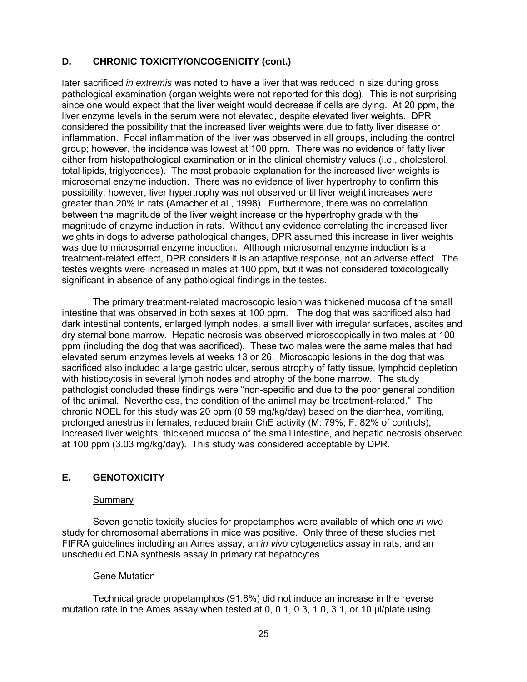<span id="page-29-0"></span>significant in absence of any pathological findings in the testes. later sacrificed *in extremis* was noted to have a liver that was reduced in size during gross pathological examination (organ weights were not reported for this dog). This is not surprising since one would expect that the liver weight would decrease if cells are dying. At 20 ppm, the liver enzyme levels in the serum were not elevated, despite elevated liver weights. DPR considered the possibility that the increased liver weights were due to fatty liver disease or inflammation. Focal inflammation of the liver was observed in all groups, including the control group; however, the incidence was lowest at 100 ppm. There was no evidence of fatty liver either from histopathological examination or in the clinical chemistry values (i.e., cholesterol, total lipids, triglycerides). The most probable explanation for the increased liver weights is microsomal enzyme induction. There was no evidence of liver hypertrophy to confirm this possibility; however, liver hypertrophy was not observed until liver weight increases were greater than 20% in rats (Amacher et al., 1998). Furthermore, there was no correlation between the magnitude of the liver weight increase or the hypertrophy grade with the magnitude of enzyme induction in rats. Without any evidence correlating the increased liver weights in dogs to adverse pathological changes, DPR assumed this increase in liver weights was due to microsomal enzyme induction. Although microsomal enzyme induction is a treatment-related effect, DPR considers it is an adaptive response, not an adverse effect. The testes weights were increased in males at 100 ppm, but it was not considered toxicologically

The primary treatment-related macroscopic lesion was thickened mucosa of the small intestine that was observed in both sexes at 100 ppm. The dog that was sacrificed also had dark intestinal contents, enlarged lymph nodes, a small liver with irregular surfaces, ascites and dry sternal bone marrow. Hepatic necrosis was observed microscopically in two males at 100 ppm (including the dog that was sacrificed). These two males were the same males that had elevated serum enzymes levels at weeks 13 or 26. Microscopic lesions in the dog that was sacrificed also included a large gastric ulcer, serous atrophy of fatty tissue, lymphoid depletion with histiocytosis in several lymph nodes and atrophy of the bone marrow. The study pathologist concluded these findings were "non-specific and due to the poor general condition of the animal. Nevertheless, the condition of the animal may be treatment-related." The chronic NOEL for this study was 20 ppm (0.59 mg/kg/day) based on the diarrhea, vomiting, prolonged anestrus in females, reduced brain ChE activity (M: 79%; F: 82% of controls), increased liver weights, thickened mucosa of the small intestine, and hepatic necrosis observed at 100 ppm (3.03 mg/kg/day). This study was considered acceptable by DPR.

# **E. GENOTOXICITY**

#### Summary

Seven genetic toxicity studies for propetamphos were available of which one *in vivo*  study for chromosomal aberrations in mice was positive. Only three of these studies met FIFRA guidelines including an Ames assay, an *in vivo* cytogenetics assay in rats, and an unscheduled DNA synthesis assay in primary rat hepatocytes.

### Gene Mutation

Technical grade propetamphos (91.8%) did not induce an increase in the reverse mutation rate in the Ames assay when tested at 0, 0.1, 0.3, 1.0, 3.1, or 10 µl/plate using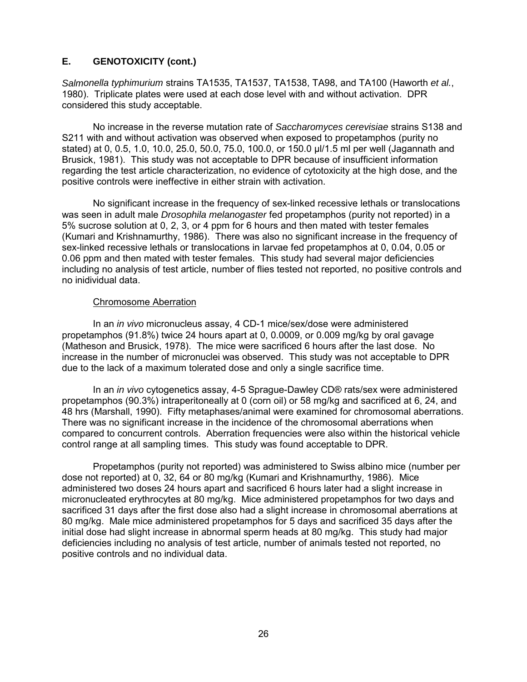### **E. GENOTOXICITY (cont.)**

*Salmonella typhimurium* strains TA1535, TA1537, TA1538, TA98, and TA100 (Haworth *et al.*, 1980). Triplicate plates were used at each dose level with and without activation. DPR considered this study acceptable.

No increase in the reverse mutation rate of *Saccharomyces cerevisiae* strains S138 and S211 with and without activation was observed when exposed to propetamphos (purity no stated) at 0, 0.5, 1.0, 10.0, 25.0, 50.0, 75.0, 100.0, or 150.0 µl/1.5 ml per well (Jagannath and Brusick, 1981). This study was not acceptable to DPR because of insufficient information regarding the test article characterization, no evidence of cytotoxicity at the high dose, and the positive controls were ineffective in either strain with activation.

No significant increase in the frequency of sex-linked recessive lethals or translocations was seen in adult male *Drosophila melanogaster* fed propetamphos (purity not reported) in a 5% sucrose solution at 0, 2, 3, or 4 ppm for 6 hours and then mated with tester females (Kumari and Krishnamurthy, 1986). There was also no significant increase in the frequency of sex-linked recessive lethals or translocations in larvae fed propetamphos at 0, 0.04, 0.05 or 0.06 ppm and then mated with tester females. This study had several major deficiencies including no analysis of test article, number of flies tested not reported, no positive controls and no inidividual data.

#### Chromosome Aberration

In an *in vivo* micronucleus assay, 4 CD-1 mice/sex/dose were administered propetamphos (91.8%) twice 24 hours apart at 0, 0.0009, or 0.009 mg/kg by oral gavage (Matheson and Brusick, 1978). The mice were sacrificed 6 hours after the last dose. No increase in the number of micronuclei was observed. This study was not acceptable to DPR due to the lack of a maximum tolerated dose and only a single sacrifice time.

In an *in vivo* cytogenetics assay, 4-5 Sprague-Dawley CD® rats/sex were administered propetamphos (90.3%) intraperitoneally at 0 (corn oil) or 58 mg/kg and sacrificed at 6, 24, and 48 hrs (Marshall, 1990). Fifty metaphases/animal were examined for chromosomal aberrations. There was no significant increase in the incidence of the chromosomal aberrations when compared to concurrent controls. Aberration frequencies were also within the historical vehicle control range at all sampling times. This study was found acceptable to DPR.

Propetamphos (purity not reported) was administered to Swiss albino mice (number per dose not reported) at 0, 32, 64 or 80 mg/kg (Kumari and Krishnamurthy, 1986). Mice administered two doses 24 hours apart and sacrificed 6 hours later had a slight increase in micronucleated erythrocytes at 80 mg/kg. Mice administered propetamphos for two days and sacrificed 31 days after the first dose also had a slight increase in chromosomal aberrations at 80 mg/kg. Male mice administered propetamphos for 5 days and sacrificed 35 days after the initial dose had slight increase in abnormal sperm heads at 80 mg/kg. This study had major deficiencies including no analysis of test article, number of animals tested not reported, no positive controls and no individual data.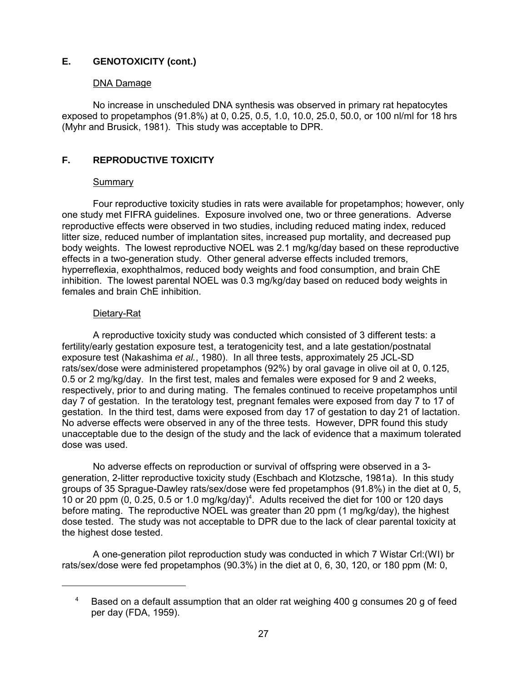# <span id="page-31-0"></span>**E. GENOTOXICITY (cont.)**

### DNA Damage

No increase in unscheduled DNA synthesis was observed in primary rat hepatocytes exposed to propetamphos (91.8%) at 0, 0.25, 0.5, 1.0, 10.0, 25.0, 50.0, or 100 nl/ml for 18 hrs (Myhr and Brusick, 1981). This study was acceptable to DPR.

### **F. REPRODUCTIVE TOXICITY**

### Summary

Four reproductive toxicity studies in rats were available for propetamphos; however, only one study met FIFRA guidelines. Exposure involved one, two or three generations. Adverse reproductive effects were observed in two studies, including reduced mating index, reduced litter size, reduced number of implantation sites, increased pup mortality, and decreased pup body weights. The lowest reproductive NOEL was 2.1 mg/kg/day based on these reproductive effects in a two-generation study. Other general adverse effects included tremors, hyperreflexia, exophthalmos, reduced body weights and food consumption, and brain ChE inhibition. The lowest parental NOEL was 0.3 mg/kg/day based on reduced body weights in females and brain ChE inhibition.

### Dietary-Rat

A reproductive toxicity study was conducted which consisted of 3 different tests: a fertility/early gestation exposure test, a teratogenicity test, and a late gestation/postnatal exposure test (Nakashima *et al.*, 1980). In all three tests, approximately 25 JCL-SD rats/sex/dose were administered propetamphos (92%) by oral gavage in olive oil at 0, 0.125, 0.5 or 2 mg/kg/day. In the first test, males and females were exposed for 9 and 2 weeks, respectively, prior to and during mating. The females continued to receive propetamphos until day 7 of gestation. In the teratology test, pregnant females were exposed from day 7 to 17 of gestation. In the third test, dams were exposed from day 17 of gestation to day 21 of lactation. No adverse effects were observed in any of the three tests. However, DPR found this study unacceptable due to the design of the study and the lack of evidence that a maximum tolerated dose was used.

No adverse effects on reproduction or survival of offspring were observed in a 3 generation, 2-litter reproductive toxicity study (Eschbach and Klotzsche, 1981a). In this study groups of 35 Sprague-Dawley rats/sex/dose were fed propetamphos (91.8%) in the diet at 0, 5, 10 or 20 ppm  $(0, 0.25, 0.5$  or 1.0 mg/kg/day)<sup>4</sup>. Adults received the diet for 100 or 120 days before mating. The reproductive NOEL was greater than 20 ppm (1 mg/kg/day), the highest dose tested. The study was not acceptable to DPR due to the lack of clear parental toxicity at the highest dose tested.

A one-generation pilot reproduction study was conducted in which 7 Wistar Crl:(WI) br rats/sex/dose were fed propetamphos (90.3%) in the diet at 0, 6, 30, 120, or 180 ppm (M: 0,

Based on a default assumption that an older rat weighing 400 g consumes 20 g of feed per day (FDA, 1959). 4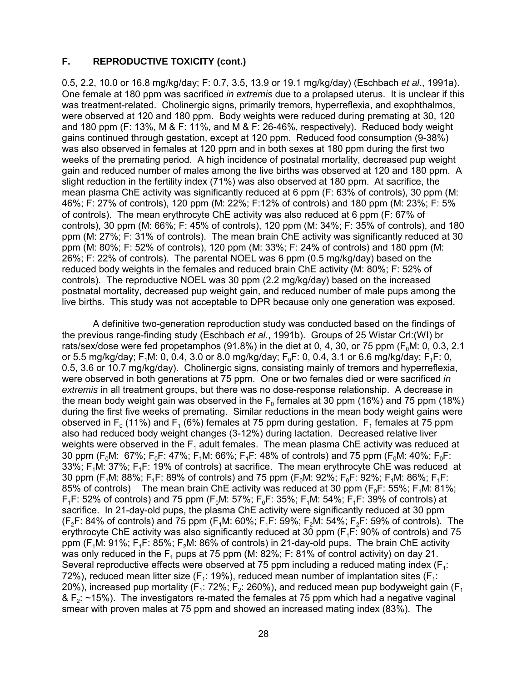### **F. REPRODUCTIVE TOXICITY (cont.)**

0.5, 2.2, 10.0 or 16.8 mg/kg/day; F: 0.7, 3.5, 13.9 or 19.1 mg/kg/day) (Eschbach *et al.*, 1991a). One female at 180 ppm was sacrificed *in extremis* due to a prolapsed uterus. It is unclear if this was treatment-related. Cholinergic signs, primarily tremors, hyperreflexia, and exophthalmos, were observed at 120 and 180 ppm. Body weights were reduced during premating at 30, 120 and 180 ppm (F: 13%, M & F: 11%, and M & F: 26-46%, respectively). Reduced body weight gains continued through gestation, except at 120 ppm. Reduced food consumption (9-38%) was also observed in females at 120 ppm and in both sexes at 180 ppm during the first two weeks of the premating period. A high incidence of postnatal mortality, decreased pup weight gain and reduced number of males among the live births was observed at 120 and 180 ppm. A slight reduction in the fertility index (71%) was also observed at 180 ppm. At sacrifice, the mean plasma ChE activity was significantly reduced at 6 ppm (F: 63% of controls), 30 ppm (M: 46%; F: 27% of controls), 120 ppm (M: 22%; F:12% of controls) and 180 ppm (M: 23%; F: 5% of controls). The mean erythrocyte ChE activity was also reduced at 6 ppm (F: 67% of controls), 30 ppm (M: 66%; F: 45% of controls), 120 ppm (M: 34%; F: 35% of controls), and 180 ppm (M: 27%; F: 31% of controls). The mean brain ChE activity was significantly reduced at 30 ppm (M: 80%; F: 52% of controls), 120 ppm (M: 33%; F: 24% of controls) and 180 ppm (M: 26%; F: 22% of controls). The parental NOEL was 6 ppm (0.5 mg/kg/day) based on the reduced body weights in the females and reduced brain ChE activity (M: 80%; F: 52% of controls). The reproductive NOEL was 30 ppm (2.2 mg/kg/day) based on the increased postnatal mortality, decreased pup weight gain, and reduced number of male pups among the live births. This study was not acceptable to DPR because only one generation was exposed.

A definitive two-generation reproduction study was conducted based on the findings of the previous range-finding study (Eschbach *et al.*, 1991b). Groups of 25 Wistar Crl:(WI) br rats/sex/dose were fed propetamphos (91.8%) in the diet at 0, 4, 30, or 75 ppm ( $F_0M$ : 0, 0.3, 2.1 or 5.5 mg/kg/day; F<sub>1</sub>M: 0, 0.4, 3.0 or 8.0 mg/kg/day; F<sub>0</sub>F: 0, 0.4, 3.1 or 6.6 mg/kg/day; F<sub>1</sub>F: 0, 0.5, 3.6 or 10.7 mg/kg/day). Cholinergic signs, consisting mainly of tremors and hyperreflexia, were observed in both generations at 75 ppm. One or two females died or were sacrificed *in extremis* in all treatment groups, but there was no dose-response relationship. A decrease in the mean body weight gain was observed in the  $F_0$  females at 30 ppm (16%) and 75 ppm (18%) during the first five weeks of premating. Similar reductions in the mean body weight gains were observed in  $F_0$  (11%) and  $F_1$  (6%) females at 75 ppm during gestation.  $F_1$  females at 75 ppm also had reduced body weight changes (3-12%) during lactation. Decreased relative liver weights were observed in the  $F_1$  adult females. The mean plasma ChE activity was reduced at 30 ppm ( $F_0M$ : 67%;  $F_0F$ : 47%;  $F_1M$ : 66%;  $F_1F$ : 48% of controls) and 75 ppm ( $F_0M$ : 40%;  $F_0F$ : 33%;  $F_1M: 37\%$ ;  $F_1F: 19\%$  of controls) at sacrifice. The mean erythrocyte ChE was reduced at 30 ppm (F<sub>1</sub>M: 88%; F<sub>1</sub>F: 89% of controls) and 75 ppm (F<sub>0</sub>M: 92%; F<sub>0</sub>F: 92%; F<sub>1</sub>M: 86%; F<sub>1</sub>F: 85% of controls) The mean brain ChE activity was reduced at 30 ppm  $(F_0F: 55\%; F_1M: 81\%;$  $F_1F: 52\%$  of controls) and 75 ppm ( $F_0M: 57\%$ ;  $F_0F: 35\%$ ;  $F_1M: 54\%$ ;  $F_1F: 39\%$  of controls) at sacrifice. In 21-day-old pups, the plasma ChE activity were significantly reduced at 30 ppm (F<sub>2</sub>F: 84% of controls) and 75 ppm (F<sub>1</sub>M: 60%; F<sub>1</sub>F: 59%; F<sub>2</sub>M: 54%; F<sub>2</sub>F: 59% of controls). The erythrocyte ChE activity was also significantly reduced at 30 ppm  $(F_1F: 90\%$  of controls) and 75 ppm (F1M: 91%; F1F: 85%; F2M: 86% of controls) in 21-day-old pups. The brain ChE activity was only reduced in the  $F_1$  pups at 75 ppm (M: 82%; F: 81% of control activity) on day 21. Several reproductive effects were observed at 75 ppm including a reduced mating index ( $F_1$ : 72%), reduced mean litter size ( $F_1$ : 19%), reduced mean number of implantation sites ( $F_1$ : 20%), increased pup mortality ( $F_1$ : 72%;  $F_2$ : 260%), and reduced mean pup bodyweight gain ( $F_1$ &  $F_2$ : ~15%). The investigators re-mated the females at 75 ppm which had a negative vaginal smear with proven males at 75 ppm and showed an increased mating index (83%). The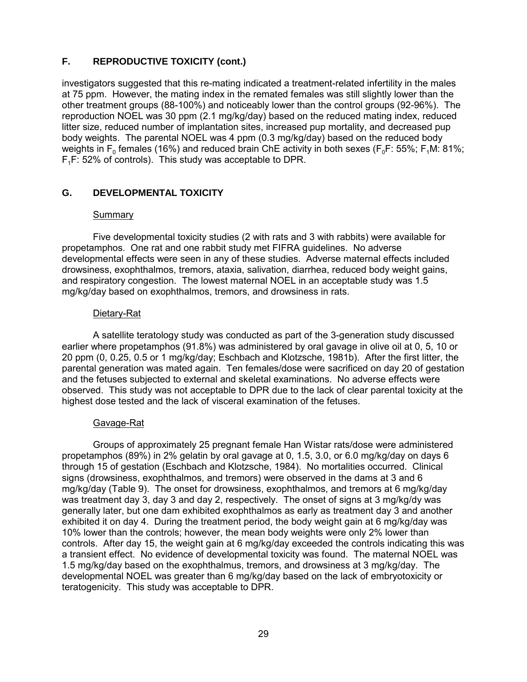# <span id="page-33-0"></span>**F. REPRODUCTIVE TOXICITY (cont.)**

investigators suggested that this re-mating indicated a treatment-related infertility in the males at 75 ppm. However, the mating index in the remated females was still slightly lower than the other treatment groups (88-100%) and noticeably lower than the control groups (92-96%). The reproduction NOEL was 30 ppm (2.1 mg/kg/day) based on the reduced mating index, reduced litter size, reduced number of implantation sites, increased pup mortality, and decreased pup body weights. The parental NOEL was 4 ppm (0.3 mg/kg/day) based on the reduced body weights in  $F_0$  females (16%) and reduced brain ChE activity in both sexes ( $F_0F: 55\%$ ;  $F_1M: 81\%$ ;  $F_1F: 52\%$  of controls). This study was acceptable to DPR.

# **G. DEVELOPMENTAL TOXICITY**

### Summary

Five developmental toxicity studies (2 with rats and 3 with rabbits) were available for propetamphos. One rat and one rabbit study met FIFRA guidelines. No adverse developmental effects were seen in any of these studies. Adverse maternal effects included drowsiness, exophthalmos, tremors, ataxia, salivation, diarrhea, reduced body weight gains, and respiratory congestion. The lowest maternal NOEL in an acceptable study was 1.5 mg/kg/day based on exophthalmos, tremors, and drowsiness in rats.

### Dietary-Rat

A satellite teratology study was conducted as part of the 3-generation study discussed earlier where propetamphos (91.8%) was administered by oral gavage in olive oil at 0, 5, 10 or 20 ppm (0, 0.25, 0.5 or 1 mg/kg/day; Eschbach and Klotzsche, 1981b). After the first litter, the parental generation was mated again. Ten females/dose were sacrificed on day 20 of gestation and the fetuses subjected to external and skeletal examinations. No adverse effects were observed. This study was not acceptable to DPR due to the lack of clear parental toxicity at the highest dose tested and the lack of visceral examination of the fetuses.

# Gavage-Rat

Groups of approximately 25 pregnant female Han Wistar rats/dose were administered propetamphos (89%) in 2% gelatin by oral gavage at 0, 1.5, 3.0, or 6.0 mg/kg/day on days 6 through 15 of gestation (Eschbach and Klotzsche, 1984). No mortalities occurred. Clinical signs (drowsiness, exophthalmos, and tremors) were observed in the dams at 3 and 6 mg/kg/day (Table 9). The onset for drowsiness, exophthalmos, and tremors at 6 mg/kg/day was treatment day 3, day 3 and day 2, respectively. The onset of signs at 3 mg/kg/dy was generally later, but one dam exhibited exophthalmos as early as treatment day 3 and another exhibited it on day 4. During the treatment period, the body weight gain at 6 mg/kg/day was 10% lower than the controls; however, the mean body weights were only 2% lower than controls. After day 15, the weight gain at 6 mg/kg/day exceeded the controls indicating this was a transient effect. No evidence of developmental toxicity was found. The maternal NOEL was 1.5 mg/kg/day based on the exophthalmus, tremors, and drowsiness at 3 mg/kg/day. The developmental NOEL was greater than 6 mg/kg/day based on the lack of embryotoxicity or teratogenicity. This study was acceptable to DPR.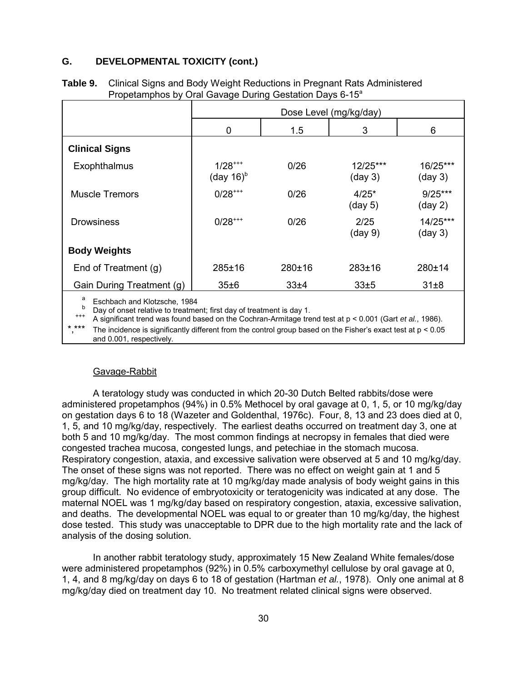#### **G. DEVELOPMENTAL TOXICITY (cont.)**

|                           | Dose Level (mg/kg/day)                          |        |                               |                                |  |
|---------------------------|-------------------------------------------------|--------|-------------------------------|--------------------------------|--|
|                           | 0                                               | 1.5    | 3                             | 6                              |  |
| <b>Clinical Signs</b>     |                                                 |        |                               |                                |  |
| Exophthalmus              | $1/28$ <sup>***</sup><br>(day $16$ <sup>b</sup> | 0/26   | 12/25***<br>$(\text{day } 3)$ | 16/25***<br>(day 3)            |  |
| <b>Muscle Tremors</b>     | $0/28$ <sup>***</sup>                           | 0/26   | $4/25*$<br>(day 5)            | $9/25***$<br>$(\text{day } 2)$ |  |
| <b>Drowsiness</b>         | $0/28$ <sup>***</sup>                           | 0/26   | 2/25<br>$(\text{day } 9)$     | 14/25***<br>$(\text{day } 3)$  |  |
| <b>Body Weights</b>       |                                                 |        |                               |                                |  |
| End of Treatment (g)      | 285±16                                          | 280±16 | $283 + 16$                    | 280±14                         |  |
| Gain During Treatment (g) | 35±6                                            | 33±4   | 33±5                          | $31\pm8$                       |  |

**Table 9.** Clinical Signs and Body Weight Reductions in Pregnant Rats Administered Propetamphos by Oral Gavage During Gestation Days 6-15<sup>a</sup>

Eschbach and Klotzsche, 1984<br>Day of onset relative to treatment; first day of treatment is day 1.<br>A significant trend was found based on the Cochran-Armitage trend test at p < 0.001 (Gart *et al.*, 1986).

The incidence is significantly different from the control group based on the Fisher's exact test at  $p < 0.05$ and 0.001, respectively.

#### Gavage-Rabbit

A teratology study was conducted in which 20-30 Dutch Belted rabbits/dose were administered propetamphos (94%) in 0.5% Methocel by oral gavage at 0, 1, 5, or 10 mg/kg/day on gestation days 6 to 18 (Wazeter and Goldenthal, 1976c). Four, 8, 13 and 23 does died at 0, 1, 5, and 10 mg/kg/day, respectively. The earliest deaths occurred on treatment day 3, one at both 5 and 10 mg/kg/day. The most common findings at necropsy in females that died were congested trachea mucosa, congested lungs, and petechiae in the stomach mucosa. Respiratory congestion, ataxia, and excessive salivation were observed at 5 and 10 mg/kg/day. The onset of these signs was not reported. There was no effect on weight gain at 1 and 5 mg/kg/day. The high mortality rate at 10 mg/kg/day made analysis of body weight gains in this group difficult. No evidence of embryotoxicity or teratogenicity was indicated at any dose. The maternal NOEL was 1 mg/kg/day based on respiratory congestion, ataxia, excessive salivation, and deaths. The developmental NOEL was equal to or greater than 10 mg/kg/day, the highest dose tested. This study was unacceptable to DPR due to the high mortality rate and the lack of analysis of the dosing solution.

In another rabbit teratology study, approximately 15 New Zealand White females/dose were administered propetamphos (92%) in 0.5% carboxymethyl cellulose by oral gavage at 0, 1, 4, and 8 mg/kg/day on days 6 to 18 of gestation (Hartman *et al.*, 1978). Only one animal at 8 mg/kg/day died on treatment day 10. No treatment related clinical signs were observed.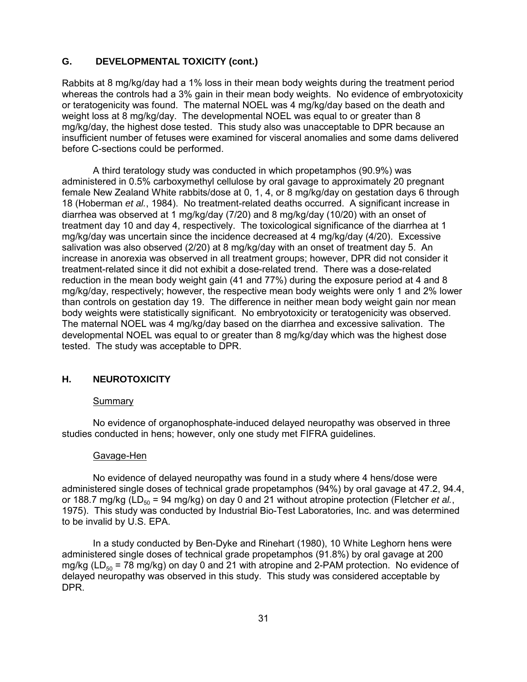### <span id="page-35-0"></span>**G. DEVELOPMENTAL TOXICITY (cont.)**

Rabbits at 8 mg/kg/day had a 1% loss in their mean body weights during the treatment period whereas the controls had a 3% gain in their mean body weights. No evidence of embryotoxicity or teratogenicity was found. The maternal NOEL was 4 mg/kg/day based on the death and weight loss at 8 mg/kg/day. The developmental NOEL was equal to or greater than 8 mg/kg/day, the highest dose tested. This study also was unacceptable to DPR because an insufficient number of fetuses were examined for visceral anomalies and some dams delivered before C-sections could be performed.

A third teratology study was conducted in which propetamphos (90.9%) was administered in 0.5% carboxymethyl cellulose by oral gavage to approximately 20 pregnant female New Zealand White rabbits/dose at 0, 1, 4, or 8 mg/kg/day on gestation days 6 through 18 (Hoberman *et al.*, 1984). No treatment-related deaths occurred. A significant increase in diarrhea was observed at 1 mg/kg/day (7/20) and 8 mg/kg/day (10/20) with an onset of treatment day 10 and day 4, respectively. The toxicological significance of the diarrhea at 1 mg/kg/day was uncertain since the incidence decreased at 4 mg/kg/day (4/20). Excessive salivation was also observed (2/20) at 8 mg/kg/day with an onset of treatment day 5. An increase in anorexia was observed in all treatment groups; however, DPR did not consider it treatment-related since it did not exhibit a dose-related trend. There was a dose-related reduction in the mean body weight gain (41 and 77%) during the exposure period at 4 and 8 mg/kg/day, respectively; however, the respective mean body weights were only 1 and 2% lower than controls on gestation day 19. The difference in neither mean body weight gain nor mean body weights were statistically significant. No embryotoxicity or teratogenicity was observed. The maternal NOEL was 4 mg/kg/day based on the diarrhea and excessive salivation. The developmental NOEL was equal to or greater than 8 mg/kg/day which was the highest dose tested. The study was acceptable to DPR.

### **H. NEUROTOXICITY**

#### **Summary**

No evidence of organophosphate-induced delayed neuropathy was observed in three studies conducted in hens; however, only one study met FIFRA guidelines.

#### Gavage-Hen

No evidence of delayed neuropathy was found in a study where 4 hens/dose were administered single doses of technical grade propetamphos (94%) by oral gavage at 47.2, 94.4, or 188.7 mg/kg (LD<sub>50</sub> = 94 mg/kg) on day 0 and 21 without atropine protection (Fletcher *et al.*, 1975). This study was conducted by Industrial Bio-Test Laboratories, Inc. and was determined to be invalid by U.S. EPA.

In a study conducted by Ben-Dyke and Rinehart (1980), 10 White Leghorn hens were administered single doses of technical grade propetamphos (91.8%) by oral gavage at 200 mg/kg ( $LD_{50}$  = 78 mg/kg) on day 0 and 21 with atropine and 2-PAM protection. No evidence of delayed neuropathy was observed in this study. This study was considered acceptable by DPR.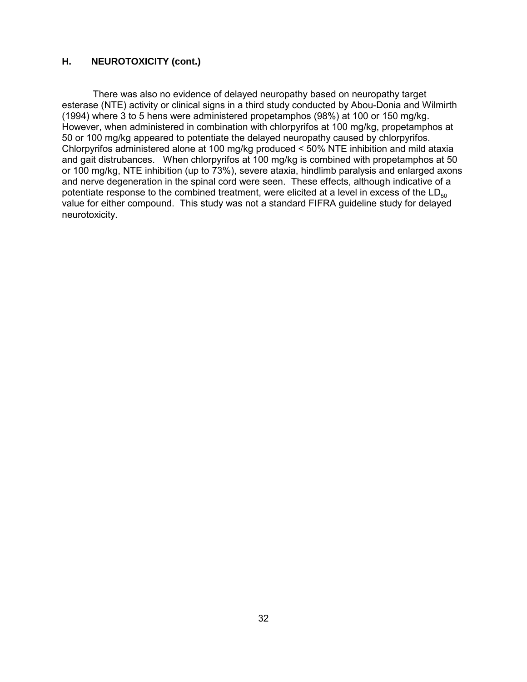#### **H. NEUROTOXICITY (cont.)**

There was also no evidence of delayed neuropathy based on neuropathy target esterase (NTE) activity or clinical signs in a third study conducted by Abou-Donia and Wilmirth (1994) where 3 to 5 hens were administered propetamphos (98%) at 100 or 150 mg/kg. However, when administered in combination with chlorpyrifos at 100 mg/kg, propetamphos at 50 or 100 mg/kg appeared to potentiate the delayed neuropathy caused by chlorpyrifos. Chlorpyrifos administered alone at 100 mg/kg produced < 50% NTE inhibition and mild ataxia and gait distrubances. When chlorpyrifos at 100 mg/kg is combined with propetamphos at 50 or 100 mg/kg, NTE inhibition (up to 73%), severe ataxia, hindlimb paralysis and enlarged axons and nerve degeneration in the spinal cord were seen. These effects, although indicative of a potentiate response to the combined treatment, were elicited at a level in excess of the  $LD_{50}$ value for either compound. This study was not a standard FIFRA guideline study for delayed neurotoxicity.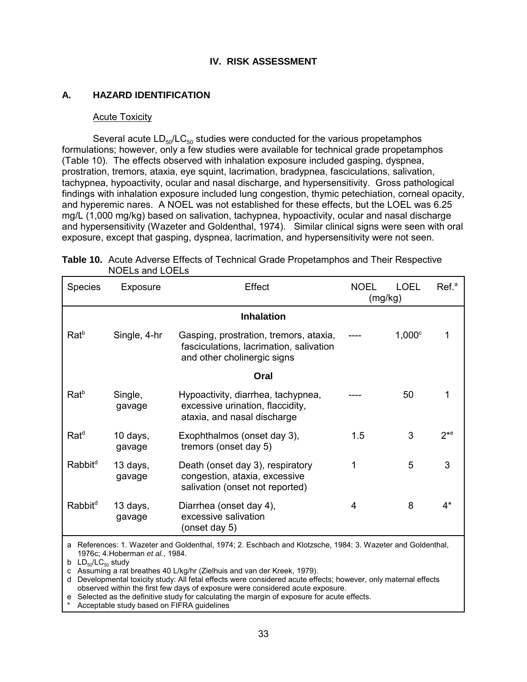#### **IV. RISK ASSESSMENT**

#### **A. HAZARD IDENTIFICATION**

#### Acute Toxicity

 exposure, except that gasping, dyspnea, lacrimation, and hypersensitivity were not seen. Several acute  $LD_{50}/LC_{50}$  studies were conducted for the various propetamphos formulations; however, only a few studies were available for technical grade propetamphos (Table 10). The effects observed with inhalation exposure included gasping, dyspnea, prostration, tremors, ataxia, eye squint, lacrimation, bradypnea, fasciculations, salivation, tachypnea, hypoactivity, ocular and nasal discharge, and hypersensitivity. Gross pathological findings with inhalation exposure included lung congestion, thymic petechiation, corneal opacity, and hyperemic nares. A NOEL was not established for these effects, but the LOEL was 6.25 mg/L (1,000 mg/kg) based on salivation, tachypnea, hypoactivity, ocular and nasal discharge and hypersensitivity (Wazeter and Goldenthal, 1974). Similar clinical signs were seen with oral

| <b>Species</b>      | Exposure           | <b>Effect</b>                                                                                                    | <b>NOEL</b> | <b>LOEL</b><br>(mg/kg) | Ref. <sup>a</sup> |
|---------------------|--------------------|------------------------------------------------------------------------------------------------------------------|-------------|------------------------|-------------------|
|                     |                    | <b>Inhalation</b>                                                                                                |             |                        |                   |
| $Rat^b$             | Single, 4-hr       | Gasping, prostration, tremors, ataxia,<br>fasciculations, lacrimation, salivation<br>and other cholinergic signs |             | $1,000^\circ$          |                   |
|                     |                    | Oral                                                                                                             |             |                        |                   |
| $Rat^b$             | Single,<br>gavage  | Hypoactivity, diarrhea, tachypnea,<br>excessive urination, flaccidity,<br>ataxia, and nasal discharge            |             | 50                     |                   |
| $Rat^d$             | 10 days,<br>gavage | Exophthalmos (onset day 3),<br>tremors (onset day 5)                                                             | 1.5         | 3                      | $2^{*e}$          |
| Rabbit <sup>d</sup> | 13 days,<br>gavage | Death (onset day 3), respiratory<br>congestion, ataxia, excessive<br>salivation (onset not reported)             | 1           | 5                      | 3                 |
| Rabbit <sup>d</sup> | 13 days,<br>gavage | Diarrhea (onset day 4),<br>excessive salivation<br>(onset day 5)                                                 | 4           | 8                      | 4*                |

| Table 10. Acute Adverse Effects of Technical Grade Propetamphos and Their Respective |
|--------------------------------------------------------------------------------------|
| NOELs and LOELs                                                                      |

a References: 1. Wazeter and Goldenthal, 1974; 2. Eschbach and Klotzsche, 1984; 3. Wazeter and Goldenthal, 1976c; 4.Hoberman *et al.*, 1984.

b  $LD_{50}/LC_{50}$  study

c Assuming a rat breathes 40 L/kg/hr (Zielhuis and van der Kreek, 1979).

d Developmental toxicity study: All fetal effects were considered acute effects; however, only maternal effects observed within the first few days of exposure were considered acute exposure.

e Selected as the definitive study for calculating the margin of exposure for acute effects.

Acceptable study based on FIFRA guidelines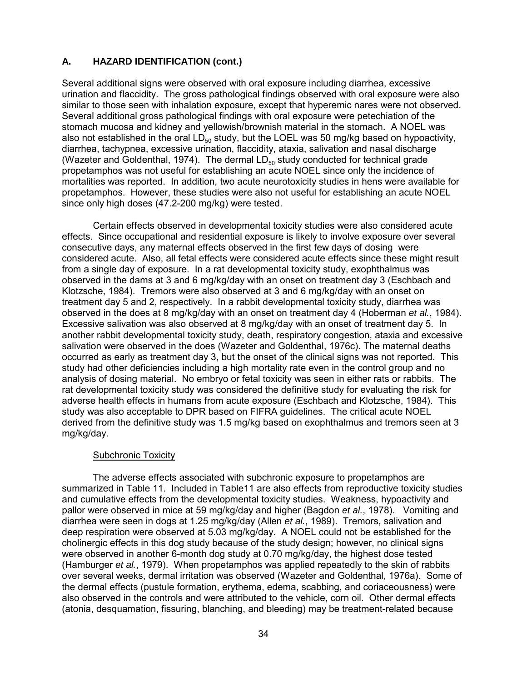since only high doses (47.2-200 mg/kg) were tested. Several additional signs were observed with oral exposure including diarrhea, excessive urination and flaccidity. The gross pathological findings observed with oral exposure were also similar to those seen with inhalation exposure, except that hyperemic nares were not observed. Several additional gross pathological findings with oral exposure were petechiation of the stomach mucosa and kidney and yellowish/brownish material in the stomach. A NOEL was also not established in the oral  $LD_{50}$  study, but the LOEL was 50 mg/kg based on hypoactivity, diarrhea, tachypnea, excessive urination, flaccidity, ataxia, salivation and nasal discharge (Wazeter and Goldenthal, 1974). The dermal  $LD_{50}$  study conducted for technical grade propetamphos was not useful for establishing an acute NOEL since only the incidence of mortalities was reported. In addition, two acute neurotoxicity studies in hens were available for propetamphos. However, these studies were also not useful for establishing an acute NOEL

Certain effects observed in developmental toxicity studies were also considered acute effects. Since occupational and residential exposure is likely to involve exposure over several consecutive days, any maternal effects observed in the first few days of dosing were considered acute. Also, all fetal effects were considered acute effects since these might result from a single day of exposure. In a rat developmental toxicity study, exophthalmus was observed in the dams at 3 and 6 mg/kg/day with an onset on treatment day 3 (Eschbach and Klotzsche, 1984). Tremors were also observed at 3 and 6 mg/kg/day with an onset on treatment day 5 and 2, respectively. In a rabbit developmental toxicity study, diarrhea was observed in the does at 8 mg/kg/day with an onset on treatment day 4 (Hoberman *et al.*, 1984). Excessive salivation was also observed at 8 mg/kg/day with an onset of treatment day 5. In another rabbit developmental toxicity study, death, respiratory congestion, ataxia and excessive salivation were observed in the does (Wazeter and Goldenthal, 1976c). The maternal deaths occurred as early as treatment day 3, but the onset of the clinical signs was not reported. This study had other deficiencies including a high mortality rate even in the control group and no analysis of dosing material. No embryo or fetal toxicity was seen in either rats or rabbits. The rat developmental toxicity study was considered the definitive study for evaluating the risk for adverse health effects in humans from acute exposure (Eschbach and Klotzsche, 1984). This study was also acceptable to DPR based on FIFRA guidelines. The critical acute NOEL derived from the definitive study was 1.5 mg/kg based on exophthalmus and tremors seen at 3 mg/kg/day.

#### Subchronic Toxicity

The adverse effects associated with subchronic exposure to propetamphos are summarized in Table 11. Included in Table11 are also effects from reproductive toxicity studies and cumulative effects from the developmental toxicity studies. Weakness, hypoactivity and pallor were observed in mice at 59 mg/kg/day and higher (Bagdon *et al.*, 1978). Vomiting and diarrhea were seen in dogs at 1.25 mg/kg/day (Allen *et al.*, 1989). Tremors, salivation and deep respiration were observed at 5.03 mg/kg/day. A NOEL could not be established for the cholinergic effects in this dog study because of the study design; however, no clinical signs were observed in another 6-month dog study at 0.70 mg/kg/day, the highest dose tested (Hamburger *et al.*, 1979). When propetamphos was applied repeatedly to the skin of rabbits over several weeks, dermal irritation was observed (Wazeter and Goldenthal, 1976a). Some of the dermal effects (pustule formation, erythema, edema, scabbing, and coriaceousness) were also observed in the controls and were attributed to the vehicle, corn oil. Other dermal effects (atonia, desquamation, fissuring, blanching, and bleeding) may be treatment-related because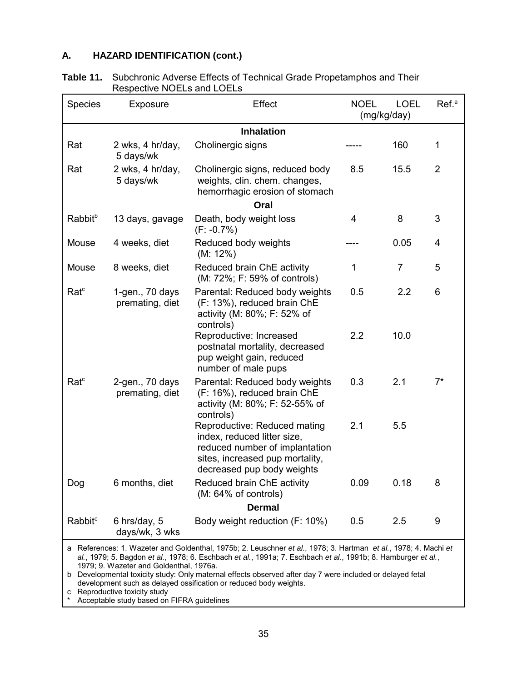| <b>Table 11.</b> Subchronic Adverse Effects of Technical Grade Propetamphos and Their |
|---------------------------------------------------------------------------------------|
| Respective NOELs and LOELs                                                            |

| <b>Species</b>      | Exposure                             | Effect                                                                                                                                                         | <b>NOEL</b><br>(mg/kg/day) | <b>LOEL</b>    | Ref. <sup>a</sup> |
|---------------------|--------------------------------------|----------------------------------------------------------------------------------------------------------------------------------------------------------------|----------------------------|----------------|-------------------|
|                     |                                      | <b>Inhalation</b>                                                                                                                                              |                            |                |                   |
| Rat                 | 2 wks, 4 hr/day,<br>5 days/wk        | Cholinergic signs                                                                                                                                              |                            | 160            | $\mathbf{1}$      |
| Rat                 | 2 wks, 4 hr/day,<br>5 days/wk        | Cholinergic signs, reduced body<br>weights, clin. chem. changes,<br>hemorrhagic erosion of stomach                                                             | 8.5                        | 15.5           | $\overline{2}$    |
|                     |                                      | Oral                                                                                                                                                           |                            |                |                   |
| Rabbit <sup>b</sup> | 13 days, gavage                      | Death, body weight loss<br>$(F: -0.7\%)$                                                                                                                       | 4                          | 8              | 3                 |
| Mouse               | 4 weeks, diet                        | Reduced body weights<br>$(M: 12\%)$                                                                                                                            |                            | 0.05           | $\overline{4}$    |
| Mouse               | 8 weeks, diet                        | Reduced brain ChE activity<br>(M: 72%; F: 59% of controls)                                                                                                     | 1                          | $\overline{7}$ | 5                 |
| Ratc                | $1-gen., 70 days$<br>premating, diet | Parental: Reduced body weights<br>(F: 13%), reduced brain ChE<br>activity (M: 80%; F: 52% of<br>controls)                                                      | 0.5                        | 2.2            | 6                 |
|                     |                                      | Reproductive: Increased<br>postnatal mortality, decreased<br>pup weight gain, reduced<br>number of male pups                                                   | 2.2                        | 10.0           |                   |
| Rate <sup>c</sup>   | 2-gen., 70 days<br>premating, diet   | Parental: Reduced body weights<br>(F: 16%), reduced brain ChE<br>activity (M: 80%; F: 52-55% of<br>controls)                                                   | 0.3                        | 2.1            | $7^*$             |
|                     |                                      | Reproductive: Reduced mating<br>index, reduced litter size,<br>reduced number of implantation<br>sites, increased pup mortality,<br>decreased pup body weights | 2.1                        | 5.5            |                   |
| Dog                 | 6 months, diet                       | Reduced brain ChE activity<br>(M: 64% of controls)                                                                                                             | 0.09                       | 0.18           | 8                 |
|                     |                                      | <b>Dermal</b>                                                                                                                                                  |                            |                |                   |
| Rabbit <sup>c</sup> | 6 hrs/day, 5<br>days/wk, 3 wks       | Body weight reduction (F: 10%)                                                                                                                                 | 0.5                        | 2.5            | 9                 |

a References: 1. Wazeter and Goldenthal, 1975b; 2. Leuschner *et al.*, 1978; 3. Hartman *et al.*, 1978; 4. Machi *et al.*, 1979; 5. Bagdon *et al.*, 1978; 6. Eschbach *et al.*, 1991a; 7. Eschbach *et al.*, 1991b; 8. Hamburger *et al.*, 1979; 9. Wazeter and Goldenthal, 1976a.

b Developmental toxicity study: Only maternal effects observed after day 7 were included or delayed fetal development such as delayed ossification or reduced body weights.

c Reproductive toxicity study

Acceptable study based on FIFRA guidelines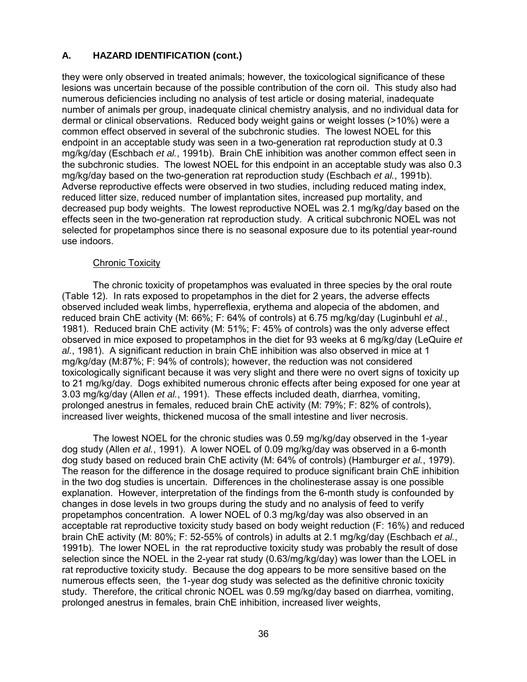they were only observed in treated animals; however, the toxicological significance of these lesions was uncertain because of the possible contribution of the corn oil. This study also had numerous deficiencies including no analysis of test article or dosing material, inadequate number of animals per group, inadequate clinical chemistry analysis, and no individual data for dermal or clinical observations. Reduced body weight gains or weight losses (>10%) were a common effect observed in several of the subchronic studies. The lowest NOEL for this endpoint in an acceptable study was seen in a two-generation rat reproduction study at 0.3 mg/kg/day (Eschbach *et al.*, 1991b). Brain ChE inhibition was another common effect seen in the subchronic studies. The lowest NOEL for this endpoint in an acceptable study was also 0.3 mg/kg/day based on the two-generation rat reproduction study (Eschbach *et al.*, 1991b). Adverse reproductive effects were observed in two studies, including reduced mating index, reduced litter size, reduced number of implantation sites, increased pup mortality, and decreased pup body weights. The lowest reproductive NOEL was 2.1 mg/kg/day based on the effects seen in the two-generation rat reproduction study. A critical subchronic NOEL was not selected for propetamphos since there is no seasonal exposure due to its potential year-round use indoors.

#### Chronic Toxicity

The chronic toxicity of propetamphos was evaluated in three species by the oral route (Table 12). In rats exposed to propetamphos in the diet for 2 years, the adverse effects observed included weak limbs, hyperreflexia, erythema and alopecia of the abdomen, and reduced brain ChE activity (M: 66%; F: 64% of controls) at 6.75 mg/kg/day (Luginbuhl *et al.*, 1981). Reduced brain ChE activity (M: 51%; F: 45% of controls) was the only adverse effect observed in mice exposed to propetamphos in the diet for 93 weeks at 6 mg/kg/day (LeQuire *et al.*, 1981). A significant reduction in brain ChE inhibition was also observed in mice at 1 mg/kg/day (M:87%; F: 94% of controls); however, the reduction was not considered toxicologically significant because it was very slight and there were no overt signs of toxicity up to 21 mg/kg/day. Dogs exhibited numerous chronic effects after being exposed for one year at 3.03 mg/kg/day (Allen *et al.*, 1991). These effects included death, diarrhea, vomiting, prolonged anestrus in females, reduced brain ChE activity (M: 79%; F: 82% of controls), increased liver weights, thickened mucosa of the small intestine and liver necrosis.

The lowest NOEL for the chronic studies was 0.59 mg/kg/day observed in the 1-year dog study (Allen *et al.*, 1991). A lower NOEL of 0.09 mg/kg/day was observed in a 6-month dog study based on reduced brain ChE activity (M: 64% of controls) (Hamburger *et al.*, 1979). The reason for the difference in the dosage required to produce significant brain ChE inhibition in the two dog studies is uncertain. Differences in the cholinesterase assay is one possible explanation. However, interpretation of the findings from the 6-month study is confounded by changes in dose levels in two groups during the study and no analysis of feed to verify propetamphos concentration. A lower NOEL of 0.3 mg/kg/day was also observed in an acceptable rat reproductive toxicity study based on body weight reduction (F: 16%) and reduced brain ChE activity (M: 80%; F: 52-55% of controls) in adults at 2.1 mg/kg/day (Eschbach *et al.*, 1991b). The lower NOEL in the rat reproductive toxicity study was probably the result of dose selection since the NOEL in the 2-year rat study (0.63/mg/kg/day) was lower than the LOEL in rat reproductive toxicity study. Because the dog appears to be more sensitive based on the numerous effects seen, the 1-year dog study was selected as the definitive chronic toxicity study. Therefore, the critical chronic NOEL was 0.59 mg/kg/day based on diarrhea, vomiting, prolonged anestrus in females, brain ChE inhibition, increased liver weights,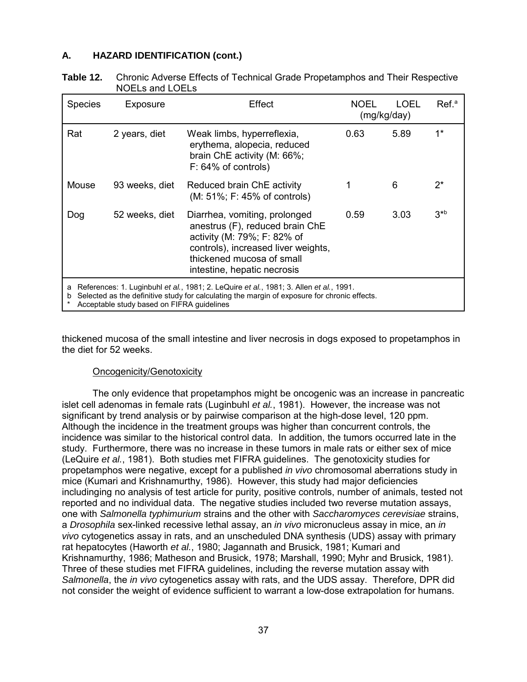| Table 12. | Chronic Adverse Effects of Technical Grade Propetamphos and Their Respective |
|-----------|------------------------------------------------------------------------------|
|           | NOELs and LOELs                                                              |

| <b>Species</b>                                                                                                                                                                                                                                 | Exposure       | Effect                                                                                                                                                                                             | NOEL<br>(mg/kg/day) | LOEL | Ref. <sup>a</sup> |
|------------------------------------------------------------------------------------------------------------------------------------------------------------------------------------------------------------------------------------------------|----------------|----------------------------------------------------------------------------------------------------------------------------------------------------------------------------------------------------|---------------------|------|-------------------|
| Rat                                                                                                                                                                                                                                            | 2 years, diet  | Weak limbs, hyperreflexia,<br>erythema, alopecia, reduced<br>brain ChE activity (M: 66%;<br>$F: 64\%$ of controls)                                                                                 | 0.63                | 5.89 | $1^*$             |
| Mouse                                                                                                                                                                                                                                          | 93 weeks, diet | Reduced brain ChE activity<br>(M: 51%; F: 45% of controls)                                                                                                                                         | 1                   | 6    | $2^*$             |
| Dog                                                                                                                                                                                                                                            | 52 weeks, diet | Diarrhea, vomiting, prolonged<br>anestrus (F), reduced brain ChE<br>activity (M: 79%; F: 82% of<br>controls), increased liver weights,<br>thickened mucosa of small<br>intestine, hepatic necrosis | 0.59                | 3.03 | $3^{*b}$          |
| References: 1. Luginbuhl et al., 1981; 2. LeQuire et al., 1981; 3. Allen et al., 1991.<br>a<br>Selected as the definitive study for calculating the margin of exposure for chronic effects.<br>b<br>Acceptable study based on FIFRA guidelines |                |                                                                                                                                                                                                    |                     |      |                   |

thickened mucosa of the small intestine and liver necrosis in dogs exposed to propetamphos in the diet for 52 weeks.

#### Oncogenicity/Genotoxicity

The only evidence that propetamphos might be oncogenic was an increase in pancreatic islet cell adenomas in female rats (Luginbuhl *et al.*, 1981). However, the increase was not significant by trend analysis or by pairwise comparison at the high-dose level, 120 ppm. Although the incidence in the treatment groups was higher than concurrent controls, the incidence was similar to the historical control data. In addition, the tumors occurred late in the study. Furthermore, there was no increase in these tumors in male rats or either sex of mice (LeQuire *et al.*, 1981). Both studies met FIFRA guidelines. The genotoxicity studies for propetamphos were negative, except for a published *in vivo* chromosomal aberrations study in mice (Kumari and Krishnamurthy, 1986). However, this study had major deficiencies includinging no analysis of test article for purity, positive controls, number of animals, tested not reported and no individual data. The negative studies included two reverse mutation assays, one with *Salmonella typhimurium* strains and the other with *Saccharomyces cerevisiae* strains, a *Drosophila* sex-linked recessive lethal assay, an *in vivo* micronucleus assay in mice, an *in vivo* cytogenetics assay in rats, and an unscheduled DNA synthesis (UDS) assay with primary rat hepatocytes (Haworth *et al.*, 1980; Jagannath and Brusick, 1981; Kumari and Krishnamurthy, 1986; Matheson and Brusick, 1978; Marshall, 1990; Myhr and Brusick, 1981). Three of these studies met FIFRA guidelines, including the reverse mutation assay with *Salmonella*, the *in vivo* cytogenetics assay with rats, and the UDS assay. Therefore, DPR did not consider the weight of evidence sufficient to warrant a low-dose extrapolation for humans.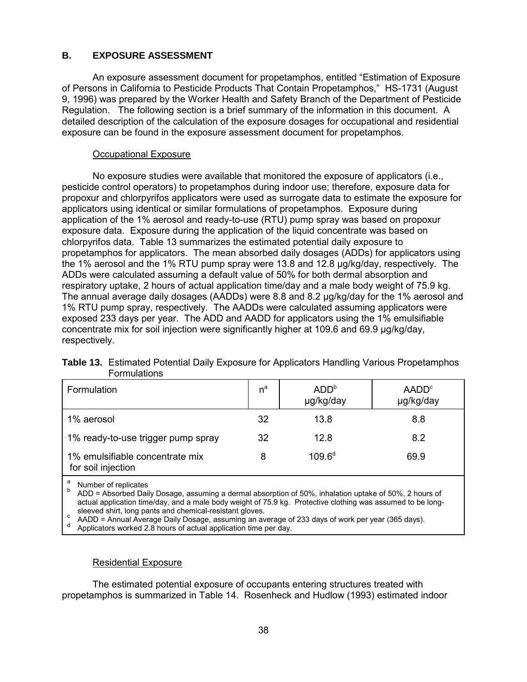### **B. EXPOSURE ASSESSMENT**

An exposure assessment document for propetamphos, entitled "Estimation of Exposure of Persons in California to Pesticide Products That Contain Propetamphos," HS-1731 (August 9, 1996) was prepared by the Worker Health and Safety Branch of the Department of Pesticide Regulation. The following section is a brief summary of the information in this document. A detailed description of the calculation of the exposure dosages for occupational and residential exposure can be found in the exposure assessment document for propetamphos.

#### Occupational Exposure

No exposure studies were available that monitored the exposure of applicators (i.e., pesticide control operators) to propetamphos during indoor use; therefore, exposure data for propoxur and chlorpyrifos applicators were used as surrogate data to estimate the exposure for applicators using identical or similar formulations of propetamphos. Exposure during application of the 1% aerosol and ready-to-use (RTU) pump spray was based on propoxur exposure data. Exposure during the application of the liquid concentrate was based on chlorpyrifos data. Table 13 summarizes the estimated potential daily exposure to propetamphos for applicators. The mean absorbed daily dosages (ADDs) for applicators using the 1% aerosol and the 1% RTU pump spray were 13.8 and 12.8 µg/kg/day, respectively. The ADDs were calculated assuming a default value of 50% for both dermal absorption and respiratory uptake, 2 hours of actual application time/day and a male body weight of 75.9 kg. The annual average daily dosages (AADDs) were 8.8 and 8.2 µg/kg/day for the 1% aerosol and 1% RTU pump spray, respectively. The AADDs were calculated assuming applicators were exposed 233 days per year. The ADD and AADD for applicators using the 1% emulsifiable concentrate mix for soil injection were significantly higher at 109.6 and 69.9 µg/kg/day, respectively.

| Formulation                                           | $n^a$ | ADD <sup>b</sup><br>µg/kg/day | AADD <sup>c</sup><br>µg/kg/day |
|-------------------------------------------------------|-------|-------------------------------|--------------------------------|
| 1% aerosol                                            | 32    | 13.8                          | 8.8                            |
| 1% ready-to-use trigger pump spray                    | 32    | 12.8                          | 8.2                            |
| 1% emulsifiable concentrate mix<br>for soil injection | 8     | $109.6^d$                     | 69.9                           |
| a<br>Number of replicates                             |       |                               |                                |

| <b>Table 13.</b> Estimated Potential Daily Exposure for Applicators Handling Various Propetamphos |
|---------------------------------------------------------------------------------------------------|
| Formulations                                                                                      |

 $b$  ADD = Absorbed Daily Dosage, assuming a dermal absorption of 50%, inhalation uptake of 50%, 2 hours of actual application time/day, and a male body weight of 75.9 kg. Protective clothing was assumed to be long-

sleeved shirt, long pants and chemical-resistant gloves.<br>c AADD = Annual Average Daily Dosage, assuming an average of 233 days of work per year (365 days).<br>d Applicators worked 2.8 hours of actual application time per day

#### Residential Exposure

The estimated potential exposure of occupants entering structures treated with propetamphos is summarized in Table 14. Rosenheck and Hudlow (1993) estimated indoor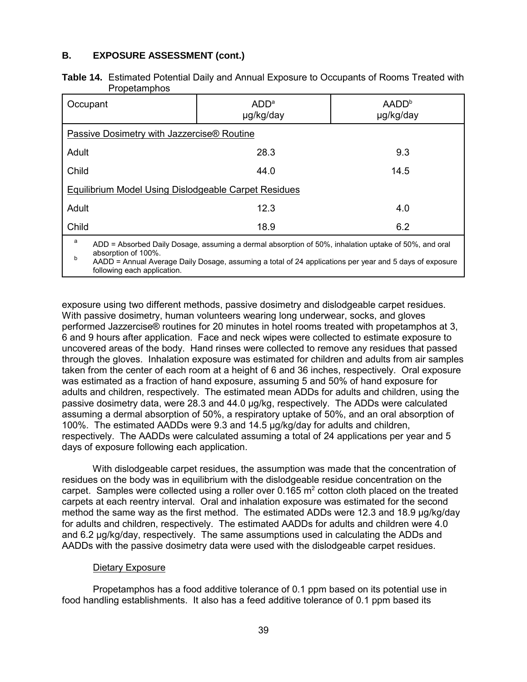#### **B. EXPOSURE ASSESSMENT (cont.)**

| <b>Table 14.</b> Estimated Potential Daily and Annual Exposure to Occupants of Rooms Treated with |
|---------------------------------------------------------------------------------------------------|
| Propetamphos                                                                                      |

| Occupant                                                                                                                                                                                                                                                                        | ADD <sup>a</sup><br>µg/kg/day | AADD <sup>b</sup><br>µg/kg/day |  |  |  |
|---------------------------------------------------------------------------------------------------------------------------------------------------------------------------------------------------------------------------------------------------------------------------------|-------------------------------|--------------------------------|--|--|--|
| Passive Dosimetry with Jazzercise® Routine                                                                                                                                                                                                                                      |                               |                                |  |  |  |
| Adult                                                                                                                                                                                                                                                                           | 28.3                          | 9.3                            |  |  |  |
| Child                                                                                                                                                                                                                                                                           | 44.0                          | 14.5                           |  |  |  |
| <b>Equilibrium Model Using Dislodgeable Carpet Residues</b>                                                                                                                                                                                                                     |                               |                                |  |  |  |
| Adult                                                                                                                                                                                                                                                                           | 12.3                          | 4.0                            |  |  |  |
| Child                                                                                                                                                                                                                                                                           | 18.9                          | 6.2                            |  |  |  |
| а<br>ADD = Absorbed Daily Dosage, assuming a dermal absorption of 50%, inhalation uptake of 50%, and oral<br>absorption of 100%.<br>b<br>AADD = Annual Average Daily Dosage, assuming a total of 24 applications per year and 5 days of exposure<br>following each application. |                               |                                |  |  |  |

exposure using two different methods, passive dosimetry and dislodgeable carpet residues. With passive dosimetry, human volunteers wearing long underwear, socks, and gloves performed Jazzercise® routines for 20 minutes in hotel rooms treated with propetamphos at 3, 6 and 9 hours after application. Face and neck wipes were collected to estimate exposure to uncovered areas of the body. Hand rinses were collected to remove any residues that passed through the gloves. Inhalation exposure was estimated for children and adults from air samples taken from the center of each room at a height of 6 and 36 inches, respectively. Oral exposure was estimated as a fraction of hand exposure, assuming 5 and 50% of hand exposure for adults and children, respectively. The estimated mean ADDs for adults and children, using the passive dosimetry data, were 28.3 and 44.0 µg/kg, respectively. The ADDs were calculated assuming a dermal absorption of 50%, a respiratory uptake of 50%, and an oral absorption of 100%. The estimated AADDs were 9.3 and 14.5 µg/kg/day for adults and children, respectively. The AADDs were calculated assuming a total of 24 applications per year and 5 days of exposure following each application.

With dislodgeable carpet residues, the assumption was made that the concentration of residues on the body was in equilibrium with the dislodgeable residue concentration on the carpet. Samples were collected using a roller over 0.165  $m<sup>2</sup>$  cotton cloth placed on the treated carpets at each reentry interval. Oral and inhalation exposure was estimated for the second method the same way as the first method. The estimated ADDs were 12.3 and 18.9 µg/kg/day for adults and children, respectively. The estimated AADDs for adults and children were 4.0 and 6.2 µg/kg/day, respectively. The same assumptions used in calculating the ADDs and AADDs with the passive dosimetry data were used with the dislodgeable carpet residues.

#### Dietary Exposure

Propetamphos has a food additive tolerance of 0.1 ppm based on its potential use in food handling establishments. It also has a feed additive tolerance of 0.1 ppm based its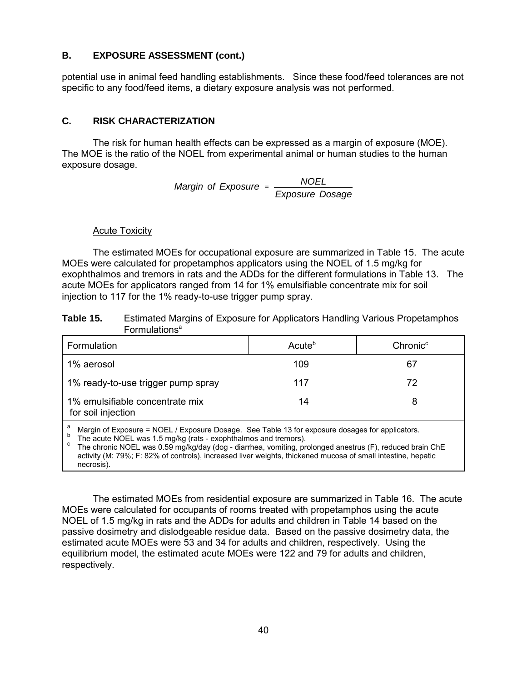potential use in animal feed handling establishments. Since these food/feed tolerances are not specific to any food/feed items, a dietary exposure analysis was not performed.

#### **C. RISK CHARACTERIZATION**

The risk for human health effects can be expressed as a margin of exposure (MOE). The MOE is the ratio of the NOEL from experimental animal or human studies to the human exposure dosage. **B.** EXPOSURE ASSESSMENT (cont.)<br>potential use in animal feed handling establis<br>specific to any food/feed items, a dietary exp<br>C. RISK CHARACTERIZATION<br>The risk for human health effects car<br>The MOE is the ratio of the NOEL

*NOEL Margin of Exposure Exposure Dosage* 

#### Acute Toxicity

The estimated MOEs for occupational exposure are summarized in Table 15. The acute MOEs were calculated for propetamphos applicators using the NOEL of 1.5 mg/kg for exophthalmos and tremors in rats and the ADDs for the different formulations in Table 13. The acute MOEs for applicators ranged from 14 for 1% emulsifiable concentrate mix for soil injection to 117 for the 1% ready-to-use trigger pump spray.

| Table 15. | Estimated Margins of Exposure for Applicators Handling Various Propetamphos |
|-----------|-----------------------------------------------------------------------------|
|           | <b>Formulations</b> <sup>a</sup>                                            |

| Formulation                                                                                          | Acute <sup>b</sup> | Chronic <sup>c</sup> |  |
|------------------------------------------------------------------------------------------------------|--------------------|----------------------|--|
| 1% aerosol                                                                                           | 109                | 67                   |  |
| 1% ready-to-use trigger pump spray                                                                   | 117                | 72                   |  |
| 1% emulsifiable concentrate mix<br>for soil injection                                                | 14                 |                      |  |
| а<br>Margin of Exposure = NOEL / Exposure Dosage. See Table 13 for exposure dosages for applicators. |                    |                      |  |

<sup>b</sup> The acute NOEL was 1.5 mg/kg (rats - exophthalmos and tremors).<br><sup>c</sup> The chronic NOEL was 0.59 mg/kg/day (dog - diarrhea, vomiting, prolonged anestrus (F), reduced brain ChE activity (M: 79%; F: 82% of controls), increased liver weights, thickened mucosa of small intestine, hepatic necrosis).

The estimated MOEs from residential exposure are summarized in Table 16. The acute MOEs were calculated for occupants of rooms treated with propetamphos using the acute NOEL of 1.5 mg/kg in rats and the ADDs for adults and children in Table 14 based on the passive dosimetry and dislodgeable residue data. Based on the passive dosimetry data, the estimated acute MOEs were 53 and 34 for adults and children, respectively. Using the equilibrium model, the estimated acute MOEs were 122 and 79 for adults and children, respectively.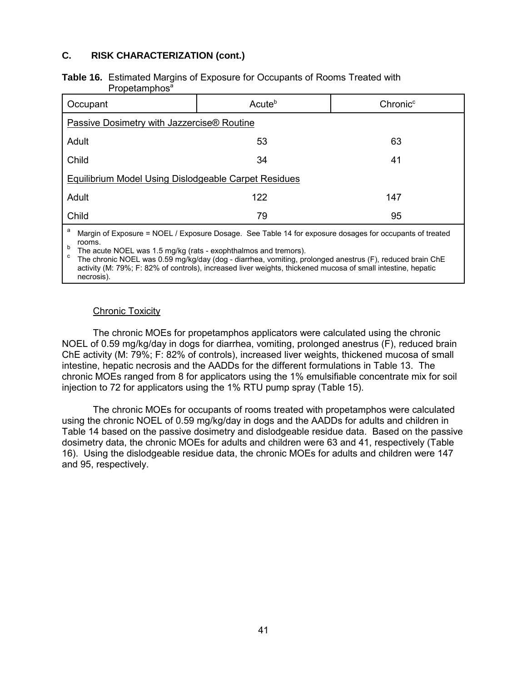#### **C. RISK CHARACTERIZATION (cont.)**

#### **Table 16.** Estimated Margins of Exposure for Occupants of Rooms Treated with Propetamphos<sup>a</sup>

| Occupant                                                                                                              | Acute <sup>b</sup> | Chronic <sup>c</sup> |
|-----------------------------------------------------------------------------------------------------------------------|--------------------|----------------------|
| Passive Dosimetry with Jazzercise® Routine                                                                            |                    |                      |
| Adult                                                                                                                 | 53                 | 63                   |
| Child                                                                                                                 | 34                 | 41                   |
| Equilibrium Model Using Dislodgeable Carpet Residues                                                                  |                    |                      |
| Adult                                                                                                                 | 122                | 147                  |
| Child                                                                                                                 | 79                 | 95                   |
| a<br>Margin of Exposure = NOEL / Exposure Dosage. See Table 14 for exposure dosages for occupants of treated<br>roomo |                    |                      |

rooms.<br>The acute NOEL was 1.5 mg/kg (rats - exophthalmos and tremors).

b The acute NOEL was 1.5 mg/kg (rats - exophthalmos and tremors).<br><sup>c</sup> The chronic NOEL was 0.59 mg/kg/day (dog - diarrhea, vomiting, prolonged anestrus (F), reduced brain ChE activity (M: 79%; F: 82% of controls), increased liver weights, thickened mucosa of small intestine, hepatic necrosis).

#### **Chronic Toxicity**

The chronic MOEs for propetamphos applicators were calculated using the chronic NOEL of 0.59 mg/kg/day in dogs for diarrhea, vomiting, prolonged anestrus (F), reduced brain ChE activity (M: 79%; F: 82% of controls), increased liver weights, thickened mucosa of small intestine, hepatic necrosis and the AADDs for the different formulations in Table 13. The chronic MOEs ranged from 8 for applicators using the 1% emulsifiable concentrate mix for soil injection to 72 for applicators using the 1% RTU pump spray (Table 15).

The chronic MOEs for occupants of rooms treated with propetamphos were calculated using the chronic NOEL of 0.59 mg/kg/day in dogs and the AADDs for adults and children in Table 14 based on the passive dosimetry and dislodgeable residue data. Based on the passive dosimetry data, the chronic MOEs for adults and children were 63 and 41, respectively (Table 16). Using the dislodgeable residue data, the chronic MOEs for adults and children were 147 and 95, respectively.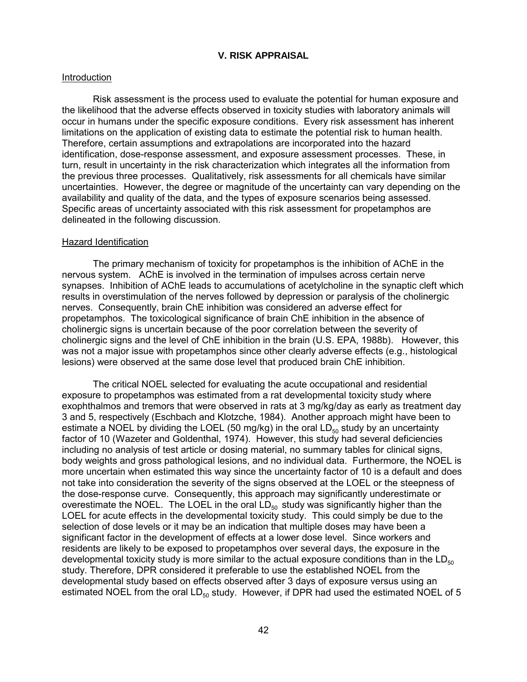#### **V. RISK APPRAISAL**

#### Introduction

Risk assessment is the process used to evaluate the potential for human exposure and the likelihood that the adverse effects observed in toxicity studies with laboratory animals will occur in humans under the specific exposure conditions. Every risk assessment has inherent limitations on the application of existing data to estimate the potential risk to human health. Therefore, certain assumptions and extrapolations are incorporated into the hazard identification, dose-response assessment, and exposure assessment processes. These, in turn, result in uncertainty in the risk characterization which integrates all the information from the previous three processes. Qualitatively, risk assessments for all chemicals have similar uncertainties. However, the degree or magnitude of the uncertainty can vary depending on the availability and quality of the data, and the types of exposure scenarios being assessed. Specific areas of uncertainty associated with this risk assessment for propetamphos are delineated in the following discussion.

#### Hazard Identification

The primary mechanism of toxicity for propetamphos is the inhibition of AChE in the nervous system. AChE is involved in the termination of impulses across certain nerve synapses. Inhibition of AChE leads to accumulations of acetylcholine in the synaptic cleft which results in overstimulation of the nerves followed by depression or paralysis of the cholinergic nerves. Consequently, brain ChE inhibition was considered an adverse effect for propetamphos. The toxicological significance of brain ChE inhibition in the absence of cholinergic signs is uncertain because of the poor correlation between the severity of cholinergic signs and the level of ChE inhibition in the brain (U.S. EPA, 1988b). However, this was not a major issue with propetamphos since other clearly adverse effects (e.g., histological lesions) were observed at the same dose level that produced brain ChE inhibition.

The critical NOEL selected for evaluating the acute occupational and residential exposure to propetamphos was estimated from a rat developmental toxicity study where exophthalmos and tremors that were observed in rats at 3 mg/kg/day as early as treatment day 3 and 5, respectively (Eschbach and Klotzche, 1984). Another approach might have been to estimate a NOEL by dividing the LOEL (50 mg/kg) in the oral  $LD_{50}$  study by an uncertainty factor of 10 (Wazeter and Goldenthal, 1974). However, this study had several deficiencies including no analysis of test article or dosing material, no summary tables for clinical signs, body weights and gross pathological lesions, and no individual data. Furthermore, the NOEL is more uncertain when estimated this way since the uncertainty factor of 10 is a default and does not take into consideration the severity of the signs observed at the LOEL or the steepness of the dose-response curve. Consequently, this approach may significantly underestimate or overestimate the NOEL. The LOEL in the oral  $LD_{50}$  study was significantly higher than the LOEL for acute effects in the developmental toxicity study. This could simply be due to the selection of dose levels or it may be an indication that multiple doses may have been a significant factor in the development of effects at a lower dose level. Since workers and residents are likely to be exposed to propetamphos over several days, the exposure in the developmental toxicity study is more similar to the actual exposure conditions than in the  $LD_{50}$ study. Therefore, DPR considered it preferable to use the established NOEL from the developmental study based on effects observed after 3 days of exposure versus using an estimated NOEL from the oral  $LD_{50}$  study. However, if DPR had used the estimated NOEL of 5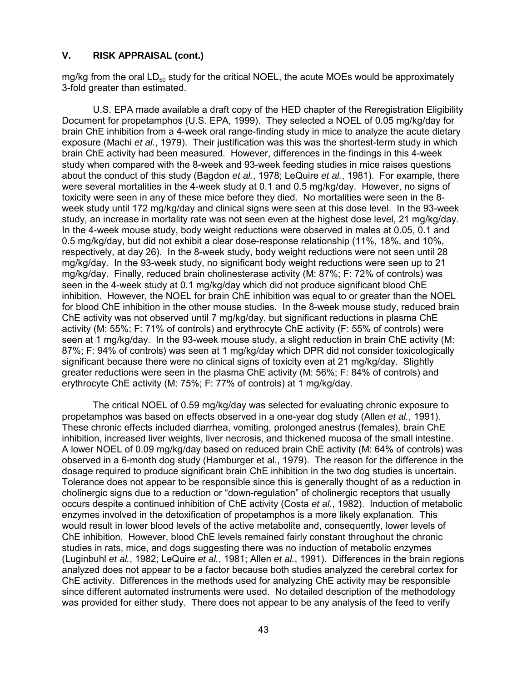mg/kg from the oral  $LD_{50}$  study for the critical NOEL, the acute MOEs would be approximately 3-fold greater than estimated.

U.S. EPA made available a draft copy of the HED chapter of the Reregistration Eligibility Document for propetamphos (U.S. EPA, 1999). They selected a NOEL of 0.05 mg/kg/day for brain ChE inhibition from a 4-week oral range-finding study in mice to analyze the acute dietary exposure (Machi *et al.*, 1979). Their justification was this was the shortest-term study in which brain ChE activity had been measured. However, differences in the findings in this 4-week study when compared with the 8-week and 93-week feeding studies in mice raises questions about the conduct of this study (Bagdon *et al.*, 1978; LeQuire *et al.*, 1981). For example, there were several mortalities in the 4-week study at 0.1 and 0.5 mg/kg/day. However, no signs of toxicity were seen in any of these mice before they died. No mortalities were seen in the 8 week study until 172 mg/kg/day and clinical signs were seen at this dose level. In the 93-week study, an increase in mortality rate was not seen even at the highest dose level, 21 mg/kg/day. In the 4-week mouse study, body weight reductions were observed in males at 0.05, 0.1 and 0.5 mg/kg/day, but did not exhibit a clear dose-response relationship (11%, 18%, and 10%, respectively, at day 26). In the 8-week study, body weight reductions were not seen until 28 mg/kg/day. In the 93-week study, no significant body weight reductions were seen up to 21 mg/kg/day. Finally, reduced brain cholinesterase activity (M: 87%; F: 72% of controls) was seen in the 4-week study at 0.1 mg/kg/day which did not produce significant blood ChE inhibition. However, the NOEL for brain ChE inhibition was equal to or greater than the NOEL for blood ChE inhibition in the other mouse studies. In the 8-week mouse study, reduced brain ChE activity was not observed until 7 mg/kg/day, but significant reductions in plasma ChE activity (M: 55%; F: 71% of controls) and erythrocyte ChE activity (F: 55% of controls) were seen at 1 mg/kg/day. In the 93-week mouse study, a slight reduction in brain ChE activity (M: 87%; F: 94% of controls) was seen at 1 mg/kg/day which DPR did not consider toxicologically significant because there were no clinical signs of toxicity even at 21 mg/kg/day. Slightly greater reductions were seen in the plasma ChE activity (M: 56%; F: 84% of controls) and erythrocyte ChE activity (M: 75%; F: 77% of controls) at 1 mg/kg/day.

The critical NOEL of 0.59 mg/kg/day was selected for evaluating chronic exposure to propetamphos was based on effects observed in a one-year dog study (Allen *et al.*, 1991). These chronic effects included diarrhea, vomiting, prolonged anestrus (females), brain ChE inhibition, increased liver weights, liver necrosis, and thickened mucosa of the small intestine. A lower NOEL of 0.09 mg/kg/day based on reduced brain ChE activity (M: 64% of controls) was observed in a 6-month dog study (Hamburger et al., 1979). The reason for the difference in the dosage required to produce significant brain ChE inhibition in the two dog studies is uncertain. Tolerance does not appear to be responsible since this is generally thought of as a reduction in cholinergic signs due to a reduction or "down-regulation" of cholinergic receptors that usually occurs despite a continued inhibition of ChE activity (Costa *et al.*, 1982). Induction of metabolic enzymes involved in the detoxification of propetamphos is a more likely explanation. This would result in lower blood levels of the active metabolite and, consequently, lower levels of ChE inhibition. However, blood ChE levels remained fairly constant throughout the chronic studies in rats, mice, and dogs suggesting there was no induction of metabolic enzymes (Luginbuhl *et al.*, 1982; LeQuire *et al.*, 1981; Allen *et al.*, 1991). Differences in the brain regions analyzed does not appear to be a factor because both studies analyzed the cerebral cortex for ChE activity. Differences in the methods used for analyzing ChE activity may be responsible since different automated instruments were used. No detailed description of the methodology was provided for either study. There does not appear to be any analysis of the feed to verify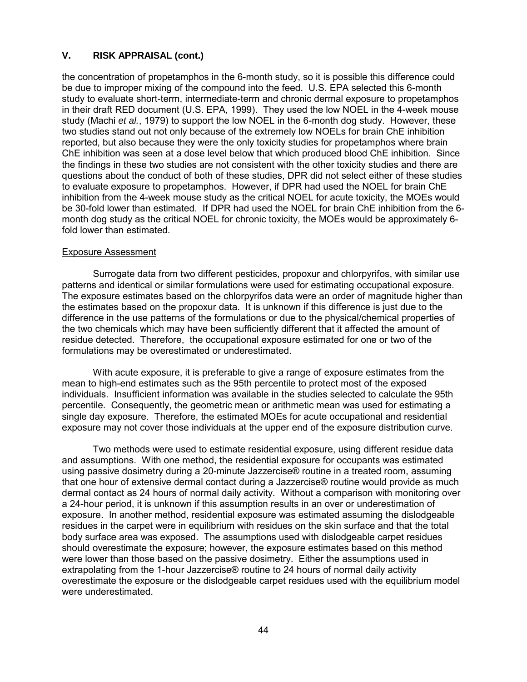the concentration of propetamphos in the 6-month study, so it is possible this difference could be due to improper mixing of the compound into the feed. U.S. EPA selected this 6-month study to evaluate short-term, intermediate-term and chronic dermal exposure to propetamphos in their draft RED document (U.S. EPA, 1999). They used the low NOEL in the 4-week mouse study (Machi *et al.*, 1979) to support the low NOEL in the 6-month dog study. However, these two studies stand out not only because of the extremely low NOELs for brain ChE inhibition reported, but also because they were the only toxicity studies for propetamphos where brain ChE inhibition was seen at a dose level below that which produced blood ChE inhibition. Since the findings in these two studies are not consistent with the other toxicity studies and there are questions about the conduct of both of these studies, DPR did not select either of these studies to evaluate exposure to propetamphos. However, if DPR had used the NOEL for brain ChE inhibition from the 4-week mouse study as the critical NOEL for acute toxicity, the MOEs would be 30-fold lower than estimated. If DPR had used the NOEL for brain ChE inhibition from the 6 month dog study as the critical NOEL for chronic toxicity, the MOEs would be approximately 6 fold lower than estimated.

#### Exposure Assessment

formulations may be overestimated or underestimated. Surrogate data from two different pesticides, propoxur and chlorpyrifos, with similar use patterns and identical or similar formulations were used for estimating occupational exposure. The exposure estimates based on the chlorpyrifos data were an order of magnitude higher than the estimates based on the propoxur data. It is unknown if this difference is just due to the difference in the use patterns of the formulations or due to the physical/chemical properties of the two chemicals which may have been sufficiently different that it affected the amount of residue detected. Therefore, the occupational exposure estimated for one or two of the

With acute exposure, it is preferable to give a range of exposure estimates from the mean to high-end estimates such as the 95th percentile to protect most of the exposed individuals. Insufficient information was available in the studies selected to calculate the 95th percentile. Consequently, the geometric mean or arithmetic mean was used for estimating a single day exposure. Therefore, the estimated MOEs for acute occupational and residential exposure may not cover those individuals at the upper end of the exposure distribution curve.

Two methods were used to estimate residential exposure, using different residue data and assumptions. With one method, the residential exposure for occupants was estimated using passive dosimetry during a 20-minute Jazzercise® routine in a treated room, assuming that one hour of extensive dermal contact during a Jazzercise® routine would provide as much dermal contact as 24 hours of normal daily activity. Without a comparison with monitoring over a 24-hour period, it is unknown if this assumption results in an over or underestimation of exposure. In another method, residential exposure was estimated assuming the dislodgeable residues in the carpet were in equilibrium with residues on the skin surface and that the total body surface area was exposed. The assumptions used with dislodgeable carpet residues should overestimate the exposure; however, the exposure estimates based on this method were lower than those based on the passive dosimetry. Either the assumptions used in extrapolating from the 1-hour Jazzercise® routine to 24 hours of normal daily activity overestimate the exposure or the dislodgeable carpet residues used with the equilibrium model were underestimated.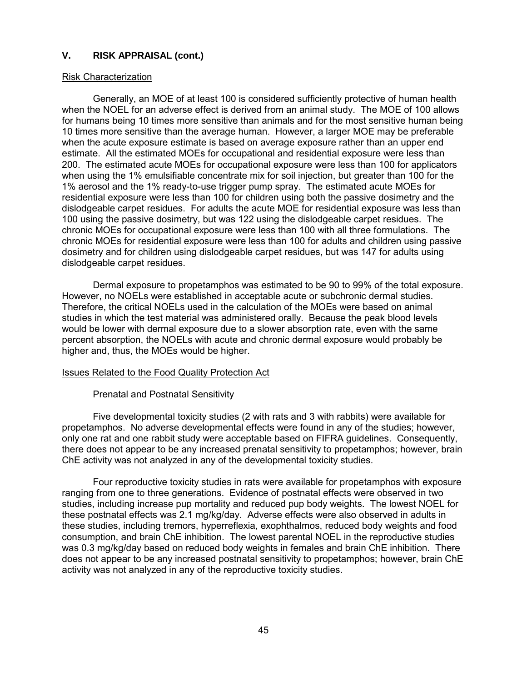#### Risk Characterization

Generally, an MOE of at least 100 is considered sufficiently protective of human health when the NOEL for an adverse effect is derived from an animal study. The MOE of 100 allows for humans being 10 times more sensitive than animals and for the most sensitive human being 10 times more sensitive than the average human. However, a larger MOE may be preferable when the acute exposure estimate is based on average exposure rather than an upper end estimate. All the estimated MOEs for occupational and residential exposure were less than 200. The estimated acute MOEs for occupational exposure were less than 100 for applicators when using the 1% emulsifiable concentrate mix for soil injection, but greater than 100 for the 1% aerosol and the 1% ready-to-use trigger pump spray. The estimated acute MOEs for residential exposure were less than 100 for children using both the passive dosimetry and the dislodgeable carpet residues. For adults the acute MOE for residential exposure was less than 100 using the passive dosimetry, but was 122 using the dislodgeable carpet residues. The chronic MOEs for occupational exposure were less than 100 with all three formulations. The chronic MOEs for residential exposure were less than 100 for adults and children using passive dosimetry and for children using dislodgeable carpet residues, but was 147 for adults using dislodgeable carpet residues.

Dermal exposure to propetamphos was estimated to be 90 to 99% of the total exposure. However, no NOELs were established in acceptable acute or subchronic dermal studies. Therefore, the critical NOELs used in the calculation of the MOEs were based on animal studies in which the test material was administered orally. Because the peak blood levels would be lower with dermal exposure due to a slower absorption rate, even with the same percent absorption, the NOELs with acute and chronic dermal exposure would probably be higher and, thus, the MOEs would be higher.

#### Issues Related to the Food Quality Protection Act

#### Prenatal and Postnatal Sensitivity

Five developmental toxicity studies (2 with rats and 3 with rabbits) were available for propetamphos. No adverse developmental effects were found in any of the studies; however, only one rat and one rabbit study were acceptable based on FIFRA guidelines. Consequently, there does not appear to be any increased prenatal sensitivity to propetamphos; however, brain ChE activity was not analyzed in any of the developmental toxicity studies.

Four reproductive toxicity studies in rats were available for propetamphos with exposure ranging from one to three generations. Evidence of postnatal effects were observed in two studies, including increase pup mortality and reduced pup body weights. The lowest NOEL for these postnatal effects was 2.1 mg/kg/day. Adverse effects were also observed in adults in these studies, including tremors, hyperreflexia, exophthalmos, reduced body weights and food consumption, and brain ChE inhibition. The lowest parental NOEL in the reproductive studies was 0.3 mg/kg/day based on reduced body weights in females and brain ChE inhibition. There does not appear to be any increased postnatal sensitivity to propetamphos; however, brain ChE activity was not analyzed in any of the reproductive toxicity studies.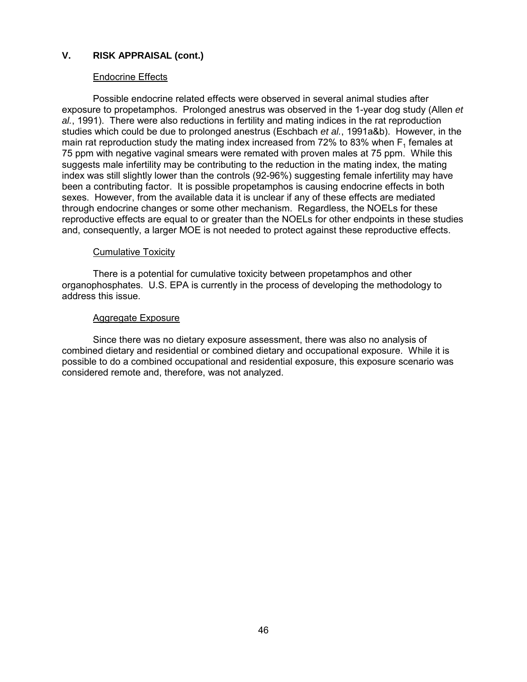#### Endocrine Effects

Possible endocrine related effects were observed in several animal studies after exposure to propetamphos. Prolonged anestrus was observed in the 1-year dog study (Allen *et al.*, 1991). There were also reductions in fertility and mating indices in the rat reproduction studies which could be due to prolonged anestrus (Eschbach *et al.*, 1991a&b). However, in the main rat reproduction study the mating index increased from 72% to 83% when  $F_1$  females at 75 ppm with negative vaginal smears were remated with proven males at 75 ppm. While this suggests male infertility may be contributing to the reduction in the mating index, the mating index was still slightly lower than the controls (92-96%) suggesting female infertility may have been a contributing factor. It is possible propetamphos is causing endocrine effects in both sexes. However, from the available data it is unclear if any of these effects are mediated through endocrine changes or some other mechanism. Regardless, the NOELs for these reproductive effects are equal to or greater than the NOELs for other endpoints in these studies and, consequently, a larger MOE is not needed to protect against these reproductive effects.

#### Cumulative Toxicity

There is a potential for cumulative toxicity between propetamphos and other organophosphates. U.S. EPA is currently in the process of developing the methodology to address this issue.

#### Aggregate Exposure

Since there was no dietary exposure assessment, there was also no analysis of combined dietary and residential or combined dietary and occupational exposure. While it is possible to do a combined occupational and residential exposure, this exposure scenario was considered remote and, therefore, was not analyzed.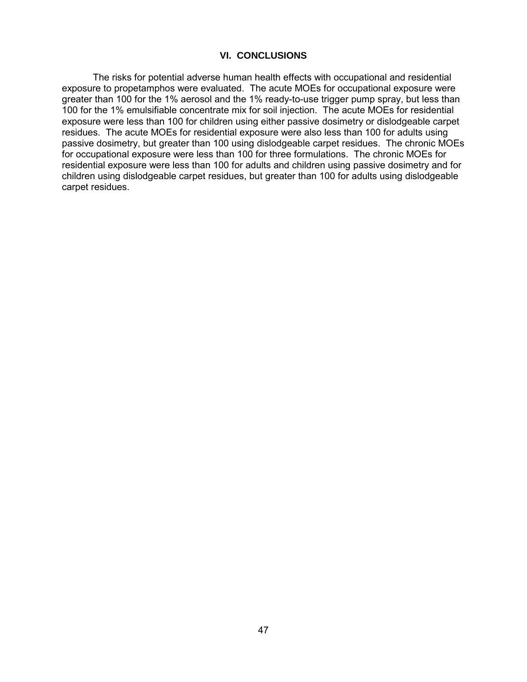#### **VI. CONCLUSIONS**

The risks for potential adverse human health effects with occupational and residential exposure to propetamphos were evaluated. The acute MOEs for occupational exposure were greater than 100 for the 1% aerosol and the 1% ready-to-use trigger pump spray, but less than 100 for the 1% emulsifiable concentrate mix for soil injection. The acute MOEs for residential exposure were less than 100 for children using either passive dosimetry or dislodgeable carpet residues. The acute MOEs for residential exposure were also less than 100 for adults using passive dosimetry, but greater than 100 using dislodgeable carpet residues. The chronic MOEs for occupational exposure were less than 100 for three formulations. The chronic MOEs for residential exposure were less than 100 for adults and children using passive dosimetry and for children using dislodgeable carpet residues, but greater than 100 for adults using dislodgeable carpet residues.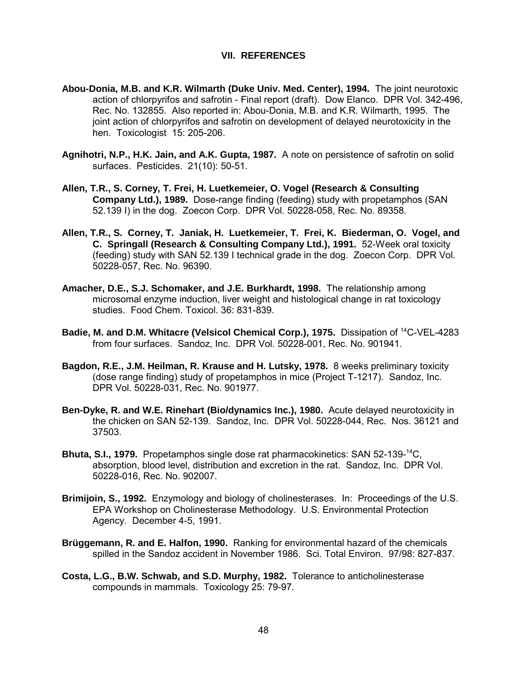#### **VII. REFERENCES**

- **Abou-Donia, M.B. and K.R. Wilmarth (Duke Univ. Med. Center), 1994.** The joint neurotoxic action of chlorpyrifos and safrotin - Final report (draft). Dow Elanco. DPR Vol. 342-496, Rec. No. 132855. Also reported in: Abou-Donia, M.B. and K.R. Wilmarth, 1995. The joint action of chlorpyrifos and safrotin on development of delayed neurotoxicity in the hen. Toxicologist 15: 205-206.
- **Agnihotri, N.P., H.K. Jain, and A.K. Gupta, 1987.** A note on persistence of safrotin on solid surfaces. Pesticides. 21(10): 50-51.
- **Allen, T.R., S. Corney, T. Frei, H. Luetkemeier, O. Vogel (Research & Consulting Company Ltd.), 1989.** Dose-range finding (feeding) study with propetamphos (SAN 52.139 I) in the dog. Zoecon Corp. DPR Vol. 50228-058, Rec. No. 89358.
- **Allen, T.R., S. Corney, T. Janiak, H. Luetkemeier, T. Frei, K. Biederman, O. Vogel, and C. Springall (Research & Consulting Company Ltd.), 1991.** 52-Week oral toxicity (feeding) study with SAN 52.139 I technical grade in the dog. Zoecon Corp. DPR Vol. 50228-057, Rec. No. 96390.
- **Amacher, D.E., S.J. Schomaker, and J.E. Burkhardt, 1998.** The relationship among microsomal enzyme induction, liver weight and histological change in rat toxicology studies. Food Chem. Toxicol. 36: 831-839.
- **Badie, M. and D.M. Whitacre (Velsicol Chemical Corp.), 1975.** Dissipation of <sup>14</sup>C-VEL-4283 from four surfaces. Sandoz, Inc. DPR Vol. 50228-001, Rec. No. 901941.
- **Bagdon, R.E., J.M. Heilman, R. Krause and H. Lutsky, 1978.** 8 weeks preliminary toxicity (dose range finding) study of propetamphos in mice (Project T-1217). Sandoz, Inc. DPR Vol. 50228-031, Rec. No. 901977.
- **Ben-Dyke, R. and W.E. Rinehart (Bio/dynamics Inc.), 1980.** Acute delayed neurotoxicity in the chicken on SAN 52-139. Sandoz, Inc. DPR Vol. 50228-044, Rec. Nos. 36121 and 37503.
- **Bhuta, S.I., 1979.** Propetamphos single dose rat pharmacokinetics: SAN 52-139-14C, absorption, blood level, distribution and excretion in the rat. Sandoz, Inc. DPR Vol. 50228-016, Rec. No. 902007.
- **Brimijoin, S., 1992.** Enzymology and biology of cholinesterases. In: Proceedings of the U.S. EPA Workshop on Cholinesterase Methodology. U.S. Environmental Protection Agency. December 4-5, 1991.
- **Brüggemann, R. and E. Halfon, 1990.** Ranking for environmental hazard of the chemicals spilled in the Sandoz accident in November 1986. Sci. Total Environ. 97/98: 827-837.
- **Costa, L.G., B.W. Schwab, and S.D. Murphy, 1982.** Tolerance to anticholinesterase compounds in mammals. Toxicology 25: 79-97.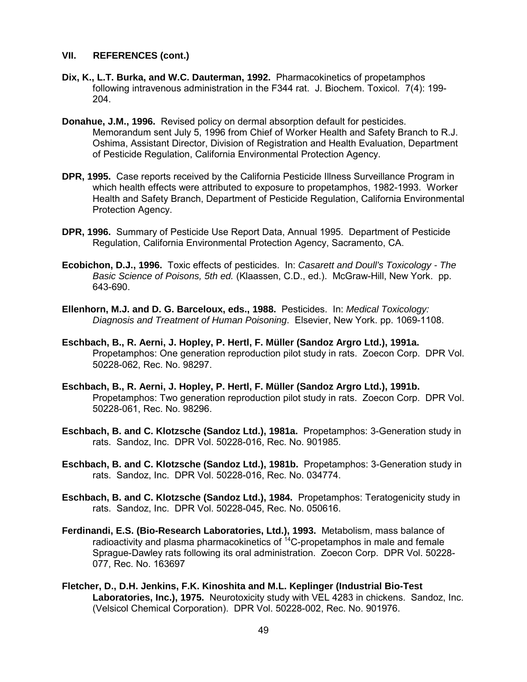- **Dix, K., L.T. Burka, and W.C. Dauterman, 1992.** Pharmacokinetics of propetamphos following intravenous administration in the F344 rat. J. Biochem. Toxicol. 7(4): 199- 204.
- **Donahue, J.M., 1996.** Revised policy on dermal absorption default for pesticides. Memorandum sent July 5, 1996 from Chief of Worker Health and Safety Branch to R.J. Oshima, Assistant Director, Division of Registration and Health Evaluation, Department of Pesticide Regulation, California Environmental Protection Agency.
- **DPR, 1995.** Case reports received by the California Pesticide Illness Surveillance Program in which health effects were attributed to exposure to propetamphos, 1982-1993. Worker Health and Safety Branch, Department of Pesticide Regulation, California Environmental Protection Agency.
- **DPR, 1996.** Summary of Pesticide Use Report Data, Annual 1995. Department of Pesticide Regulation, California Environmental Protection Agency, Sacramento, CA.
- **Ecobichon, D.J., 1996.** Toxic effects of pesticides. In: *Casarett and Doull's Toxicology The Basic Science of Poisons, 5th ed.* (Klaassen, C.D., ed.). McGraw-Hill, New York. pp. 643-690.
- **Ellenhorn, M.J. and D. G. Barceloux, eds., 1988.** Pesticides. In: *Medical Toxicology: Diagnosis and Treatment of Human Poisoning*. Elsevier, New York. pp. 1069-1108.
- **Eschbach, B., R. Aerni, J. Hopley, P. Hertl, F. Müller (Sandoz Argro Ltd.), 1991a.**  Propetamphos: One generation reproduction pilot study in rats. Zoecon Corp. DPR Vol. 50228-062, Rec. No. 98297.
- **Eschbach, B., R. Aerni, J. Hopley, P. Hertl, F. Müller (Sandoz Argro Ltd.), 1991b.**  Propetamphos: Two generation reproduction pilot study in rats. Zoecon Corp. DPR Vol. 50228-061, Rec. No. 98296.
- **Eschbach, B. and C. Klotzsche (Sandoz Ltd.), 1981a.** Propetamphos: 3-Generation study in rats. Sandoz, Inc. DPR Vol. 50228-016, Rec. No. 901985.
- **Eschbach, B. and C. Klotzsche (Sandoz Ltd.), 1981b.** Propetamphos: 3-Generation study in rats. Sandoz, Inc. DPR Vol. 50228-016, Rec. No. 034774.
- **Eschbach, B. and C. Klotzsche (Sandoz Ltd.), 1984.** Propetamphos: Teratogenicity study in rats. Sandoz, Inc. DPR Vol. 50228-045, Rec. No. 050616.
- **Ferdinandi, E.S. (Bio-Research Laboratories, Ltd.), 1993.** Metabolism, mass balance of radioactivity and plasma pharmacokinetics of  $14C$ -propetamphos in male and female Sprague-Dawley rats following its oral administration. Zoecon Corp. DPR Vol. 50228- 077, Rec. No. 163697
- **Fletcher, D., D.H. Jenkins, F.K. Kinoshita and M.L. Keplinger (Industrial Bio-Test Laboratories, Inc.), 1975.** Neurotoxicity study with VEL 4283 in chickens. Sandoz, Inc. (Velsicol Chemical Corporation). DPR Vol. 50228-002, Rec. No. 901976.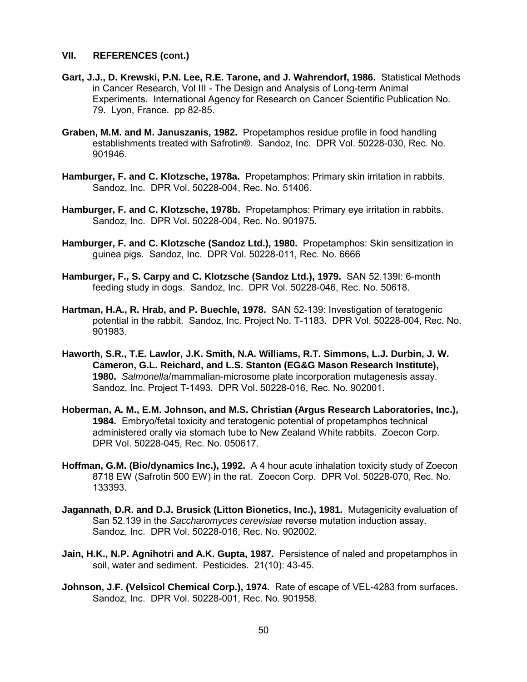- **Gart, J.J., D. Krewski, P.N. Lee, R.E. Tarone, and J. Wahrendorf, 1986.** Statistical Methods in Cancer Research, Vol III - The Design and Analysis of Long-term Animal Experiments. International Agency for Research on Cancer Scientific Publication No. 79. Lyon, France. pp 82-85.
- **Graben, M.M. and M. Januszanis, 1982.** Propetamphos residue profile in food handling establishments treated with Safrotin®. Sandoz, Inc. DPR Vol. 50228-030, Rec. No. 901946.
- **Hamburger, F. and C. Klotzsche, 1978a.** Propetamphos: Primary skin irritation in rabbits. Sandoz, Inc. DPR Vol. 50228-004, Rec. No. 51406.
- **Hamburger, F. and C. Klotzsche, 1978b.** Propetamphos: Primary eye irritation in rabbits. Sandoz, Inc. DPR Vol. 50228-004, Rec. No. 901975.
- **Hamburger, F. and C. Klotzsche (Sandoz Ltd.), 1980.** Propetamphos: Skin sensitization in guinea pigs. Sandoz, Inc. DPR Vol. 50228-011, Rec. No. 6666
- **Hamburger, F., S. Carpy and C. Klotzsche (Sandoz Ltd.), 1979.** SAN 52.139I: 6-month feeding study in dogs. Sandoz, Inc. DPR Vol. 50228-046, Rec. No. 50618.
- **Hartman, H.A., R. Hrab, and P. Buechle, 1978.** SAN 52-139: Investigation of teratogenic potential in the rabbit. Sandoz, Inc. Project No. T-1183. DPR Vol. 50228-004, Rec. No. 901983.
- **1980.** *Salmonella*/mammalian-microsome plate incorporation mutagenesis assay. **Haworth, S.R., T.E. Lawlor, J.K. Smith, N.A. Williams, R.T. Simmons, L.J. Durbin, J. W. Cameron, G.L. Reichard, and L.S. Stanton (EG&G Mason Research Institute),**  Sandoz, Inc. Project T-1493. DPR Vol. 50228-016, Rec. No. 902001.
- **Hoberman, A. M., E.M. Johnson, and M.S. Christian (Argus Research Laboratories, Inc.), 1984.** Embryo/fetal toxicity and teratogenic potential of propetamphos technical administered orally via stomach tube to New Zealand White rabbits. Zoecon Corp. DPR Vol. 50228-045, Rec. No. 050617.
- **Hoffman, G.M. (Bio/dynamics Inc.), 1992.** A 4 hour acute inhalation toxicity study of Zoecon 8718 EW (Safrotin 500 EW) in the rat. Zoecon Corp. DPR Vol. 50228-070, Rec. No. 133393.
- **Jagannath, D.R. and D.J. Brusick (Litton Bionetics, Inc.), 1981.** Mutagenicity evaluation of San 52.139 in the *Saccharomyces cerevisiae* reverse mutation induction assay. Sandoz, Inc. DPR Vol. 50228-016, Rec. No. 902002.
- **Jain, H.K., N.P. Agnihotri and A.K. Gupta, 1987.** Persistence of naled and propetamphos in soil, water and sediment. Pesticides. 21(10): 43-45.
- **Johnson, J.F. (Velsicol Chemical Corp.), 1974.** Rate of escape of VEL-4283 from surfaces. Sandoz, Inc. DPR Vol. 50228-001, Rec. No. 901958.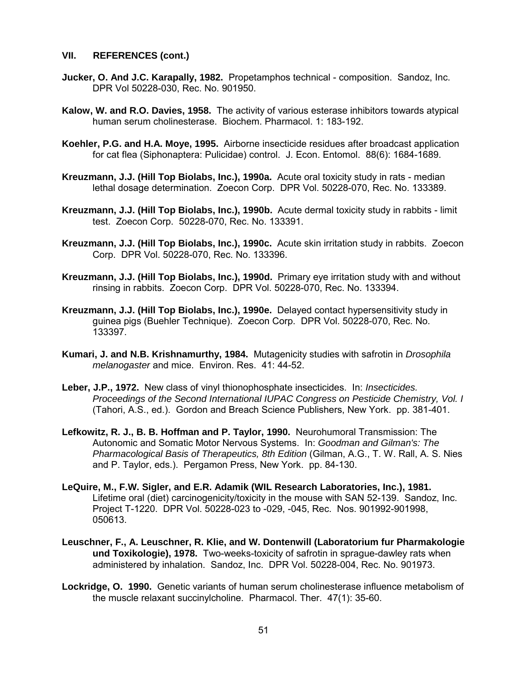- **Jucker, O. And J.C. Karapally, 1982.** Propetamphos technical composition. Sandoz, Inc. DPR Vol 50228-030, Rec. No. 901950.
- **Kalow, W. and R.O. Davies, 1958.** The activity of various esterase inhibitors towards atypical human serum cholinesterase. Biochem. Pharmacol. 1: 183-192.
- **Koehler, P.G. and H.A. Moye, 1995.** Airborne insecticide residues after broadcast application for cat flea (Siphonaptera: Pulicidae) control. J. Econ. Entomol. 88(6): 1684-1689.
- **Kreuzmann, J.J. (Hill Top Biolabs, Inc.), 1990a.** Acute oral toxicity study in rats median lethal dosage determination. Zoecon Corp. DPR Vol. 50228-070, Rec. No. 133389.
- **Kreuzmann, J.J. (Hill Top Biolabs, Inc.), 1990b.** Acute dermal toxicity study in rabbits limit test. Zoecon Corp. 50228-070, Rec. No. 133391.
- **Kreuzmann, J.J. (Hill Top Biolabs, Inc.), 1990c.** Acute skin irritation study in rabbits. Zoecon Corp. DPR Vol. 50228-070, Rec. No. 133396.
- **Kreuzmann, J.J. (Hill Top Biolabs, Inc.), 1990d.** Primary eye irritation study with and without rinsing in rabbits. Zoecon Corp. DPR Vol. 50228-070, Rec. No. 133394.
- **Kreuzmann, J.J. (Hill Top Biolabs, Inc.), 1990e.** Delayed contact hypersensitivity study in guinea pigs (Buehler Technique). Zoecon Corp. DPR Vol. 50228-070, Rec. No. 133397.
- **Kumari, J. and N.B. Krishnamurthy, 1984.** Mutagenicity studies with safrotin in *Drosophila melanogaster* and mice. Environ. Res. 41: 44-52.
- **Leber, J.P., 1972.** New class of vinyl thionophosphate insecticides. In: *Insecticides. Proceedings of the Second International IUPAC Congress on Pesticide Chemistry, Vol. I*  (Tahori, A.S., ed.). Gordon and Breach Science Publishers, New York. pp. 381-401.
- **Lefkowitz, R. J., B. B. Hoffman and P. Taylor, 1990.** Neurohumoral Transmission: The Autonomic and Somatic Motor Nervous Systems. In: *Goodman and Gilman's: The Pharmacological Basis of Therapeutics, 8th Edition* (Gilman, A.G., T. W. Rall, A. S. Nies and P. Taylor, eds.). Pergamon Press, New York. pp. 84-130.
- **LeQuire, M., F.W. Sigler, and E.R. Adamik (WIL Research Laboratories, Inc.), 1981.**  Lifetime oral (diet) carcinogenicity/toxicity in the mouse with SAN 52-139. Sandoz, Inc. Project T-1220. DPR Vol. 50228-023 to -029, -045, Rec. Nos. 901992-901998, 050613.
- **Leuschner, F., A. Leuschner, R. Klie, and W. Dontenwill (Laboratorium fur Pharmakologie und Toxikologie), 1978.** Two-weeks-toxicity of safrotin in sprague-dawley rats when administered by inhalation. Sandoz, Inc. DPR Vol. 50228-004, Rec. No. 901973.
- **Lockridge, O. 1990.** Genetic variants of human serum cholinesterase influence metabolism of the muscle relaxant succinylcholine. Pharmacol. Ther. 47(1): 35-60.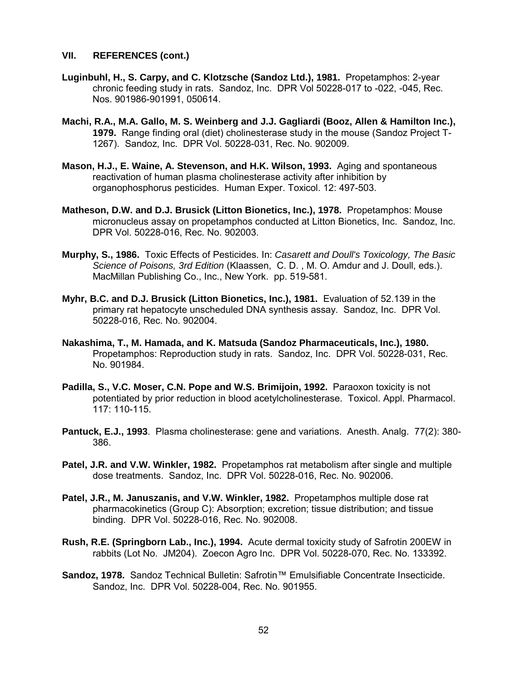- **Luginbuhl, H., S. Carpy, and C. Klotzsche (Sandoz Ltd.), 1981.** Propetamphos: 2-year chronic feeding study in rats. Sandoz, Inc. DPR Vol 50228-017 to -022, -045, Rec. Nos. 901986-901991, 050614.
- **Machi, R.A., M.A. Gallo, M. S. Weinberg and J.J. Gagliardi (Booz, Allen & Hamilton Inc.), 1979.** Range finding oral (diet) cholinesterase study in the mouse (Sandoz Project T-1267). Sandoz, Inc. DPR Vol. 50228-031, Rec. No. 902009.
- **Mason, H.J., E. Waine, A. Stevenson, and H.K. Wilson, 1993.** Aging and spontaneous reactivation of human plasma cholinesterase activity after inhibition by organophosphorus pesticides. Human Exper. Toxicol. 12: 497-503.
- **Matheson, D.W. and D.J. Brusick (Litton Bionetics, Inc.), 1978.** Propetamphos: Mouse micronucleus assay on propetamphos conducted at Litton Bionetics, Inc. Sandoz, Inc. DPR Vol. 50228-016, Rec. No. 902003.
- **Murphy, S., 1986.** Toxic Effects of Pesticides. In: *Casarett and Doull's Toxicology, The Basic Science of Poisons, 3rd Edition* (Klaassen, C. D. , M. O. Amdur and J. Doull, eds.). MacMillan Publishing Co., Inc., New York. pp. 519-581.
- **Myhr, B.C. and D.J. Brusick (Litton Bionetics, Inc.), 1981.** Evaluation of 52.139 in the primary rat hepatocyte unscheduled DNA synthesis assay. Sandoz, Inc. DPR Vol. 50228-016, Rec. No. 902004.
- **Nakashima, T., M. Hamada, and K. Matsuda (Sandoz Pharmaceuticals, Inc.), 1980.**  Propetamphos: Reproduction study in rats. Sandoz, Inc. DPR Vol. 50228-031, Rec. No. 901984.
- **Padilla, S., V.C. Moser, C.N. Pope and W.S. Brimijoin, 1992.** Paraoxon toxicity is not potentiated by prior reduction in blood acetylcholinesterase. Toxicol. Appl. Pharmacol. 117: 110-115.
- **Pantuck, E.J., 1993**. Plasma cholinesterase: gene and variations. Anesth. Analg. 77(2): 380- 386.
- **Patel, J.R. and V.W. Winkler, 1982.** Propetamphos rat metabolism after single and multiple dose treatments. Sandoz, Inc. DPR Vol. 50228-016, Rec. No. 902006.
- **Patel, J.R., M. Januszanis, and V.W. Winkler, 1982.** Propetamphos multiple dose rat pharmacokinetics (Group C): Absorption; excretion; tissue distribution; and tissue binding. DPR Vol. 50228-016, Rec. No. 902008.
- **Rush, R.E. (Springborn Lab., Inc.), 1994.** Acute dermal toxicity study of Safrotin 200EW in rabbits (Lot No. JM204). Zoecon Agro Inc. DPR Vol. 50228-070, Rec. No. 133392.
- **Sandoz, 1978.** Sandoz Technical Bulletin: Safrotin™ Emulsifiable Concentrate Insecticide. Sandoz, Inc. DPR Vol. 50228-004, Rec. No. 901955.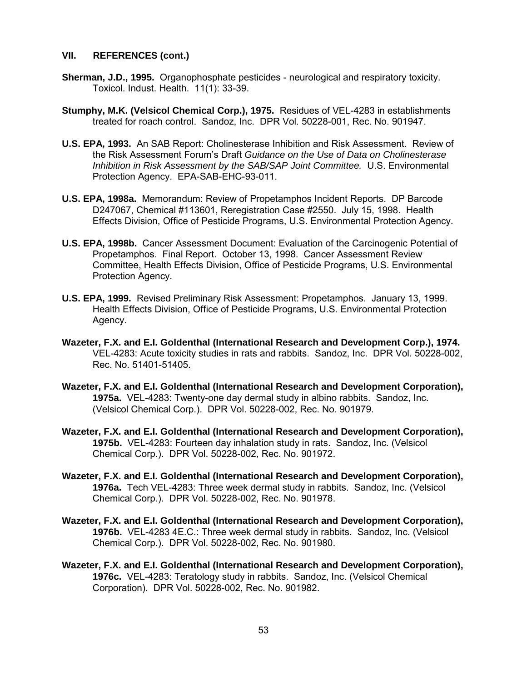- **Sherman, J.D., 1995.** Organophosphate pesticides neurological and respiratory toxicity. Toxicol. Indust. Health. 11(1): 33-39.
- **Stumphy, M.K. (Velsicol Chemical Corp.), 1975.** Residues of VEL-4283 in establishments treated for roach control. Sandoz, Inc. DPR Vol. 50228-001, Rec. No. 901947.
- **U.S. EPA, 1993.** An SAB Report: Cholinesterase Inhibition and Risk Assessment. Review of the Risk Assessment Forum's Draft *Guidance on the Use of Data on Cholinesterase Inhibition in Risk Assessment by the SAB/SAP Joint Committee.* U.S. Environmental Protection Agency. EPA-SAB-EHC-93-011.
- **U.S. EPA, 1998a.** Memorandum: Review of Propetamphos Incident Reports. DP Barcode D247067, Chemical #113601, Reregistration Case #2550. July 15, 1998. Health Effects Division, Office of Pesticide Programs, U.S. Environmental Protection Agency.
- **U.S. EPA, 1998b.** Cancer Assessment Document: Evaluation of the Carcinogenic Potential of Propetamphos. Final Report. October 13, 1998. Cancer Assessment Review Committee, Health Effects Division, Office of Pesticide Programs, U.S. Environmental Protection Agency.
- **U.S. EPA, 1999.** Revised Preliminary Risk Assessment: Propetamphos. January 13, 1999. Health Effects Division, Office of Pesticide Programs, U.S. Environmental Protection Agency.
- **Wazeter, F.X. and E.I. Goldenthal (International Research and Development Corp.), 1974.**  VEL-4283: Acute toxicity studies in rats and rabbits. Sandoz, Inc. DPR Vol. 50228-002, Rec. No. 51401-51405.
- **Wazeter, F.X. and E.I. Goldenthal (International Research and Development Corporation), 1975a.** VEL-4283: Twenty-one day dermal study in albino rabbits. Sandoz, Inc. (Velsicol Chemical Corp.). DPR Vol. 50228-002, Rec. No. 901979.
- **Wazeter, F.X. and E.I. Goldenthal (International Research and Development Corporation), 1975b.** VEL-4283: Fourteen day inhalation study in rats. Sandoz, Inc. (Velsicol Chemical Corp.). DPR Vol. 50228-002, Rec. No. 901972.
- **Wazeter, F.X. and E.I. Goldenthal (International Research and Development Corporation), 1976a.** Tech VEL-4283: Three week dermal study in rabbits. Sandoz, Inc. (Velsicol Chemical Corp.). DPR Vol. 50228-002, Rec. No. 901978.
- **Wazeter, F.X. and E.I. Goldenthal (International Research and Development Corporation), 1976b.** VEL-4283 4E.C.: Three week dermal study in rabbits. Sandoz, Inc. (Velsicol Chemical Corp.). DPR Vol. 50228-002, Rec. No. 901980.
- **Wazeter, F.X. and E.I. Goldenthal (International Research and Development Corporation), 1976c.** VEL-4283: Teratology study in rabbits. Sandoz, Inc. (Velsicol Chemical Corporation). DPR Vol. 50228-002, Rec. No. 901982.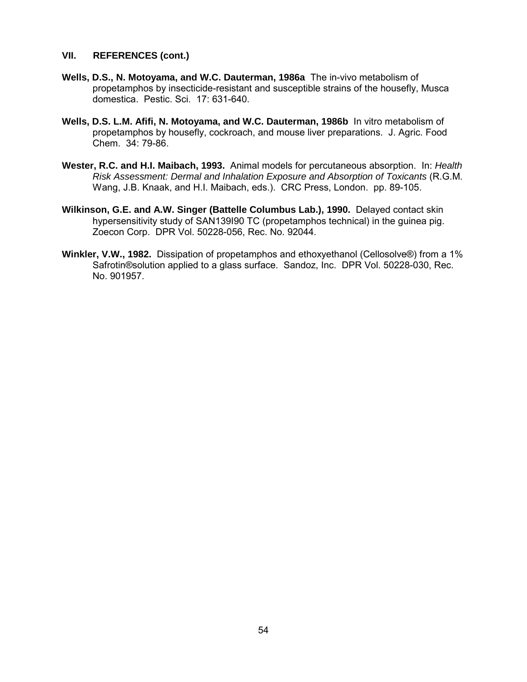- **Wells, D.S., N. Motoyama, and W.C. Dauterman, 1986a** The in-vivo metabolism of propetamphos by insecticide-resistant and susceptible strains of the housefly, Musca domestica. Pestic. Sci. 17: 631-640.
- **Wells, D.S. L.M. Afifi, N. Motoyama, and W.C. Dauterman, 1986b** In vitro metabolism of propetamphos by housefly, cockroach, and mouse liver preparations. J. Agric. Food Chem. 34: 79-86.
- **Wester, R.C. and H.I. Maibach, 1993.** Animal models for percutaneous absorption. In: *Health Risk Assessment: Dermal and Inhalation Exposure and Absorption of Toxicants* (R.G.M. Wang, J.B. Knaak, and H.I. Maibach, eds.). CRC Press, London. pp. 89-105.
- **Wilkinson, G.E. and A.W. Singer (Battelle Columbus Lab.), 1990.** Delayed contact skin hypersensitivity study of SAN139I90 TC (propetamphos technical) in the guinea pig. Zoecon Corp. DPR Vol. 50228-056, Rec. No. 92044.
- **Winkler, V.W., 1982.** Dissipation of propetamphos and ethoxyethanol (Cellosolve®) from a 1% Safrotin®solution applied to a glass surface. Sandoz, Inc. DPR Vol. 50228-030, Rec. No. 901957.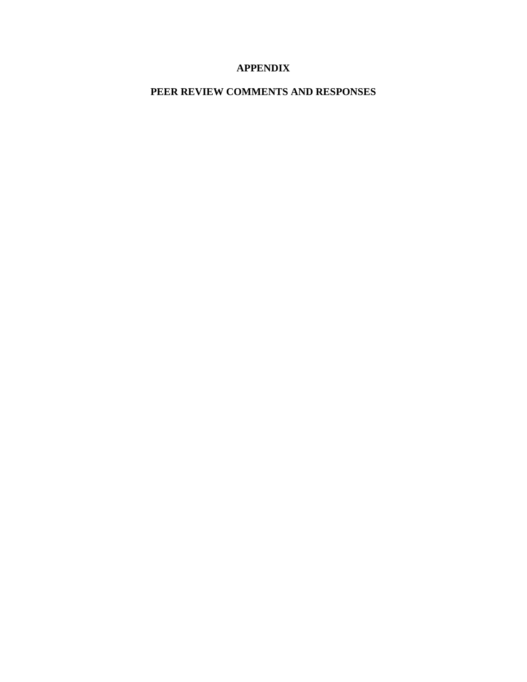# **APPENDIX**

# **PEER REVIEW COMMENTS AND RESPONSES**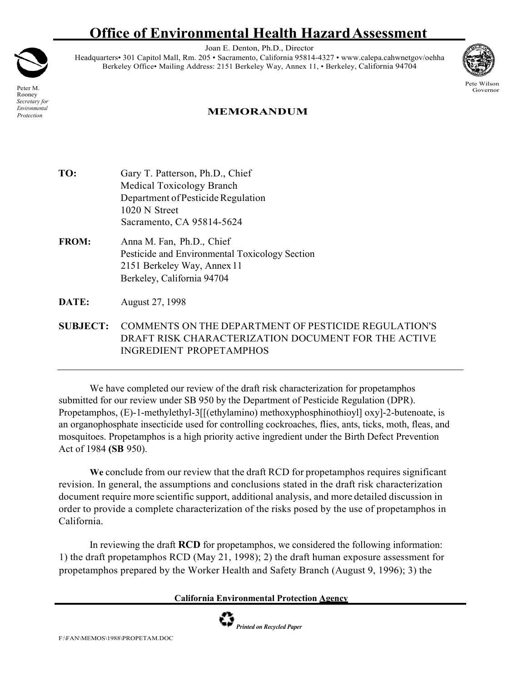# **Office of Environmental Health HazardAssessment**

Joan E. Denton, Ph.D., Director

Headquarters• 301 Capitol Mall, Rm. 205 • Sacramento, California 95814-4327 [• www.calepa.cahwnetgov/oehha](http://www.calepa.cahwnetgov/oehha) Berkeley Office• Mailing Address: 2151 Berkeley Way, Annex 11, • Berkeley, California 94704



Pete Wilson **Governor** 

Peter M. Rooney *Secretary for Environmental Protection*

## **MEMORANDUM**

- TO: Gary T. Patterson, Ph.D., Chief Medical Toxicology Branch Department of Pesticide Regulation 1020 N Street Sacramento, CA 95814-5624
- **FROM:** Anna M. Fan, Ph.D., Chief Pesticide and Environmental Toxicology Section 2151 Berkeley Way, Annex 11 Berkeley, California 94704
- **DATE:** August 27, 1998
- **SUBJECT:** COMMENTS ON THE DEPARTMENT OF PESTICIDE REGULATION'S DRAFT RISK CHARACTERIZATION DOCUMENT FOR THE ACTIVE INGREDIENT PROPETAMPHOS

We have completed our review of the draft risk characterization for propetamphos submitted for our review under SB 950 by the Department of Pesticide Regulation (DPR). Propetamphos, (E)-1-methylethyl-3[[(ethylamino) methoxyphosphinothioyl] oxy]-2-butenoate, is an organophosphate insecticide used for controlling cockroaches, flies, ants, ticks, moth, fleas, and mosquitoes. Propetamphos is a high priority active ingredient under the Birth Defect Prevention Act of 1984 **(SB** 950).

**We** conclude from our review that the draft RCD for propetamphos requires significant revision. In general, the assumptions and conclusions stated in the draft risk characterization document require more scientific support, additional analysis, and more detailed discussion in order to provide a complete characterization of the risks posed by the use of propetamphos in California.

In reviewing the draft **RCD** for propetamphos, we considered the following information: 1) the draft propetamphos RCD (May 21, 1998); 2) the draft human exposure assessment for propetamphos prepared by the Worker Health and Safety Branch (August 9, 1996); 3) the

#### **California Environmental Protection Agency**

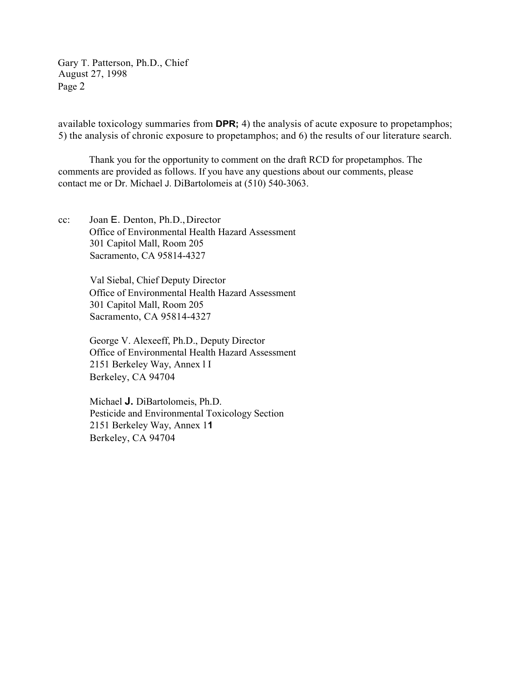Gary T. Patterson, Ph.D., Chief August 27, 1998 Page 2

available toxicology summaries from **DPR;** 4) the analysis of acute exposure to propetamphos; 5) the analysis of chronic exposure to propetamphos; and 6) the results of our literature search.

Thank you for the opportunity to comment on the draft RCD for propetamphos. The comments are provided as follows. If you have any questions about our comments, please contact me or Dr. Michael J. DiBartolomeis at (510) 540-3063.

cc: Joan E. Denton, Ph.D.,Director Office of Environmental Health Hazard Assessment 301 Capitol Mall, Room 205 Sacramento, CA 95814-4327

> Val Siebal, Chief Deputy Director Office of Environmental Health Hazard Assessment 301 Capitol Mall, Room 205 Sacramento, CA 95814-4327

> George V. Alexeeff, Ph.D., Deputy Director Office of Environmental Health Hazard Assessment 2151 Berkeley Way, Annex l I Berkeley, CA 94704

Michael **J.** DiBartolomeis, Ph.D. Pesticide and Environmental Toxicology Section 2151 Berkeley Way, Annex 1**1**  Berkeley, CA 94704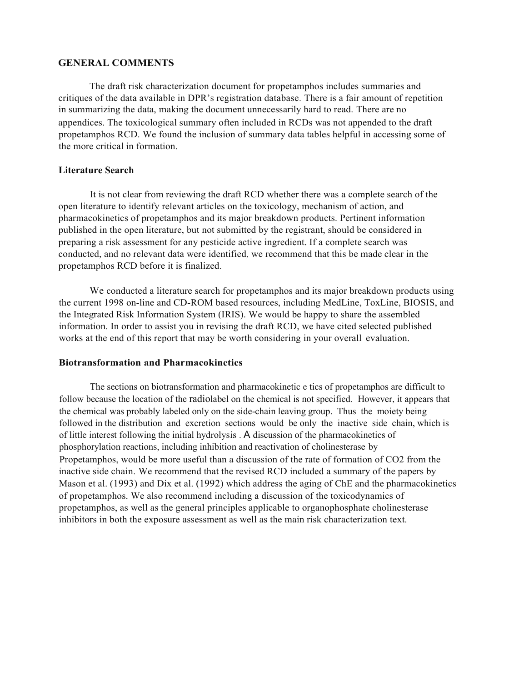#### **GENERAL COMMENTS**

The draft risk characterization document for propetamphos includes summaries and critiques of the data available in DPR's registration database. There is a fair amount of repetition in summarizing the data, making the document unnecessarily hard to read. There are no appendices. The toxicological summary often included in RCDs was not appended to the draft propetamphos RCD. We found the inclusion of summary data tables helpful in accessing some of the more critical in formation.

#### **Literature Search**

It is not clear from reviewing the draft RCD whether there was a complete search of the open literature to identify relevant articles on the toxicology, mechanism of action, and pharmacokinetics of propetamphos and its major breakdown products. Pertinent information published in the open literature, but not submitted by the registrant, should be considered in preparing a risk assessment for any pesticide active ingredient. If a complete search was conducted, and no relevant data were identified, we recommend that this be made clear in the propetamphos RCD before it is finalized.

We conducted a literature search for propetamphos and its major breakdown products using the current 1998 on-line and CD-ROM based resources, including MedLine, ToxLine, BIOSIS, and the Integrated Risk Information System (IRIS). We would be happy to share the assembled information. In order to assist you in revising the draft RCD, we have cited selected published works at the end of this report that may be worth considering in your overall evaluation.

#### **Biotransformation and Pharmacokinetics**

The sections on biotransformation and pharmacokinetic e tics of propetamphos are difficult to follow because the location of the radiolabel on the chemical is not specified. However, it appears that the chemical was probably labeled only on the side-chain leaving group. Thus the moiety being followed in the distribution and excretion sections would be only the inactive side chain, which is of little interest following the initial hydrolysis . A discussion of the pharmacokinetics of phosphorylation reactions, including inhibition and reactivation of cholinesterase by Propetamphos, would be more useful than a discussion of the rate of formation of CO2 from the inactive side chain. We recommend that the revised RCD included a summary of the papers by Mason et al. (1993) and Dix et al. (1992) which address the aging of ChE and the pharmacokinetics of propetamphos. We also recommend including a discussion of the toxicodynamics of propetamphos, as well as the general principles applicable to organophosphate cholinesterase inhibitors in both the exposure assessment as well as the main risk characterization text.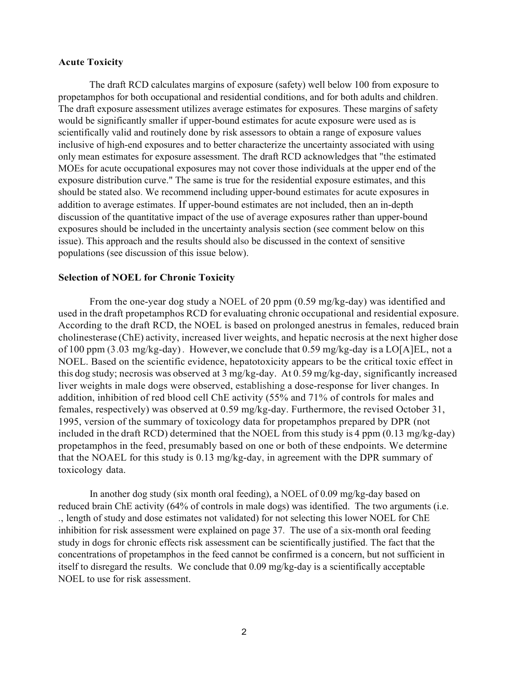#### **Acute Toxicity**

The draft RCD calculates margins of exposure (safety) well below 100 from exposure to propetamphos for both occupational and residential conditions, and for both adults and children. The draft exposure assessment utilizes average estimates for exposures. These margins of safety would be significantly smaller if upper-bound estimates for acute exposure were used as is scientifically valid and routinely done by risk assessors to obtain a range of exposure values inclusive of high-end exposures and to better characterize the uncertainty associated with using only mean estimates for exposure assessment. The draft RCD acknowledges that "the estimated MOEs for acute occupational exposures may not cover those individuals at the upper end of the exposure distribution curve." The same is true for the residential exposure estimates, and this should be stated also. We recommend including upper-bound estimates for acute exposures in addition to average estimates. If upper-bound estimates are not included, then an in-depth discussion of the quantitative impact of the use of average exposures rather than upper-bound exposures should be included in the uncertainty analysis section (see comment below on this issue). This approach and the results should also be discussed in the context of sensitive populations (see discussion of this issue below).

#### **Selection of NOEL for Chronic Toxicity**

From the one-year dog study a NOEL of 20 ppm (0.59 mg/kg-day) was identified and used in the draft propetamphos RCD for evaluating chronic occupational and residential exposure. According to the draft RCD, the NOEL is based on prolonged anestrus in females, reduced brain cholinesterase (ChE) activity, increased liver weights, and hepatic necrosis at the next higher dose of 100 ppm (3.03 mg/kg-day). However,we conclude that 0.59 mg/kg-day is a LO[A]EL, not a NOEL. Based on the scientific evidence, hepatotoxicity appears to be the critical toxic effect in this dog study; necrosis was observed at 3 mg/kg-day. At 0. 59 mg/kg-day, significantly increased liver weights in male dogs were observed, establishing a dose-response for liver changes. In addition, inhibition of red blood cell ChE activity (55% and 71% of controls for males and females, respectively) was observed at 0.59 mg/kg-day. Furthermore, the revised October 31, 1995, version of the summary of toxicology data for propetamphos prepared by DPR (not included in the draft RCD) determined that the NOEL from this study is 4 ppm (0.13 mg/kg-day) propetamphos in the feed, presumably based on one or both of these endpoints. We determine that the NOAEL for this study is 0.13 mg/kg-day, in agreement with the DPR summary of toxicology data.

In another dog study (six month oral feeding), a NOEL of 0.09 mg/kg-day based on reduced brain ChE activity (64% of controls in male dogs) was identified. The two arguments (i.e. ., length of study and dose estimates not validated) for not selecting this lower NOEL for ChE inhibition for risk assessment were explained on page 37. The use of a six-month oral feeding study in dogs for chronic effects risk assessment can be scientifically justified. The fact that the concentrations of propetamphos in the feed cannot be confirmed is a concern, but not sufficient in itself to disregard the results. We conclude that 0.09 mg/kg-day is a scientifically acceptable NOEL to use for risk assessment.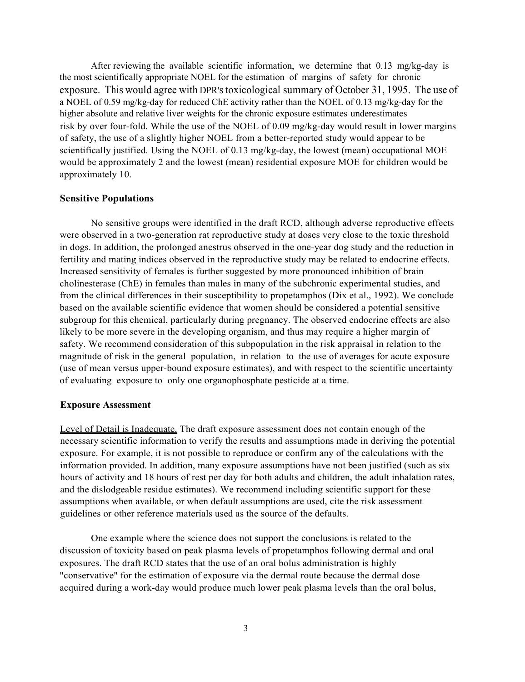After reviewing the available scientific information, we determine that 0.13 mg/kg-day is the most scientifically appropriate NOEL for the estimation of margins of safety for chronic exposure. This would agree with DPR's toxicological summary of October 31, 1995. The use of a NOEL of 0.59 mg/kg-day for reduced ChE activity rather than the NOEL of 0.13 mg/kg-day for the higher absolute and relative liver weights for the chronic exposure estimates underestimates risk by over four-fold. While the use of the NOEL of 0.09 mg/kg-day would result in lower margins of safety, the use of a slightly higher NOEL from a better-reported study would appear to be scientifically justified. Using the NOEL of 0.13 mg/kg-day, the lowest (mean) occupational MOE would be approximately 2 and the lowest (mean) residential exposure MOE for children would be approximately 10.

#### **Sensitive Populations**

No sensitive groups were identified in the draft RCD, although adverse reproductive effects were observed in a two-generation rat reproductive study at doses very close to the toxic threshold in dogs. In addition, the prolonged anestrus observed in the one-year dog study and the reduction in fertility and mating indices observed in the reproductive study may be related to endocrine effects. Increased sensitivity of females is further suggested by more pronounced inhibition of brain cholinesterase (ChE) in females than males in many of the subchronic experimental studies, and from the clinical differences in their susceptibility to propetamphos (Dix et al., 1992). We conclude based on the available scientific evidence that women should be considered a potential sensitive subgroup for this chemical, particularly during pregnancy. The observed endocrine effects are also likely to be more severe in the developing organism, and thus may require a higher margin of safety. We recommend consideration of this subpopulation in the risk appraisal in relation to the magnitude of risk in the general population, in relation to the use of averages for acute exposure (use of mean versus upper-bound exposure estimates), and with respect to the scientific uncertainty of evaluating exposure to only one organophosphate pesticide at a time.

#### **Exposure Assessment**

Level of Detail is Inadequate. The draft exposure assessment does not contain enough of the necessary scientific information to verify the results and assumptions made in deriving the potential exposure. For example, it is not possible to reproduce or confirm any of the calculations with the information provided. In addition, many exposure assumptions have not been justified (such as six hours of activity and 18 hours of rest per day for both adults and children, the adult inhalation rates, and the dislodgeable residue estimates). We recommend including scientific support for these assumptions when available, or when default assumptions are used, cite the risk assessment guidelines or other reference materials used as the source of the defaults.

One example where the science does not support the conclusions is related to the discussion of toxicity based on peak plasma levels of propetamphos following dermal and oral exposures. The draft RCD states that the use of an oral bolus administration is highly "conservative" for the estimation of exposure via the dermal route because the dermal dose acquired during a work-day would produce much lower peak plasma levels than the oral bolus,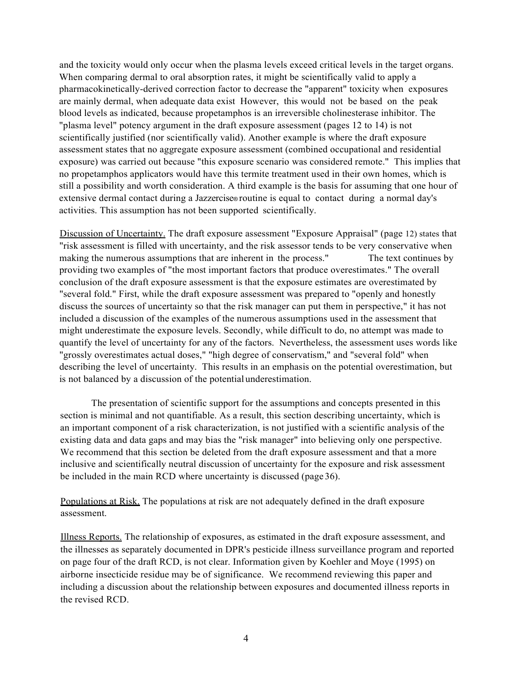and the toxicity would only occur when the plasma levels exceed critical levels in the target organs. When comparing dermal to oral absorption rates, it might be scientifically valid to apply a pharmacokinetically-derived correction factor to decrease the "apparent" toxicity when exposures are mainly dermal, when adequate data exist However, this would not be based on the peak blood levels as indicated, because propetamphos is an irreversible cholinesterase inhibitor. The "plasma level" potency argument in the draft exposure assessment (pages 12 to 14) is not scientifically justified (nor scientifically valid). Another example is where the draft exposure assessment states that no aggregate exposure assessment (combined occupational and residential exposure) was carried out because "this exposure scenario was considered remote." This implies that no propetamphos applicators would have this termite treatment used in their own homes, which is still a possibility and worth consideration. A third example is the basis for assuming that one hour of extensive dermal contact during a Jazzercise® routine is equal to contact during a normal day's activities. This assumption has not been supported scientifically.

Discussion of Uncertainty. The draft exposure assessment "Exposure Appraisal" (page 12) states that "risk assessment is filled with uncertainty, and the risk assessor tends to be very conservative when making the numerous assumptions that are inherent in the process." The text continues by providing two examples of "the most important factors that produce overestimates." The overall conclusion of the draft exposure assessment is that the exposure estimates are overestimated by "several fold." First, while the draft exposure assessment was prepared to "openly and honestly discuss the sources of uncertainty so that the risk manager can put them in perspective," it has not included a discussion of the examples of the numerous assumptions used in the assessment that might underestimate the exposure levels. Secondly, while difficult to do, no attempt was made to quantify the level of uncertainty for any of the factors. Nevertheless, the assessment uses words like "grossly overestimates actual doses," "high degree of conservatism," and "several fold" when describing the level of uncertainty. This results in an emphasis on the potential overestimation, but is not balanced by a discussion of the potential underestimation.

The presentation of scientific support for the assumptions and concepts presented in this section is minimal and not quantifiable. As a result, this section describing uncertainty, which is an important component of a risk characterization, is not justified with a scientific analysis of the existing data and data gaps and may bias the "risk manager" into believing only one perspective. We recommend that this section be deleted from the draft exposure assessment and that a more inclusive and scientifically neutral discussion of uncertainty for the exposure and risk assessment be included in the main RCD where uncertainty is discussed (page 36).

Populations at Risk. The populations at risk are not adequately defined in the draft exposure assessment.

Illness Reports. The relationship of exposures, as estimated in the draft exposure assessment, and the illnesses as separately documented in DPR's pesticide illness surveillance program and reported on page four of the draft RCD, is not clear. Information given by Koehler and Moye (1995) on airborne insecticide residue may be of significance. We recommend reviewing this paper and including a discussion about the relationship between exposures and documented illness reports in the revised RCD.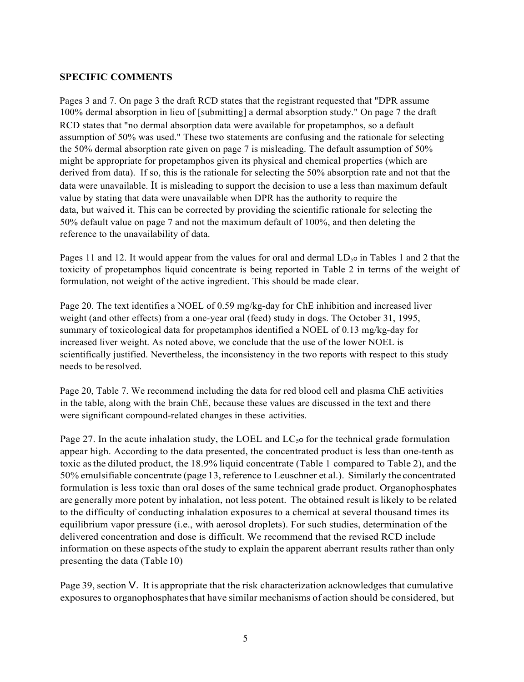#### **SPECIFIC COMMENTS**

Pages 3 and 7. On page 3 the draft RCD states that the registrant requested that "DPR assume 100% dermal absorption in lieu of [submitting] a dermal absorption study." On page 7 the draft RCD states that "no dermal absorption data were available for propetamphos, so a default assumption of 50% was used." These two statements are confusing and the rationale for selecting the 50% dermal absorption rate given on page 7 is misleading. The default assumption of 50% might be appropriate for propetamphos given its physical and chemical properties (which are derived from data). If so, this is the rationale for selecting the 50% absorption rate and not that the data were unavailable. It is misleading to support the decision to use a less than maximum default value by stating that data were unavailable when DPR has the authority to require the data, but waived it. This can be corrected by providing the scientific rationale for selecting the 50% default value on page 7 and not the maximum default of 100%, and then deleting the reference to the unavailability of data.

Pages 11 and 12. It would appear from the values for oral and dermal  $LD<sub>5</sub>$  o in Tables 1 and 2 that the toxicity of propetamphos liquid concentrate is being reported in Table 2 in terms of the weight of formulation, not weight of the active ingredient. This should be made clear.

Page 20. The text identifies a NOEL of 0.59 mg/kg-day for ChE inhibition and increased liver weight (and other effects) from a one-year oral (feed) study in dogs. The October 31, 1995, summary of toxicological data for propetamphos identified a NOEL of 0.13 mg/kg-day for increased liver weight. As noted above, we conclude that the use of the lower NOEL is scientifically justified. Nevertheless, the inconsistency in the two reports with respect to this study needs to be resolved.

Page 20, Table 7. We recommend including the data for red blood cell and plasma ChE activities in the table, along with the brain ChE, because these values are discussed in the text and there were significant compound-related changes in these activities.

Page 27. In the acute inhalation study, the LOEL and  $LC_{50}$  for the technical grade formulation appear high. According to the data presented, the concentrated product is less than one-tenth as toxic asthe diluted product, the 18.9% liquid concentrate (Table 1 compared to Table 2), and the 50% emulsifiable concentrate (page 13, reference to Leuschner et al.). Similarly the concentrated formulation is less toxic than oral doses of the same technical grade product. Organophosphates are generally more potent by inhalation, not less potent. The obtained result islikely to be related to the difficulty of conducting inhalation exposures to a chemical at several thousand times its equilibrium vapor pressure (i.e., with aerosol droplets). For such studies, determination of the delivered concentration and dose is difficult. We recommend that the revised RCD include information on these aspects ofthe study to explain the apparent aberrant results rather than only presenting the data (Table 10)

Page 39, section V. It is appropriate that the risk characterization acknowledges that cumulative exposuresto organophosphatesthat have similar mechanisms of action should be considered, but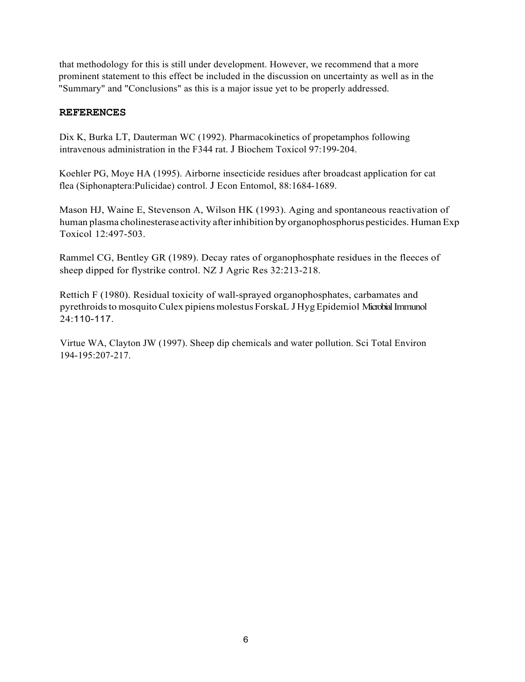that methodology for this is still under development. However, we recommend that a more prominent statement to this effect be included in the discussion on uncertainty as well as in the "Summary" and "Conclusions" as this is a major issue yet to be properly addressed.

#### **REFERENCES**

Dix K, Burka LT, Dauterman WC (1992). Pharmacokinetics of propetamphos following intravenous administration in the F344 rat. J Biochem Toxicol 97:199-204.

Koehler PG, Moye HA (1995). Airborne insecticide residues after broadcast application for cat flea (Siphonaptera:Pulicidae) control. J Econ Entomol, 88:1684-1689.

Mason HJ, Waine E, Stevenson A, Wilson HK (1993). Aging and spontaneous reactivation of human plasma cholinesterase activity after inhibition by organophosphorus pesticides. Human Exp Toxicol 12:497-503.

Rammel CG, Bentley GR (1989). Decay rates of organophosphate residues in the fleeces of sheep dipped for flystrike control. NZ J Agric Res 32:213-218.

Rettich F (1980). Residual toxicity of wall-sprayed organophosphates, carbamates and pyrethroids to mosquito Culex pipiens molestus ForskaL J Hyg Epidemiol Microbial Immunol 24:110-117.

Virtue WA, Clayton JW (1997). Sheep dip chemicals and water pollution. Sci Total Environ 194-195:207-217.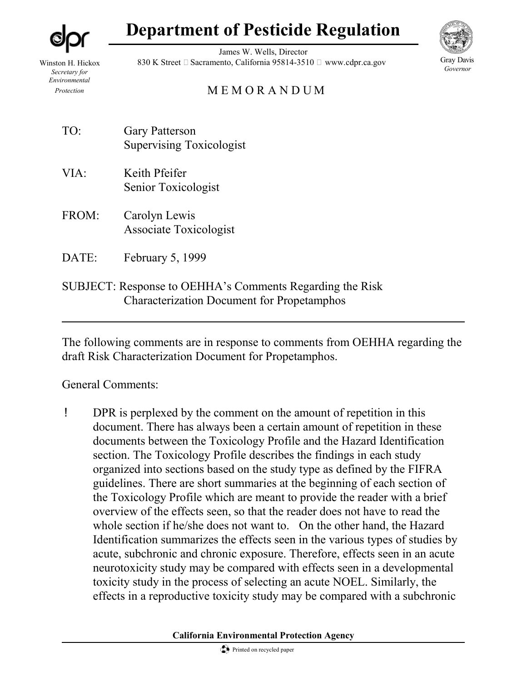**Department of Pesticide Regulation**

Winston H. Hickox *Secretary for Environmental Protection*

James W. Wells, Director 830 K Street  $\Box$  Sacramento, California 95814-3510  $\Box$  www.cdpr.ca.gov



Gray Davis *Governor*

# M E M O R A N D U M

- TO: Gary Patterson Supervising Toxicologist
- VIA: Keith Pfeifer Senior Toxicologist
- FROM: Carolyn Lewis Associate Toxicologist
- DATE: February 5, 1999
- SUBJECT: Response to OEHHA's Comments Regarding the Risk Characterization Document for Propetamphos

The following comments are in response to comments from OEHHA regarding the draft Risk Characterization Document for Propetamphos.

# General Comments:

! DPR is perplexed by the comment on the amount of repetition in this document. There has always been a certain amount of repetition in these documents between the Toxicology Profile and the Hazard Identification section. The Toxicology Profile describes the findings in each study organized into sections based on the study type as defined by the FIFRA guidelines. There are short summaries at the beginning of each section of the Toxicology Profile which are meant to provide the reader with a brief overview of the effects seen, so that the reader does not have to read the whole section if he/she does not want to. On the other hand, the Hazard Identification summarizes the effects seen in the various types of studies by acute, subchronic and chronic exposure. Therefore, effects seen in an acute neurotoxicity study may be compared with effects seen in a developmental toxicity study in the process of selecting an acute NOEL. Similarly, the effects in a reproductive toxicity study may be compared with a subchronic

**California Environmental Protection Agency**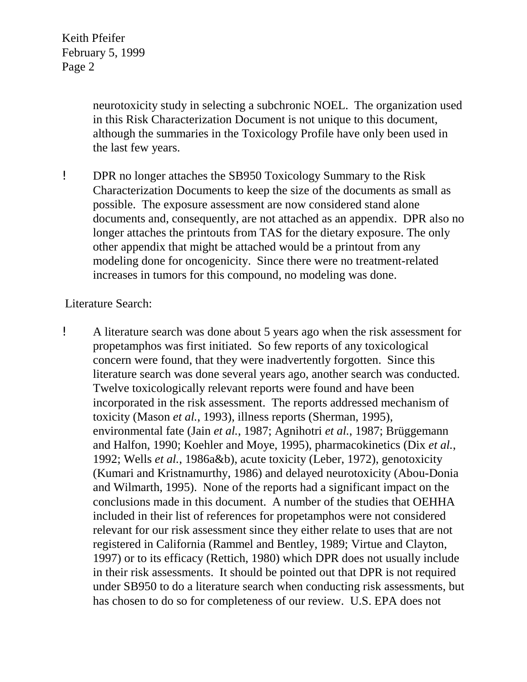Keith Pfeifer February 5, 1999 Page 2

> neurotoxicity study in selecting a subchronic NOEL. The organization used in this Risk Characterization Document is not unique to this document, although the summaries in the Toxicology Profile have only been used in the last few years.

! DPR no longer attaches the SB950 Toxicology Summary to the Risk Characterization Documents to keep the size of the documents as small as possible. The exposure assessment are now considered stand alone documents and, consequently, are not attached as an appendix. DPR also no longer attaches the printouts from TAS for the dietary exposure. The only other appendix that might be attached would be a printout from any modeling done for oncogenicity. Since there were no treatment-related increases in tumors for this compound, no modeling was done.

# Literature Search:

! A literature search was done about 5 years ago when the risk assessment for propetamphos was first initiated. So few reports of any toxicological concern were found, that they were inadvertently forgotten. Since this literature search was done several years ago, another search was conducted. Twelve toxicologically relevant reports were found and have been incorporated in the risk assessment. The reports addressed mechanism of toxicity (Mason *et al.*, 1993), illness reports (Sherman, 1995), environmental fate (Jain *et al.*, 1987; Agnihotri *et al.*, 1987; Brüggemann and Halfon, 1990; Koehler and Moye, 1995), pharmacokinetics (Dix *et al.*, 1992; Wells *et al.*, 1986a&b), acute toxicity (Leber, 1972), genotoxicity (Kumari and Kristnamurthy, 1986) and delayed neurotoxicity (Abou-Donia and Wilmarth, 1995). None of the reports had a significant impact on the conclusions made in this document. A number of the studies that OEHHA included in their list of references for propetamphos were not considered relevant for our risk assessment since they either relate to uses that are not registered in California (Rammel and Bentley, 1989; Virtue and Clayton, 1997) or to its efficacy (Rettich, 1980) which DPR does not usually include in their risk assessments. It should be pointed out that DPR is not required under SB950 to do a literature search when conducting risk assessments, but has chosen to do so for completeness of our review. U.S. EPA does not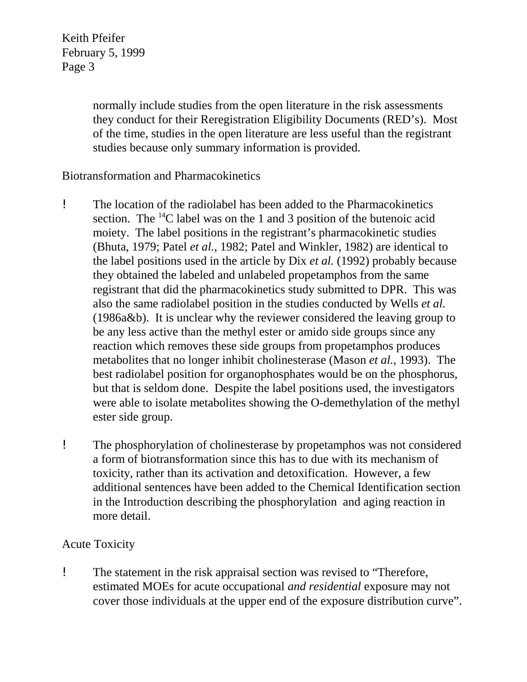Keith Pfeifer February 5, 1999 Page 3

> normally include studies from the open literature in the risk assessments they conduct for their Reregistration Eligibility Documents (RED's). Most of the time, studies in the open literature are less useful than the registrant studies because only summary information is provided.

# Biotransformation and Pharmacokinetics

- ! The location of the radiolabel has been added to the Pharmacokinetics section. The  $^{14}$ C label was on the 1 and 3 position of the butenoic acid moiety. The label positions in the registrant's pharmacokinetic studies (Bhuta, 1979; Patel *et al.*, 1982; Patel and Winkler, 1982) are identical to the label positions used in the article by Dix *et al.* (1992) probably because they obtained the labeled and unlabeled propetamphos from the same registrant that did the pharmacokinetics study submitted to DPR. This was also the same radiolabel position in the studies conducted by Wells *et al.*  (1986a&b). It is unclear why the reviewer considered the leaving group to be any less active than the methyl ester or amido side groups since any reaction which removes these side groups from propetamphos produces metabolites that no longer inhibit cholinesterase (Mason *et al.*, 1993). The best radiolabel position for organophosphates would be on the phosphorus, but that is seldom done. Despite the label positions used, the investigators were able to isolate metabolites showing the O-demethylation of the methyl ester side group.
- ! The phosphorylation of cholinesterase by propetamphos was not considered a form of biotransformation since this has to due with its mechanism of toxicity, rather than its activation and detoxification. However, a few additional sentences have been added to the Chemical Identification section in the Introduction describing the phosphorylation and aging reaction in more detail.

# Acute Toxicity

! The statement in the risk appraisal section was revised to "Therefore, estimated MOEs for acute occupational *and residential* exposure may not cover those individuals at the upper end of the exposure distribution curve".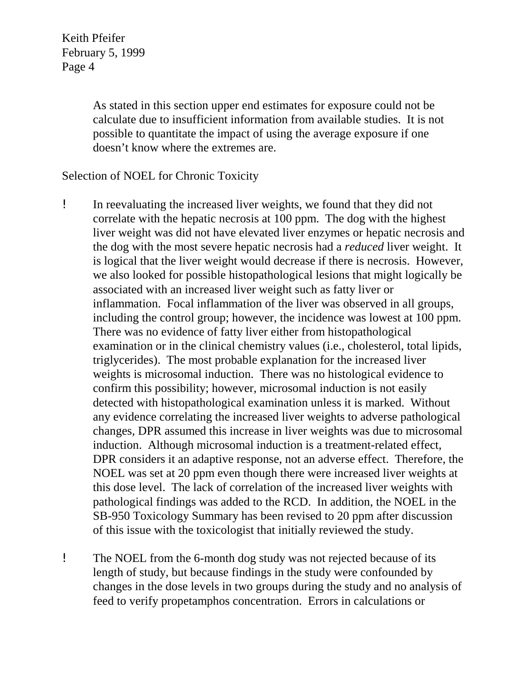Keith Pfeifer February 5, 1999 Page 4

> doesn't know where the extremes are. As stated in this section upper end estimates for exposure could not be calculate due to insufficient information from available studies. It is not possible to quantitate the impact of using the average exposure if one

# Selection of NOEL for Chronic Toxicity

- ! In reevaluating the increased liver weights, we found that they did not correlate with the hepatic necrosis at 100 ppm. The dog with the highest liver weight was did not have elevated liver enzymes or hepatic necrosis and the dog with the most severe hepatic necrosis had a *reduced* liver weight. It is logical that the liver weight would decrease if there is necrosis. However, we also looked for possible histopathological lesions that might logically be associated with an increased liver weight such as fatty liver or inflammation. Focal inflammation of the liver was observed in all groups, including the control group; however, the incidence was lowest at 100 ppm. There was no evidence of fatty liver either from histopathological examination or in the clinical chemistry values (i.e., cholesterol, total lipids, triglycerides). The most probable explanation for the increased liver weights is microsomal induction. There was no histological evidence to confirm this possibility; however, microsomal induction is not easily detected with histopathological examination unless it is marked. Without any evidence correlating the increased liver weights to adverse pathological changes, DPR assumed this increase in liver weights was due to microsomal induction. Although microsomal induction is a treatment-related effect, DPR considers it an adaptive response, not an adverse effect. Therefore, the NOEL was set at 20 ppm even though there were increased liver weights at this dose level. The lack of correlation of the increased liver weights with pathological findings was added to the RCD. In addition, the NOEL in the SB-950 Toxicology Summary has been revised to 20 ppm after discussion of this issue with the toxicologist that initially reviewed the study.
- ! The NOEL from the 6-month dog study was not rejected because of its length of study, but because findings in the study were confounded by changes in the dose levels in two groups during the study and no analysis of feed to verify propetamphos concentration. Errors in calculations or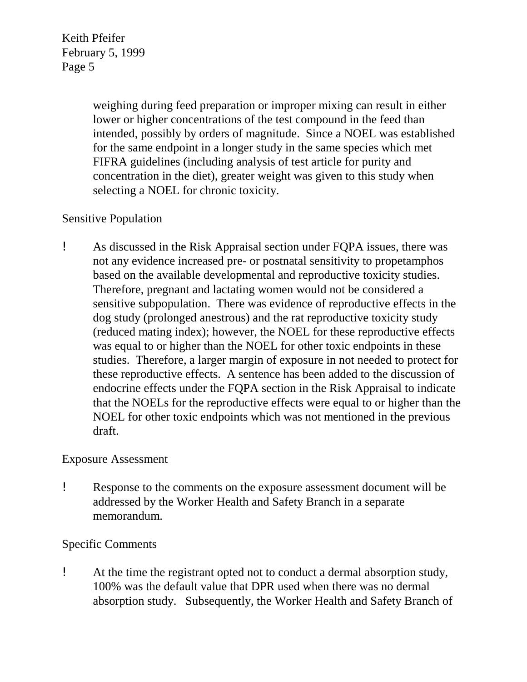> weighing during feed preparation or improper mixing can result in either lower or higher concentrations of the test compound in the feed than intended, possibly by orders of magnitude. Since a NOEL was established for the same endpoint in a longer study in the same species which met FIFRA guidelines (including analysis of test article for purity and concentration in the diet), greater weight was given to this study when selecting a NOEL for chronic toxicity.

# Sensitive Population

! As discussed in the Risk Appraisal section under FQPA issues, there was not any evidence increased pre- or postnatal sensitivity to propetamphos based on the available developmental and reproductive toxicity studies. Therefore, pregnant and lactating women would not be considered a sensitive subpopulation. There was evidence of reproductive effects in the dog study (prolonged anestrous) and the rat reproductive toxicity study (reduced mating index); however, the NOEL for these reproductive effects was equal to or higher than the NOEL for other toxic endpoints in these studies. Therefore, a larger margin of exposure in not needed to protect for these reproductive effects. A sentence has been added to the discussion of endocrine effects under the FQPA section in the Risk Appraisal to indicate that the NOELs for the reproductive effects were equal to or higher than the NOEL for other toxic endpoints which was not mentioned in the previous draft.

# Exposure Assessment

! Response to the comments on the exposure assessment document will be addressed by the Worker Health and Safety Branch in a separate memorandum.

# Specific Comments

! At the time the registrant opted not to conduct a dermal absorption study, 100% was the default value that DPR used when there was no dermal absorption study. Subsequently, the Worker Health and Safety Branch of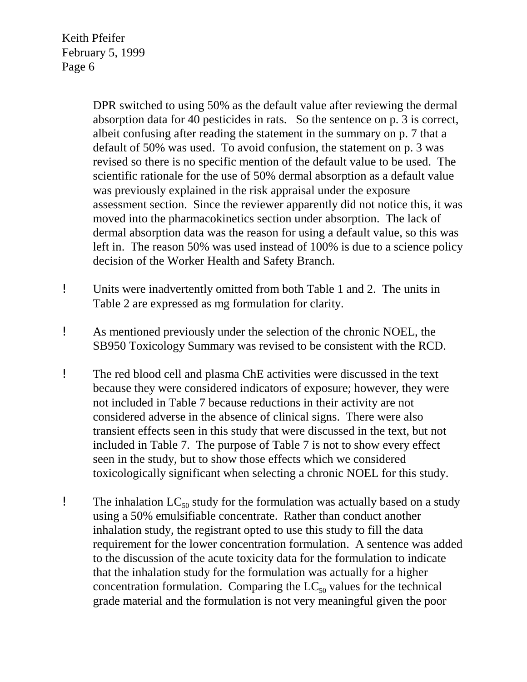> DPR switched to using 50% as the default value after reviewing the dermal absorption data for 40 pesticides in rats. So the sentence on p. 3 is correct, albeit confusing after reading the statement in the summary on p. 7 that a default of 50% was used. To avoid confusion, the statement on p. 3 was revised so there is no specific mention of the default value to be used. The scientific rationale for the use of 50% dermal absorption as a default value was previously explained in the risk appraisal under the exposure assessment section. Since the reviewer apparently did not notice this, it was moved into the pharmacokinetics section under absorption. The lack of dermal absorption data was the reason for using a default value, so this was left in. The reason 50% was used instead of 100% is due to a science policy decision of the Worker Health and Safety Branch.

- ! Units were inadvertently omitted from both Table 1 and 2. The units in Table 2 are expressed as mg formulation for clarity.
- ! As mentioned previously under the selection of the chronic NOEL, the SB950 Toxicology Summary was revised to be consistent with the RCD.
- ! The red blood cell and plasma ChE activities were discussed in the text because they were considered indicators of exposure; however, they were not included in Table 7 because reductions in their activity are not considered adverse in the absence of clinical signs. There were also transient effects seen in this study that were discussed in the text, but not included in Table 7. The purpose of Table 7 is not to show every effect seen in the study, but to show those effects which we considered toxicologically significant when selecting a chronic NOEL for this study.
- **The inhalation LC<sub>50</sub> study for the formulation was actually based on a study** using a 50% emulsifiable concentrate. Rather than conduct another inhalation study, the registrant opted to use this study to fill the data requirement for the lower concentration formulation. A sentence was added to the discussion of the acute toxicity data for the formulation to indicate that the inhalation study for the formulation was actually for a higher concentration formulation. Comparing the  $LC_{50}$  values for the technical grade material and the formulation is not very meaningful given the poor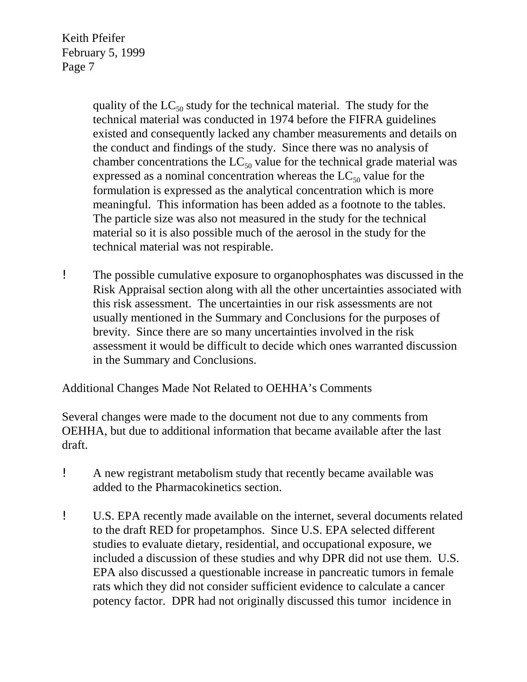> quality of the  $LC_{50}$  study for the technical material. The study for the technical material was conducted in 1974 before the FIFRA guidelines existed and consequently lacked any chamber measurements and details on the conduct and findings of the study. Since there was no analysis of chamber concentrations the  $LC_{50}$  value for the technical grade material was expressed as a nominal concentration whereas the  $LC_{50}$  value for the formulation is expressed as the analytical concentration which is more meaningful. This information has been added as a footnote to the tables. The particle size was also not measured in the study for the technical material so it is also possible much of the aerosol in the study for the technical material was not respirable.

! The possible cumulative exposure to organophosphates was discussed in the Risk Appraisal section along with all the other uncertainties associated with this risk assessment. The uncertainties in our risk assessments are not usually mentioned in the Summary and Conclusions for the purposes of brevity. Since there are so many uncertainties involved in the risk assessment it would be difficult to decide which ones warranted discussion in the Summary and Conclusions.

Additional Changes Made Not Related to OEHHA's Comments

Several changes were made to the document not due to any comments from OEHHA, but due to additional information that became available after the last draft.

- ! A new registrant metabolism study that recently became available was added to the Pharmacokinetics section.
- ! U.S. EPA recently made available on the internet, several documents related to the draft RED for propetamphos. Since U.S. EPA selected different studies to evaluate dietary, residential, and occupational exposure, we included a discussion of these studies and why DPR did not use them. U.S. EPA also discussed a questionable increase in pancreatic tumors in female rats which they did not consider sufficient evidence to calculate a cancer potency factor. DPR had not originally discussed this tumor incidence in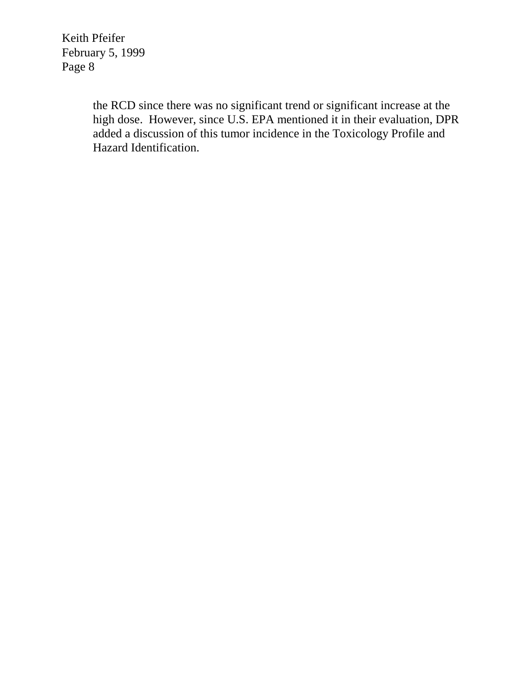> the RCD since there was no significant trend or significant increase at the high dose. However, since U.S. EPA mentioned it in their evaluation, DPR added a discussion of this tumor incidence in the Toxicology Profile and Hazard Identification.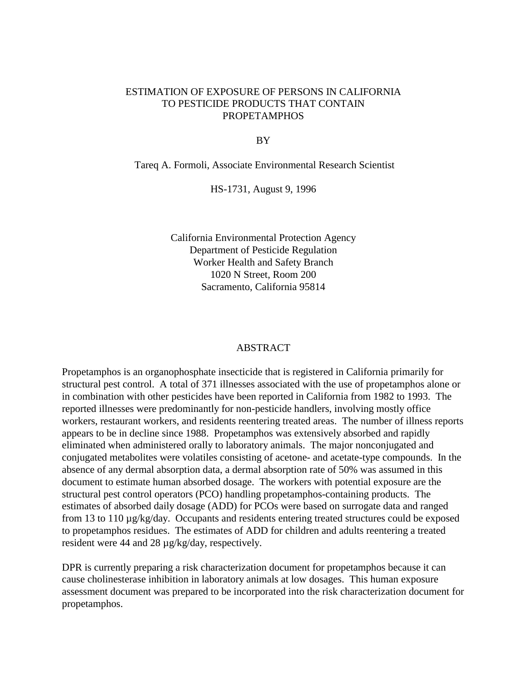# ESTIMATION OF EXPOSURE OF PERSONS IN CALIFORNIA TO PESTICIDE PRODUCTS THAT CONTAIN **PROPETAMPHOS**

#### BY

Tareq A. Formoli, Associate Environmental Research Scientist

HS-1731, August 9, 1996

California Environmental Protection Agency Department of Pesticide Regulation Worker Health and Safety Branch 1020 N Street, Room 200 Sacramento, California 95814

#### ABSTRACT

Propetamphos is an organophosphate insecticide that is registered in California primarily for structural pest control. A total of 371 illnesses associated with the use of propetamphos alone or in combination with other pesticides have been reported in California from 1982 to 1993. The reported illnesses were predominantly for non-pesticide handlers, involving mostly office workers, restaurant workers, and residents reentering treated areas. The number of illness reports appears to be in decline since 1988. Propetamphos was extensively absorbed and rapidly eliminated when administered orally to laboratory animals. The major nonconjugated and conjugated metabolites were volatiles consisting of acetone- and acetate-type compounds. In the absence of any dermal absorption data, a dermal absorption rate of 50% was assumed in this document to estimate human absorbed dosage. The workers with potential exposure are the structural pest control operators (PCO) handling propetamphos-containing products. The estimates of absorbed daily dosage (ADD) for PCOs were based on surrogate data and ranged from 13 to 110 µg/kg/day. Occupants and residents entering treated structures could be exposed to propetamphos residues. The estimates of ADD for children and adults reentering a treated resident were 44 and 28 µg/kg/day, respectively.

DPR is currently preparing a risk characterization document for propetamphos because it can cause cholinesterase inhibition in laboratory animals at low dosages. This human exposure assessment document was prepared to be incorporated into the risk characterization document for propetamphos.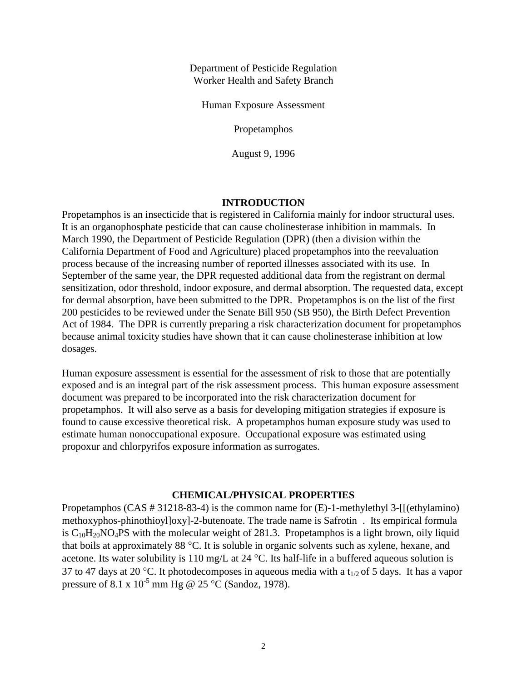Department of Pesticide Regulation Worker Health and Safety Branch

Human Exposure Assessment

Propetamphos

August 9, 1996

#### **INTRODUCTION**

Propetamphos is an insecticide that is registered in California mainly for indoor structural uses. It is an organophosphate pesticide that can cause cholinesterase inhibition in mammals. In March 1990, the Department of Pesticide Regulation (DPR) (then a division within the California Department of Food and Agriculture) placed propetamphos into the reevaluation process because of the increasing number of reported illnesses associated with its use. In September of the same year, the DPR requested additional data from the registrant on dermal sensitization, odor threshold, indoor exposure, and dermal absorption. The requested data, except for dermal absorption, have been submitted to the DPR. Propetamphos is on the list of the first 200 pesticides to be reviewed under the Senate Bill 950 (SB 950), the Birth Defect Prevention Act of 1984. The DPR is currently preparing a risk characterization document for propetamphos because animal toxicity studies have shown that it can cause cholinesterase inhibition at low dosages.

Human exposure assessment is essential for the assessment of risk to those that are potentially exposed and is an integral part of the risk assessment process. This human exposure assessment document was prepared to be incorporated into the risk characterization document for propetamphos. It will also serve as a basis for developing mitigation strategies if exposure is found to cause excessive theoretical risk. A propetamphos human exposure study was used to estimate human nonoccupational exposure. Occupational exposure was estimated using propoxur and chlorpyrifos exposure information as surrogates.

## **CHEMICAL/PHYSICAL PROPERTIES**

Propetamphos (CAS # 31218-83-4) is the common name for (E)-1-methylethyl 3-[[(ethylamino) methoxyphos-phinothioyl]oxy]-2-butenoate. The trade name is Safrotin . Its empirical formula is  $C_{10}H_{20}NO_4PS$  with the molecular weight of 281.3. Propetamphos is a light brown, oily liquid that boils at approximately 88 °C. It is soluble in organic solvents such as xylene, hexane, and acetone. Its water solubility is 110 mg/L at 24 °C. Its half-life in a buffered aqueous solution is 37 to 47 days at 20 °C. It photodecomposes in aqueous media with a t<sub>1/2</sub> of 5 days. It has a vapor pressure of 8.1 x  $10^{-5}$  mm Hg @ 25 °C (Sandoz, 1978).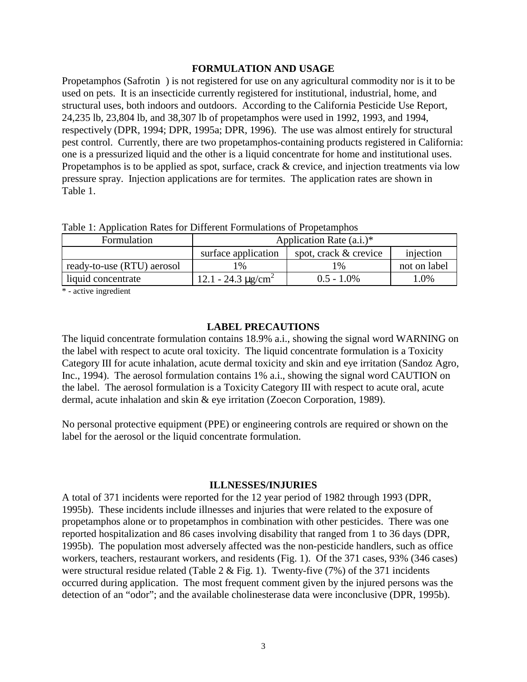### **FORMULATION AND USAGE**

Propetamphos (Safrotin ) is not registered for use on any agricultural commodity nor is it to be used on pets. It is an insecticide currently registered for institutional, industrial, home, and structural uses, both indoors and outdoors. According to the California Pesticide Use Report, 24,235 lb, 23,804 lb, and 38,307 lb of propetamphos were used in 1992, 1993, and 1994, respectively (DPR, 1994; DPR, 1995a; DPR, 1996). The use was almost entirely for structural pest control. Currently, there are two propetamphos-containing products registered in California: one is a pressurized liquid and the other is a liquid concentrate for home and institutional uses. Propetamphos is to be applied as spot, surface, crack & crevice, and injection treatments via low pressure spray. Injection applications are for termites. The application rates are shown in Table 1.

| THEIR THE STREET THROUGH THE DIRECT CHIRAGOLIC OF FLOP CHIRDING |                                     |                       |              |  |  |  |  |
|-----------------------------------------------------------------|-------------------------------------|-----------------------|--------------|--|--|--|--|
| Formulation                                                     | Application Rate $(a.i.)^*$         |                       |              |  |  |  |  |
|                                                                 | surface application                 | spot, crack & crevice | injection    |  |  |  |  |
| ready-to-use (RTU) aerosol                                      | l %                                 | $\frac{0}{6}$         | not on label |  |  |  |  |
| liquid concentrate                                              | 12.1 - 24.3 $\mu$ g/cm <sup>2</sup> | $0.5 - 1.0\%$         | 1.0%         |  |  |  |  |
|                                                                 |                                     |                       |              |  |  |  |  |

Table 1: Application Rates for Different Formulations of Propetamphos

\* - active ingredient

## **LABEL PRECAUTIONS**

The liquid concentrate formulation contains 18.9% a.i., showing the signal word WARNING on the label with respect to acute oral toxicity. The liquid concentrate formulation is a Toxicity Category III for acute inhalation, acute dermal toxicity and skin and eye irritation (Sandoz Agro, Inc., 1994). The aerosol formulation contains 1% a.i., showing the signal word CAUTION on the label. The aerosol formulation is a Toxicity Category III with respect to acute oral, acute dermal, acute inhalation and skin & eye irritation (Zoecon Corporation, 1989).

No personal protective equipment (PPE) or engineering controls are required or shown on the label for the aerosol or the liquid concentrate formulation.

#### **ILLNESSES/INJURIES**

A total of 371 incidents were reported for the 12 year period of 1982 through 1993 (DPR, 1995b). These incidents include illnesses and injuries that were related to the exposure of propetamphos alone or to propetamphos in combination with other pesticides. There was one reported hospitalization and 86 cases involving disability that ranged from 1 to 36 days (DPR, 1995b). The population most adversely affected was the non-pesticide handlers, such as office workers, teachers, restaurant workers, and residents (Fig. 1). Of the 371 cases, 93% (346 cases) were structural residue related (Table 2 & Fig. 1). Twenty-five (7%) of the 371 incidents occurred during application. The most frequent comment given by the injured persons was the detection of an "odor"; and the available cholinesterase data were inconclusive (DPR, 1995b).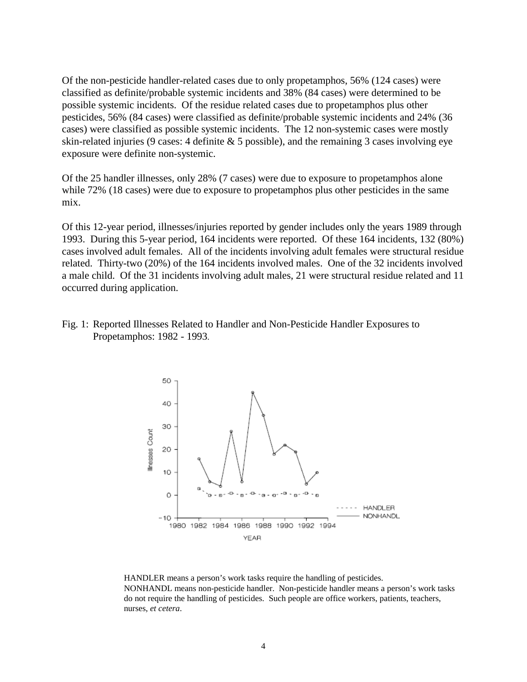Of the non-pesticide handler-related cases due to only propetamphos, 56% (124 cases) were classified as definite/probable systemic incidents and 38% (84 cases) were determined to be possible systemic incidents. Of the residue related cases due to propetamphos plus other pesticides, 56% (84 cases) were classified as definite/probable systemic incidents and 24% (36 cases) were classified as possible systemic incidents. The 12 non-systemic cases were mostly skin-related injuries (9 cases: 4 definite  $& 5$  possible), and the remaining 3 cases involving eye exposure were definite non-systemic.

Of the 25 handler illnesses, only 28% (7 cases) were due to exposure to propetamphos alone while 72% (18 cases) were due to exposure to propetamphos plus other pesticides in the same mix.

Of this 12-year period, illnesses/injuries reported by gender includes only the years 1989 through 1993. During this 5-year period, 164 incidents were reported. Of these 164 incidents, 132 (80%) cases involved adult females. All of the incidents involving adult females were structural residue related. Thirty-two (20%) of the 164 incidents involved males. One of the 32 incidents involved a male child. Of the 31 incidents involving adult males, 21 were structural residue related and 11 occurred during application.

Fig. 1: Reported Illnesses Related to Handler and Non-Pesticide Handler Exposures to Propetamphos: 1982 - 1993.



HANDLER means a person's work tasks require the handling of pesticides. NONHANDL means non-pesticide handler. Non-pesticide handler means a person's work tasks do not require the handling of pesticides. Such people are office workers, patients, teachers, nurses, *et cetera*.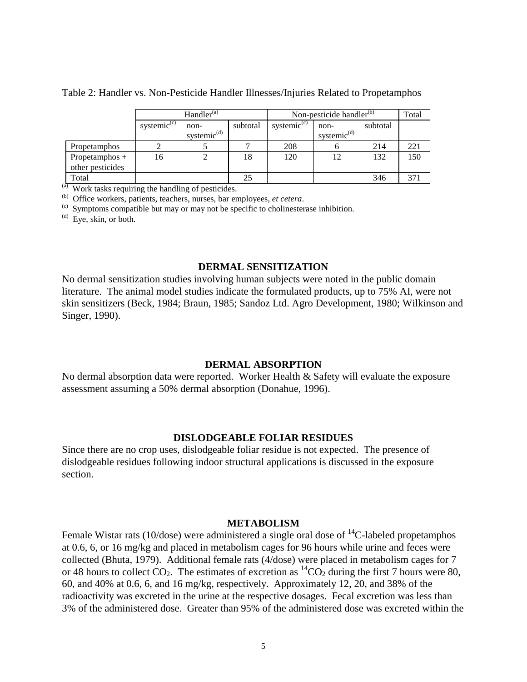|  |  | Table 2: Handler vs. Non-Pesticide Handler Illnesses/Injuries Related to Propetamphos |
|--|--|---------------------------------------------------------------------------------------|
|  |  |                                                                                       |

|                  | Handler <sup>(a)</sup>          |                |          | Non-pesticide handler $^{(b)}$ | Total                   |          |     |
|------------------|---------------------------------|----------------|----------|--------------------------------|-------------------------|----------|-----|
|                  | systemic <sup>(c)</sup><br>non- |                | subtotal | systemic <sup>(c)</sup>        | non-                    | subtotal |     |
|                  |                                 | systemic $(d)$ |          |                                | systemic <sup>(d)</sup> |          |     |
| Propetamphos     |                                 |                |          | 208                            |                         | 214      | 221 |
| Propetamphos $+$ | 16                              |                | 18       | 120                            | 12                      | 132      | 150 |
| other pesticides |                                 |                |          |                                |                         |          |     |
| Total            |                                 |                | 25       |                                |                         | 346      |     |

(a) Work tasks requiring the handling of pesticides.<br>(b) Office workers, patients, teachers, nurses, bar employees, *et cetera*.

<sup>(c)</sup> Symptoms compatible but may or may not be specific to cholinesterase inhibition.

 $^{(d)}$  Eye, skin, or both.

## **DERMAL SENSITIZATION**

No dermal sensitization studies involving human subjects were noted in the public domain literature. The animal model studies indicate the formulated products, up to 75% AI, were not skin sensitizers (Beck, 1984; Braun, 1985; Sandoz Ltd. Agro Development, 1980; Wilkinson and Singer, 1990).

### **DERMAL ABSORPTION**

No dermal absorption data were reported. Worker Health & Safety will evaluate the exposure assessment assuming a 50% dermal absorption (Donahue, 1996).

## **DISLODGEABLE FOLIAR RESIDUES**

Since there are no crop uses, dislodgeable foliar residue is not expected. The presence of dislodgeable residues following indoor structural applications is discussed in the exposure section.

#### **METABOLISM**

Female Wistar rats (10/dose) were administered a single oral dose of  ${}^{14}C$ -labeled propetamphos at 0.6, 6, or 16 mg/kg and placed in metabolism cages for 96 hours while urine and feces were collected (Bhuta, 1979). Additional female rats (4/dose) were placed in metabolism cages for 7 or 48 hours to collect  $CO_2$ . The estimates of excretion as  ${}^{14}CO_2$  during the first 7 hours were 80, 60, and 40% at 0.6, 6, and 16 mg/kg, respectively. Approximately 12, 20, and 38% of the radioactivity was excreted in the urine at the respective dosages. Fecal excretion was less than 3% of the administered dose. Greater than 95% of the administered dose was excreted within the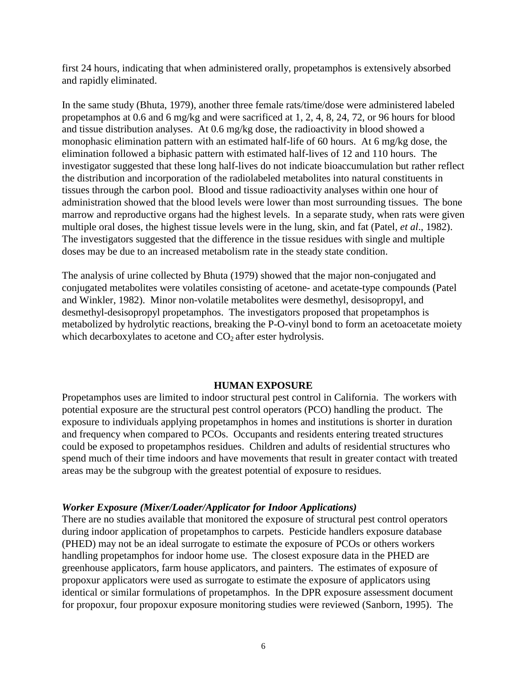first 24 hours, indicating that when administered orally, propetamphos is extensively absorbed and rapidly eliminated.

In the same study (Bhuta, 1979), another three female rats/time/dose were administered labeled propetamphos at 0.6 and 6 mg/kg and were sacrificed at 1, 2, 4, 8, 24, 72, or 96 hours for blood and tissue distribution analyses. At 0.6 mg/kg dose, the radioactivity in blood showed a monophasic elimination pattern with an estimated half-life of 60 hours. At 6 mg/kg dose, the elimination followed a biphasic pattern with estimated half-lives of 12 and 110 hours. The investigator suggested that these long half-lives do not indicate bioaccumulation but rather reflect the distribution and incorporation of the radiolabeled metabolites into natural constituents in tissues through the carbon pool. Blood and tissue radioactivity analyses within one hour of administration showed that the blood levels were lower than most surrounding tissues. The bone marrow and reproductive organs had the highest levels. In a separate study, when rats were given multiple oral doses, the highest tissue levels were in the lung, skin, and fat (Patel, *et al*., 1982). The investigators suggested that the difference in the tissue residues with single and multiple doses may be due to an increased metabolism rate in the steady state condition.

The analysis of urine collected by Bhuta (1979) showed that the major non-conjugated and conjugated metabolites were volatiles consisting of acetone- and acetate-type compounds (Patel and Winkler, 1982). Minor non-volatile metabolites were desmethyl, desisopropyl, and desmethyl-desisopropyl propetamphos. The investigators proposed that propetamphos is metabolized by hydrolytic reactions, breaking the P-O-vinyl bond to form an acetoacetate moiety which decarboxylates to acetone and  $CO<sub>2</sub>$  after ester hydrolysis.

# **HUMAN EXPOSURE**

Propetamphos uses are limited to indoor structural pest control in California. The workers with potential exposure are the structural pest control operators (PCO) handling the product. The exposure to individuals applying propetamphos in homes and institutions is shorter in duration and frequency when compared to PCOs. Occupants and residents entering treated structures could be exposed to propetamphos residues. Children and adults of residential structures who spend much of their time indoors and have movements that result in greater contact with treated areas may be the subgroup with the greatest potential of exposure to residues.

# *Worker Exposure (Mixer/Loader/Applicator for Indoor Applications)*

There are no studies available that monitored the exposure of structural pest control operators during indoor application of propetamphos to carpets. Pesticide handlers exposure database (PHED) may not be an ideal surrogate to estimate the exposure of PCOs or others workers handling propetamphos for indoor home use. The closest exposure data in the PHED are greenhouse applicators, farm house applicators, and painters. The estimates of exposure of propoxur applicators were used as surrogate to estimate the exposure of applicators using identical or similar formulations of propetamphos. In the DPR exposure assessment document for propoxur, four propoxur exposure monitoring studies were reviewed (Sanborn, 1995). The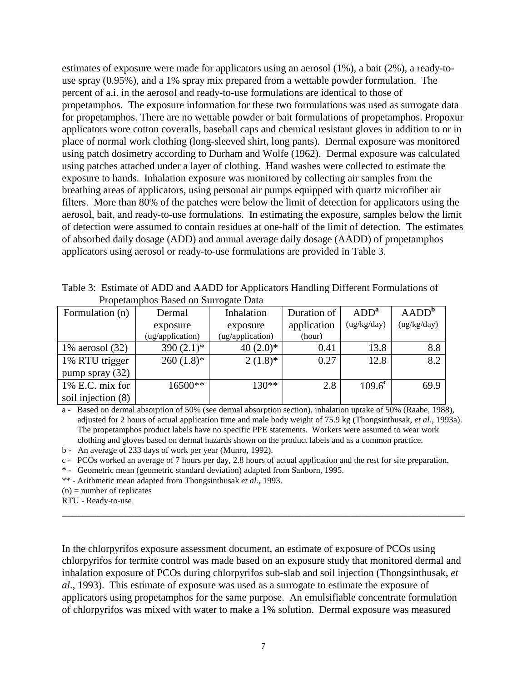estimates of exposure were made for applicators using an aerosol (1%), a bait (2%), a ready-touse spray (0.95%), and a 1% spray mix prepared from a wettable powder formulation. The percent of a.i. in the aerosol and ready-to-use formulations are identical to those of propetamphos. The exposure information for these two formulations was used as surrogate data for propetamphos. There are no wettable powder or bait formulations of propetamphos. Propoxur applicators wore cotton coveralls, baseball caps and chemical resistant gloves in addition to or in place of normal work clothing (long-sleeved shirt, long pants). Dermal exposure was monitored using patch dosimetry according to Durham and Wolfe (1962). Dermal exposure was calculated using patches attached under a layer of clothing. Hand washes were collected to estimate the exposure to hands. Inhalation exposure was monitored by collecting air samples from the breathing areas of applicators, using personal air pumps equipped with quartz microfiber air filters. More than 80% of the patches were below the limit of detection for applicators using the aerosol, bait, and ready-to-use formulations. In estimating the exposure, samples below the limit of detection were assumed to contain residues at one-half of the limit of detection. The estimates of absorbed daily dosage (ADD) and annual average daily dosage (AADD) of propetamphos applicators using aerosol or ready-to-use formulations are provided in Table 3.

Table 3: Estimate of ADD and AADD for Applicators Handling Different Formulations of Propetamphos Based on Surrogate Data

| Formulation (n)    | Dermal           | Inhalation              | Duration of | ADD <sup>a</sup> | AADD <sup>b</sup> |
|--------------------|------------------|-------------------------|-------------|------------------|-------------------|
|                    | exposure         | exposure                | application | (ug/kg/day)      | (ug/kg/day)       |
|                    | (ug/application) | (ug/application)        | (hour)      |                  |                   |
| 1% aerosol $(32)$  | 390 $(2.1)$ *    | 40 $(2.0)$ <sup>*</sup> | 0.41        | 13.8             | 8.8               |
| 1% RTU trigger     | $260(1.8)$ *     | $2(1.8)^*$              | 0.27        | 12.8             | 8.2               |
| pump spray $(32)$  |                  |                         |             |                  |                   |
| 1% E.C. mix for    | 16500**          | $130**$                 | 2.8         | $109.6^{\rm c}$  | 69.9              |
| soil injection (8) |                  |                         |             |                  |                   |

a - Based on dermal absorption of 50% (see dermal absorption section), inhalation uptake of 50% (Raabe, 1988), adjusted for 2 hours of actual application time and male body weight of 75.9 kg (Thongsinthusak, *et al*., 1993a). The propetamphos product labels have no specific PPE statements. Workers were assumed to wear work clothing and gloves based on dermal hazards shown on the product labels and as a common practice.

b - An average of 233 days of work per year (Munro, 1992).

c - PCOs worked an average of 7 hours per day, 2.8 hours of actual application and the rest for site preparation.

\* - Geometric mean (geometric standard deviation) adapted from Sanborn, 1995.

\*\* - Arithmetic mean adapted from Thongsinthusak *et al*., 1993.

 $(n)$  = number of replicates

RTU - Ready-to-use

In the chlorpyrifos exposure assessment document, an estimate of exposure of PCOs using chlorpyrifos for termite control was made based on an exposure study that monitored dermal and inhalation exposure of PCOs during chlorpyrifos sub-slab and soil injection (Thongsinthusak, *et al*., 1993). This estimate of exposure was used as a surrogate to estimate the exposure of applicators using propetamphos for the same purpose. An emulsifiable concentrate formulation of chlorpyrifos was mixed with water to make a 1% solution. Dermal exposure was measured

\_\_\_\_\_\_\_\_\_\_\_\_\_\_\_\_\_\_\_\_\_\_\_\_\_\_\_\_\_\_\_\_\_\_\_\_\_\_\_\_\_\_\_\_\_\_\_\_\_\_\_\_\_\_\_\_\_\_\_\_\_\_\_\_\_\_\_\_\_\_\_\_\_\_\_\_\_\_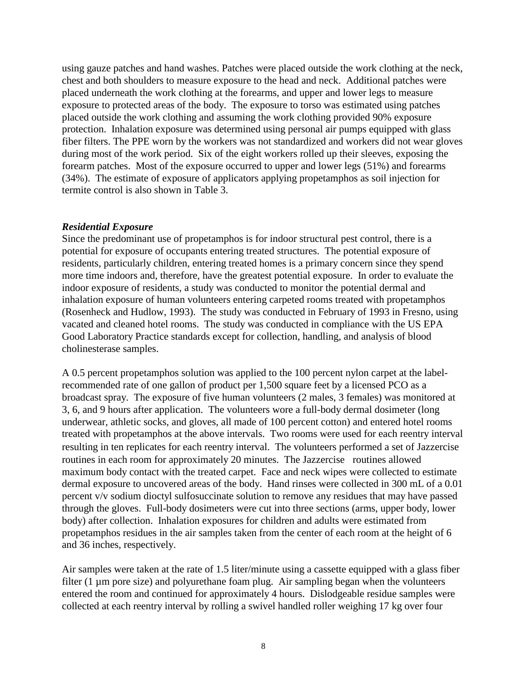using gauze patches and hand washes. Patches were placed outside the work clothing at the neck, chest and both shoulders to measure exposure to the head and neck. Additional patches were placed underneath the work clothing at the forearms, and upper and lower legs to measure exposure to protected areas of the body. The exposure to torso was estimated using patches placed outside the work clothing and assuming the work clothing provided 90% exposure protection. Inhalation exposure was determined using personal air pumps equipped with glass fiber filters. The PPE worn by the workers was not standardized and workers did not wear gloves during most of the work period. Six of the eight workers rolled up their sleeves, exposing the forearm patches. Most of the exposure occurred to upper and lower legs (51%) and forearms (34%). The estimate of exposure of applicators applying propetamphos as soil injection for termite control is also shown in Table 3.

# *Residential Exposure*

Since the predominant use of propetamphos is for indoor structural pest control, there is a potential for exposure of occupants entering treated structures. The potential exposure of residents, particularly children, entering treated homes is a primary concern since they spend more time indoors and, therefore, have the greatest potential exposure. In order to evaluate the indoor exposure of residents, a study was conducted to monitor the potential dermal and inhalation exposure of human volunteers entering carpeted rooms treated with propetamphos (Rosenheck and Hudlow, 1993). The study was conducted in February of 1993 in Fresno, using vacated and cleaned hotel rooms. The study was conducted in compliance with the US EPA Good Laboratory Practice standards except for collection, handling, and analysis of blood cholinesterase samples.

A 0.5 percent propetamphos solution was applied to the 100 percent nylon carpet at the labelrecommended rate of one gallon of product per 1,500 square feet by a licensed PCO as a broadcast spray. The exposure of five human volunteers (2 males, 3 females) was monitored at 3, 6, and 9 hours after application. The volunteers wore a full-body dermal dosimeter (long underwear, athletic socks, and gloves, all made of 100 percent cotton) and entered hotel rooms treated with propetamphos at the above intervals. Two rooms were used for each reentry interval resulting in ten replicates for each reentry interval. The volunteers performed a set of Jazzercise routines in each room for approximately 20 minutes. The Jazzercise routines allowed maximum body contact with the treated carpet. Face and neck wipes were collected to estimate dermal exposure to uncovered areas of the body. Hand rinses were collected in 300 mL of a 0.01 percent v/v sodium dioctyl sulfosuccinate solution to remove any residues that may have passed through the gloves. Full-body dosimeters were cut into three sections (arms, upper body, lower body) after collection. Inhalation exposures for children and adults were estimated from propetamphos residues in the air samples taken from the center of each room at the height of 6 and 36 inches, respectively.

Air samples were taken at the rate of 1.5 liter/minute using a cassette equipped with a glass fiber filter  $(1 \mu m)$  pore size) and polyurethane foam plug. Air sampling began when the volunteers entered the room and continued for approximately 4 hours. Dislodgeable residue samples were collected at each reentry interval by rolling a swivel handled roller weighing 17 kg over four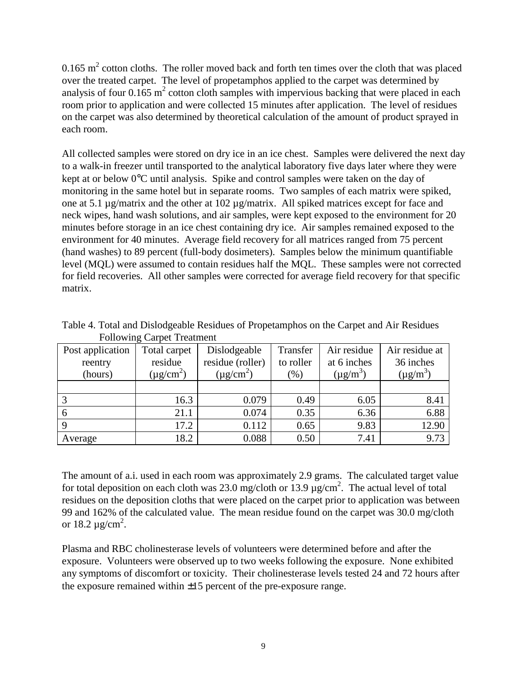0.165  $\text{m}^2$  cotton cloths. The roller moved back and forth ten times over the cloth that was placed over the treated carpet. The level of propetamphos applied to the carpet was determined by analysis of four  $0.165 \text{ m}^2$  cotton cloth samples with impervious backing that were placed in each room prior to application and were collected 15 minutes after application. The level of residues on the carpet was also determined by theoretical calculation of the amount of product sprayed in each room.

All collected samples were stored on dry ice in an ice chest. Samples were delivered the next day to a walk-in freezer until transported to the analytical laboratory five days later where they were kept at or below 0°C until analysis. Spike and control samples were taken on the day of monitoring in the same hotel but in separate rooms. Two samples of each matrix were spiked, one at 5.1 µg/matrix and the other at 102 µg/matrix. All spiked matrices except for face and neck wipes, hand wash solutions, and air samples, were kept exposed to the environment for 20 minutes before storage in an ice chest containing dry ice. Air samples remained exposed to the environment for 40 minutes. Average field recovery for all matrices ranged from 75 percent (hand washes) to 89 percent (full-body dosimeters). Samples below the minimum quantifiable level (MQL) were assumed to contain residues half the MQL. These samples were not corrected for field recoveries. All other samples were corrected for average field recovery for that specific matrix.

| Post application | Total carpet               | Dislodgeable               | Transfer  | Air residue   | Air residue at |
|------------------|----------------------------|----------------------------|-----------|---------------|----------------|
| reentry          | residue                    | residue (roller)           | to roller | at 6 inches   | 36 inches      |
| (hours)          | $(\mu$ g/cm <sup>2</sup> ) | $(\mu$ g/cm <sup>2</sup> ) | $(\%)$    | $(\mu g/m^3)$ | $(\mu g/m^3)$  |
|                  |                            |                            |           |               |                |
| 3                | 16.3                       | 0.079                      | 0.49      | 6.05          | 8.41           |
| 6                | 21.1                       | 0.074                      | 0.35      | 6.36          | 6.88           |
| 9                | 17.2                       | 0.112                      | 0.65      | 9.83          | 12.90          |
| Average          | 18.2                       | 0.088                      | 0.50      | 7.41          | 9.73           |

Table 4. Total and Dislodgeable Residues of Propetamphos on the Carpet and Air Residues Following Carpet Treatment

The amount of a.i. used in each room was approximately 2.9 grams. The calculated target value for total deposition on each cloth was 23.0 mg/cloth or 13.9  $\mu$ g/cm<sup>2</sup>. The actual level of total residues on the deposition cloths that were placed on the carpet prior to application was between 99 and 162% of the calculated value. The mean residue found on the carpet was 30.0 mg/cloth or 18.2  $\mu$ g/cm<sup>2</sup>.

Plasma and RBC cholinesterase levels of volunteers were determined before and after the exposure. Volunteers were observed up to two weeks following the exposure. None exhibited any symptoms of discomfort or toxicity. Their cholinesterase levels tested 24 and 72 hours after the exposure remained within  $\pm 15$  percent of the pre-exposure range.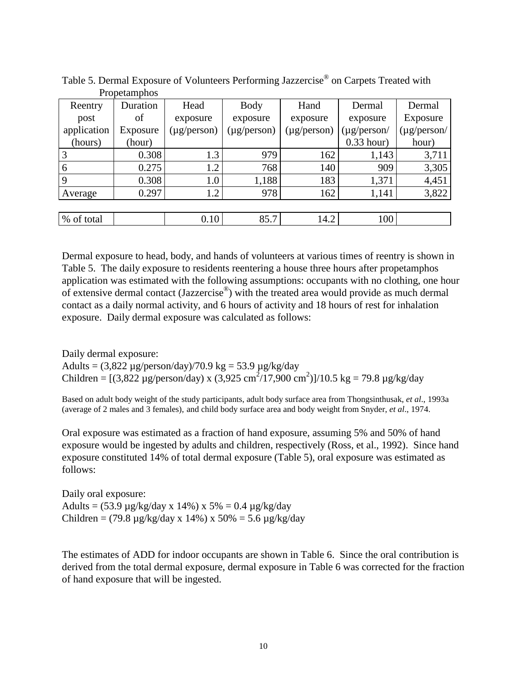| Reentry     | Duration | Head             | <b>Body</b>      | Hand             | Dermal           | Dermal           |
|-------------|----------|------------------|------------------|------------------|------------------|------------------|
| post        | οf       | exposure         | exposure         | exposure         | exposure         | Exposure         |
| application | Exposure | $(\mu$ g/person) | $(\mu g/person)$ | $(\mu g/person)$ | $(\mu$ g/person/ | $(\mu$ g/person/ |
| (hours)     | (hour)   |                  |                  |                  | $0.33$ hour)     | hour)            |
| 3           | 0.308    | 1.3              | 979              | 162              | 1,143            | 3,711            |
| 6           | 0.275    | 1.2              | 768              | 140              | 909              | 3,305            |
| 9           | 0.308    | 1.0              | 1,188            | 183              | 1,371            | 4,451            |
| Average     | 0.297    | 1.2              | 978              | 162              | 1,141            | 3,822            |
|             |          |                  |                  |                  |                  |                  |
| % of total  |          | 0.10             | 85.7             | 14.2             | 100              |                  |

Table 5. Dermal Exposure of Volunteers Performing Jazzercise<sup>®</sup> on Carpets Treated with Propetamphos

Dermal exposure to head, body, and hands of volunteers at various times of reentry is shown in Table 5. The daily exposure to residents reentering a house three hours after propetamphos application was estimated with the following assumptions: occupants with no clothing, one hour of extensive dermal contact (Jazzercise®) with the treated area would provide as much dermal contact as a daily normal activity, and 6 hours of activity and 18 hours of rest for inhalation exposure. Daily dermal exposure was calculated as follows:

Daily dermal exposure:

Adults =  $(3,822 \mu g/person/day)/70.9 \text{ kg} = 53.9 \mu g/kg/day$ Children =  $[(3,822 \text{ µg/person/day}) \times (3,925 \text{ cm}^2/17,900 \text{ cm}^2)]/10.5 \text{ kg} = 79.8 \text{ µg/kg/day}$ 

Based on adult body weight of the study participants, adult body surface area from Thongsinthusak, *et al*., 1993a (average of 2 males and 3 females), and child body surface area and body weight from Snyder, *et al*., 1974.

Oral exposure was estimated as a fraction of hand exposure, assuming 5% and 50% of hand exposure would be ingested by adults and children, respectively (Ross, et al., 1992). Since hand exposure constituted 14% of total dermal exposure (Table 5), oral exposure was estimated as follows:

Daily oral exposure: Adults =  $(53.9 \,\mu g/kg/day \times 14\%) \times 5\% = 0.4 \,\mu g/kg/day$ Children =  $(79.8 \mu g/kg/day \times 14\%) \times 50\% = 5.6 \mu g/kg/day$ 

The estimates of ADD for indoor occupants are shown in Table 6. Since the oral contribution is derived from the total dermal exposure, dermal exposure in Table 6 was corrected for the fraction of hand exposure that will be ingested.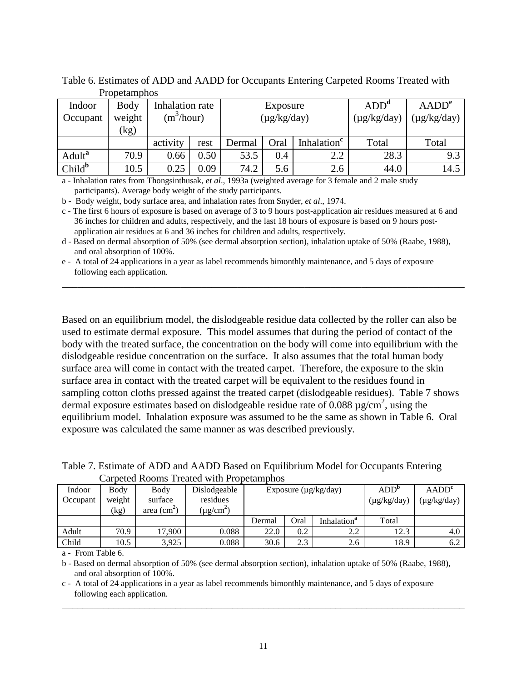|                    | 100 Culturio - |                 |      |                  |      |                         |                  |                   |
|--------------------|----------------|-----------------|------|------------------|------|-------------------------|------------------|-------------------|
| Indoor             | Body           | Inhalation rate |      | Exposure         |      |                         | ADD <sup>a</sup> | AADD <sup>e</sup> |
| Occupant           | weight         | $(m^3/hour)$    |      | $(\mu g/kg/day)$ |      |                         | $(\mu g/kg/day)$ | $(\mu g/kg/day)$  |
|                    | (kg)           |                 |      |                  |      |                         |                  |                   |
|                    |                | activity        | rest | Dermal           | Oral | Inhalation <sup>c</sup> | Total            | Total             |
| Adult <sup>a</sup> | 70.9           | 0.66            | 0.50 | 53.5             | 0.4  | 2.2                     | 28.3             | 9.3               |
| Child <sup>b</sup> | 10.5           | 0.25            | 0.09 | 74.2             | 5.6  | 2.6                     | 44.0             | 14.5              |

Table 6. Estimates of ADD and AADD for Occupants Entering Carpeted Rooms Treated with Propetamphos

a - Inhalation rates from Thongsinthusak, *et al*., 1993a (weighted average for 3 female and 2 male study participants). Average body weight of the study participants.

b - Body weight, body surface area, and inhalation rates from Snyder, *et al*., 1974.

c - The first 6 hours of exposure is based on average of 3 to 9 hours post-application air residues measured at 6 and 36 inches for children and adults, respectively, and the last 18 hours of exposure is based on 9 hours postapplication air residues at 6 and 36 inches for children and adults, respectively.

d - Based on dermal absorption of 50% (see dermal absorption section), inhalation uptake of 50% (Raabe, 1988), and oral absorption of 100%.

\_\_\_\_\_\_\_\_\_\_\_\_\_\_\_\_\_\_\_\_\_\_\_\_\_\_\_\_\_\_\_\_\_\_\_\_\_\_\_\_\_\_\_\_\_\_\_\_\_\_\_\_\_\_\_\_\_\_\_\_\_\_\_\_\_\_\_\_\_\_\_\_\_\_\_\_\_\_

e - A total of 24 applications in a year as label recommends bimonthly maintenance, and 5 days of exposure following each application.

Based on an equilibrium model, the dislodgeable residue data collected by the roller can also be used to estimate dermal exposure. This model assumes that during the period of contact of the body with the treated surface, the concentration on the body will come into equilibrium with the dislodgeable residue concentration on the surface. It also assumes that the total human body surface area will come in contact with the treated carpet. Therefore, the exposure to the skin surface area in contact with the treated carpet will be equivalent to the residues found in sampling cotton cloths pressed against the treated carpet (dislodgeable residues). Table 7 shows dermal exposure estimates based on dislodgeable residue rate of  $0.088 \mu$ g/cm<sup>2</sup>, using the equilibrium model. Inhalation exposure was assumed to be the same as shown in Table 6. Oral exposure was calculated the same manner as was described previously.

Table 7. Estimate of ADD and AADD Based on Equilibrium Model for Occupants Entering Carpeted Rooms Treated with Propetamphos

| Indoor   | Body                     | Body                        | Dislodgeable               | Exposure $(\mu g/kg/day)$ |      |                         | ADD <sup>b</sup> | AADD <sup>c</sup> |
|----------|--------------------------|-----------------------------|----------------------------|---------------------------|------|-------------------------|------------------|-------------------|
| Occupant | weight                   | surface                     | residues                   |                           |      |                         | $(\mu g/kg/day)$ | (µg/kg/day)       |
|          | $\left(\text{kg}\right)$ | area $\text{(cm}^2\text{)}$ | $(\mu$ g/cm <sup>2</sup> ) |                           |      |                         |                  |                   |
|          |                          |                             |                            | Dermal                    | Oral | Inhalation <sup>a</sup> | Total            |                   |
| Adult    | 70.9                     | 17,900                      | 0.088                      | 22.0                      | 0.2  | 2.2                     | 12.3             | 4.0               |
| Child    | 10.5                     | 3.925                       | 0.088                      | 30.6                      | 2.3  | 2.6                     | 18.9             | 6.2               |

a - From Table 6.

b - Based on dermal absorption of 50% (see dermal absorption section), inhalation uptake of 50% (Raabe, 1988), and oral absorption of 100%.

c - A total of 24 applications in a year as label recommends bimonthly maintenance, and 5 days of exposure following each application.

\_\_\_\_\_\_\_\_\_\_\_\_\_\_\_\_\_\_\_\_\_\_\_\_\_\_\_\_\_\_\_\_\_\_\_\_\_\_\_\_\_\_\_\_\_\_\_\_\_\_\_\_\_\_\_\_\_\_\_\_\_\_\_\_\_\_\_\_\_\_\_\_\_\_\_\_\_\_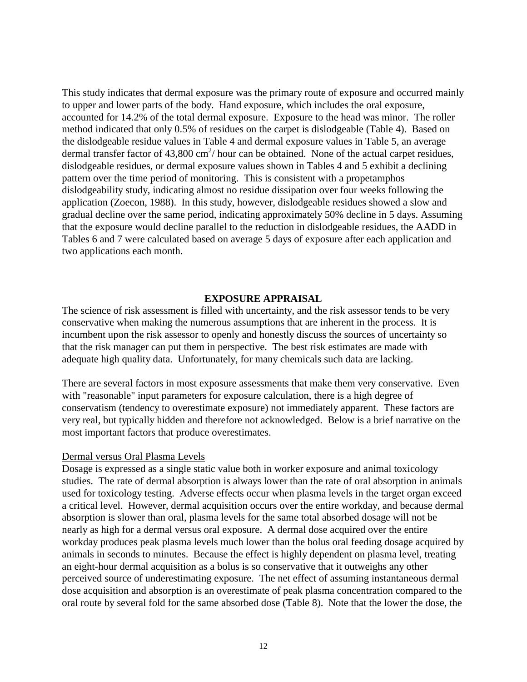This study indicates that dermal exposure was the primary route of exposure and occurred mainly to upper and lower parts of the body. Hand exposure, which includes the oral exposure, accounted for 14.2% of the total dermal exposure. Exposure to the head was minor. The roller method indicated that only 0.5% of residues on the carpet is dislodgeable (Table 4). Based on the dislodgeable residue values in Table 4 and dermal exposure values in Table 5, an average dermal transfer factor of  $43,800 \text{ cm}^2$  hour can be obtained. None of the actual carpet residues, dislodgeable residues, or dermal exposure values shown in Tables 4 and 5 exhibit a declining pattern over the time period of monitoring. This is consistent with a propetamphos dislodgeability study, indicating almost no residue dissipation over four weeks following the application (Zoecon, 1988). In this study, however, dislodgeable residues showed a slow and gradual decline over the same period, indicating approximately 50% decline in 5 days. Assuming that the exposure would decline parallel to the reduction in dislodgeable residues, the AADD in Tables 6 and 7 were calculated based on average 5 days of exposure after each application and two applications each month.

## **EXPOSURE APPRAISAL**

The science of risk assessment is filled with uncertainty, and the risk assessor tends to be very conservative when making the numerous assumptions that are inherent in the process. It is incumbent upon the risk assessor to openly and honestly discuss the sources of uncertainty so that the risk manager can put them in perspective. The best risk estimates are made with adequate high quality data. Unfortunately, for many chemicals such data are lacking.

There are several factors in most exposure assessments that make them very conservative. Even with "reasonable" input parameters for exposure calculation, there is a high degree of conservatism (tendency to overestimate exposure) not immediately apparent. These factors are very real, but typically hidden and therefore not acknowledged. Below is a brief narrative on the most important factors that produce overestimates.

#### Dermal versus Oral Plasma Levels

Dosage is expressed as a single static value both in worker exposure and animal toxicology studies. The rate of dermal absorption is always lower than the rate of oral absorption in animals used for toxicology testing. Adverse effects occur when plasma levels in the target organ exceed a critical level. However, dermal acquisition occurs over the entire workday, and because dermal absorption is slower than oral, plasma levels for the same total absorbed dosage will not be nearly as high for a dermal versus oral exposure. A dermal dose acquired over the entire workday produces peak plasma levels much lower than the bolus oral feeding dosage acquired by animals in seconds to minutes. Because the effect is highly dependent on plasma level, treating an eight-hour dermal acquisition as a bolus is so conservative that it outweighs any other perceived source of underestimating exposure. The net effect of assuming instantaneous dermal dose acquisition and absorption is an overestimate of peak plasma concentration compared to the oral route by several fold for the same absorbed dose (Table 8). Note that the lower the dose, the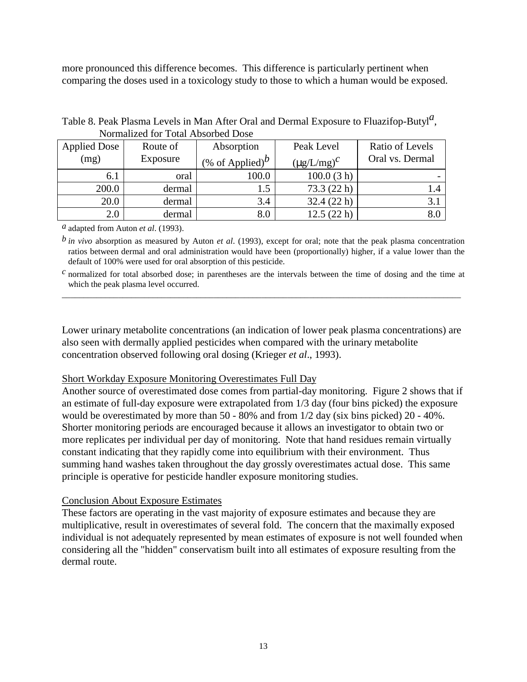more pronounced this difference becomes. This difference is particularly pertinent when comparing the doses used in a toxicology study to those to which a human would be exposed.

| Tommunded for Toni Flood bed Dooe |          |                                    |                    |                 |  |  |  |  |
|-----------------------------------|----------|------------------------------------|--------------------|-----------------|--|--|--|--|
| <b>Applied Dose</b>               | Route of | Absorption                         | Peak Level         | Ratio of Levels |  |  |  |  |
| (mg)                              | Exposure | (% of Applied) <sup><i>b</i></sup> | $(\mu g/L/mg)^{C}$ | Oral vs. Dermal |  |  |  |  |
| 6.1                               | oral     | 100.0                              | 100.0(3 h)         |                 |  |  |  |  |
| 200.0                             | dermal   | 1.5                                | 73.3(22 h)         |                 |  |  |  |  |
| 20.0                              | dermal   | 3.4                                | 32.4(22 h)         | 3.1             |  |  |  |  |
| 2.0                               | dermal   | 8.0                                | 12.5(22 h)         |                 |  |  |  |  |

Table 8. Peak Plasma Levels in Man After Oral and Dermal Exposure to Fluazifop-Butyl*a* , Normalized for Total Absorbed Dose

*a* adapted from Auton *et al*. (1993).

 ratios between dermal and oral administration would have been (proportionally) higher, if a value lower than the *b in vivo* absorption as measured by Auton *et al*. (1993), except for oral; note that the peak plasma concentration default of 100% were used for oral absorption of this pesticide.

 *c* normalized for total absorbed dose; in parentheses are the intervals between the time of dosing and the time at \_\_\_\_\_\_\_\_\_\_\_\_\_\_\_\_\_\_\_\_\_\_\_\_\_\_\_\_\_\_\_\_\_\_\_\_\_\_\_\_\_\_\_\_\_\_\_\_\_\_\_\_\_\_\_\_\_\_\_\_\_\_\_\_\_\_\_\_\_\_\_\_\_\_\_\_\_\_\_\_\_\_\_\_\_\_\_\_\_\_\_\_ which the peak plasma level occurred.

Lower urinary metabolite concentrations (an indication of lower peak plasma concentrations) are also seen with dermally applied pesticides when compared with the urinary metabolite concentration observed following oral dosing (Krieger *et al*., 1993).

# Short Workday Exposure Monitoring Overestimates Full Day

Another source of overestimated dose comes from partial-day monitoring. Figure 2 shows that if an estimate of full-day exposure were extrapolated from 1/3 day (four bins picked) the exposure would be overestimated by more than 50 - 80% and from 1/2 day (six bins picked) 20 - 40%. Shorter monitoring periods are encouraged because it allows an investigator to obtain two or more replicates per individual per day of monitoring. Note that hand residues remain virtually constant indicating that they rapidly come into equilibrium with their environment. Thus summing hand washes taken throughout the day grossly overestimates actual dose. This same principle is operative for pesticide handler exposure monitoring studies.

# Conclusion About Exposure Estimates

These factors are operating in the vast majority of exposure estimates and because they are multiplicative, result in overestimates of several fold. The concern that the maximally exposed individual is not adequately represented by mean estimates of exposure is not well founded when considering all the "hidden" conservatism built into all estimates of exposure resulting from the dermal route.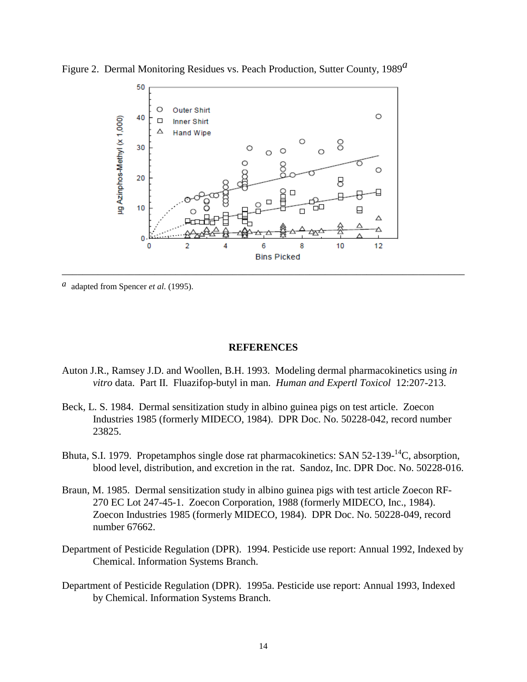

Figure 2. Dermal Monitoring Residues vs. Peach Production, Sutter County, 1989*a*

*a* adapted from Spencer *et al*. (1995).

#### **REFERENCES**

- Auton J.R., Ramsey J.D. and Woollen, B.H. 1993. Modeling dermal pharmacokinetics using *in vitro* data. Part II. Fluazifop-butyl in man. *Human and Expertl Toxicol* 12:207-213.
- Beck, L. S. 1984. Dermal sensitization study in albino guinea pigs on test article. Zoecon Industries 1985 (formerly MIDECO, 1984). DPR Doc. No. 50228-042, record number 23825.
- Bhuta, S.I. 1979. Propetamphos single dose rat pharmacokinetics: SAN 52-139-<sup>14</sup>C, absorption, blood level, distribution, and excretion in the rat. Sandoz, Inc. DPR Doc. No. 50228-016.
- Braun, M. 1985. Dermal sensitization study in albino guinea pigs with test article Zoecon RF-270 EC Lot 247-45-1. Zoecon Corporation, 1988 (formerly MIDECO, Inc., 1984). Zoecon Industries 1985 (formerly MIDECO, 1984). DPR Doc. No. 50228-049, record number 67662.
- Department of Pesticide Regulation (DPR). 1994. Pesticide use report: Annual 1992, Indexed by Chemical. Information Systems Branch.
- Department of Pesticide Regulation (DPR). 1995a. Pesticide use report: Annual 1993, Indexed by Chemical. Information Systems Branch.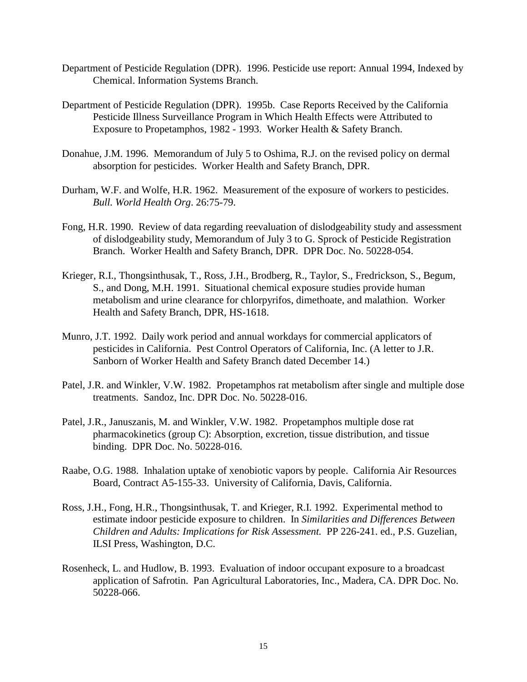- Department of Pesticide Regulation (DPR). 1996. Pesticide use report: Annual 1994, Indexed by Chemical. Information Systems Branch.
- Department of Pesticide Regulation (DPR). 1995b. Case Reports Received by the California Pesticide Illness Surveillance Program in Which Health Effects were Attributed to Exposure to Propetamphos, 1982 - 1993. Worker Health & Safety Branch.
- Donahue, J.M. 1996. Memorandum of July 5 to Oshima, R.J. on the revised policy on dermal absorption for pesticides. Worker Health and Safety Branch, DPR.
- Durham, W.F. and Wolfe, H.R. 1962. Measurement of the exposure of workers to pesticides. *Bull. World Health Org*. 26:75-79.
- Fong, H.R. 1990. Review of data regarding reevaluation of dislodgeability study and assessment of dislodgeability study, Memorandum of July 3 to G. Sprock of Pesticide Registration Branch. Worker Health and Safety Branch, DPR. DPR Doc. No. 50228-054.
- Krieger, R.I., Thongsinthusak, T., Ross, J.H., Brodberg, R., Taylor, S., Fredrickson, S., Begum, S., and Dong, M.H. 1991. Situational chemical exposure studies provide human metabolism and urine clearance for chlorpyrifos, dimethoate, and malathion. Worker Health and Safety Branch, DPR, HS-1618.
- Munro, J.T. 1992. Daily work period and annual workdays for commercial applicators of pesticides in California. Pest Control Operators of California, Inc. (A letter to J.R. Sanborn of Worker Health and Safety Branch dated December 14.)
- Patel, J.R. and Winkler, V.W. 1982. Propetamphos rat metabolism after single and multiple dose treatments. Sandoz, Inc. DPR Doc. No. 50228-016.
- Patel, J.R., Januszanis, M. and Winkler, V.W. 1982. Propetamphos multiple dose rat pharmacokinetics (group C): Absorption, excretion, tissue distribution, and tissue binding. DPR Doc. No. 50228-016.
- Raabe, O.G. 1988. Inhalation uptake of xenobiotic vapors by people. California Air Resources Board, Contract A5-155-33. University of California, Davis, California.
- Ross, J.H., Fong, H.R., Thongsinthusak, T. and Krieger, R.I. 1992. Experimental method to estimate indoor pesticide exposure to children. In *Similarities and Differences Between Children and Adults: Implications for Risk Assessment.* PP 226-241. ed., P.S. Guzelian, ILSI Press, Washington, D.C.
- Rosenheck, L. and Hudlow, B. 1993. Evaluation of indoor occupant exposure to a broadcast application of Safrotin. Pan Agricultural Laboratories, Inc., Madera, CA. DPR Doc. No. 50228-066.